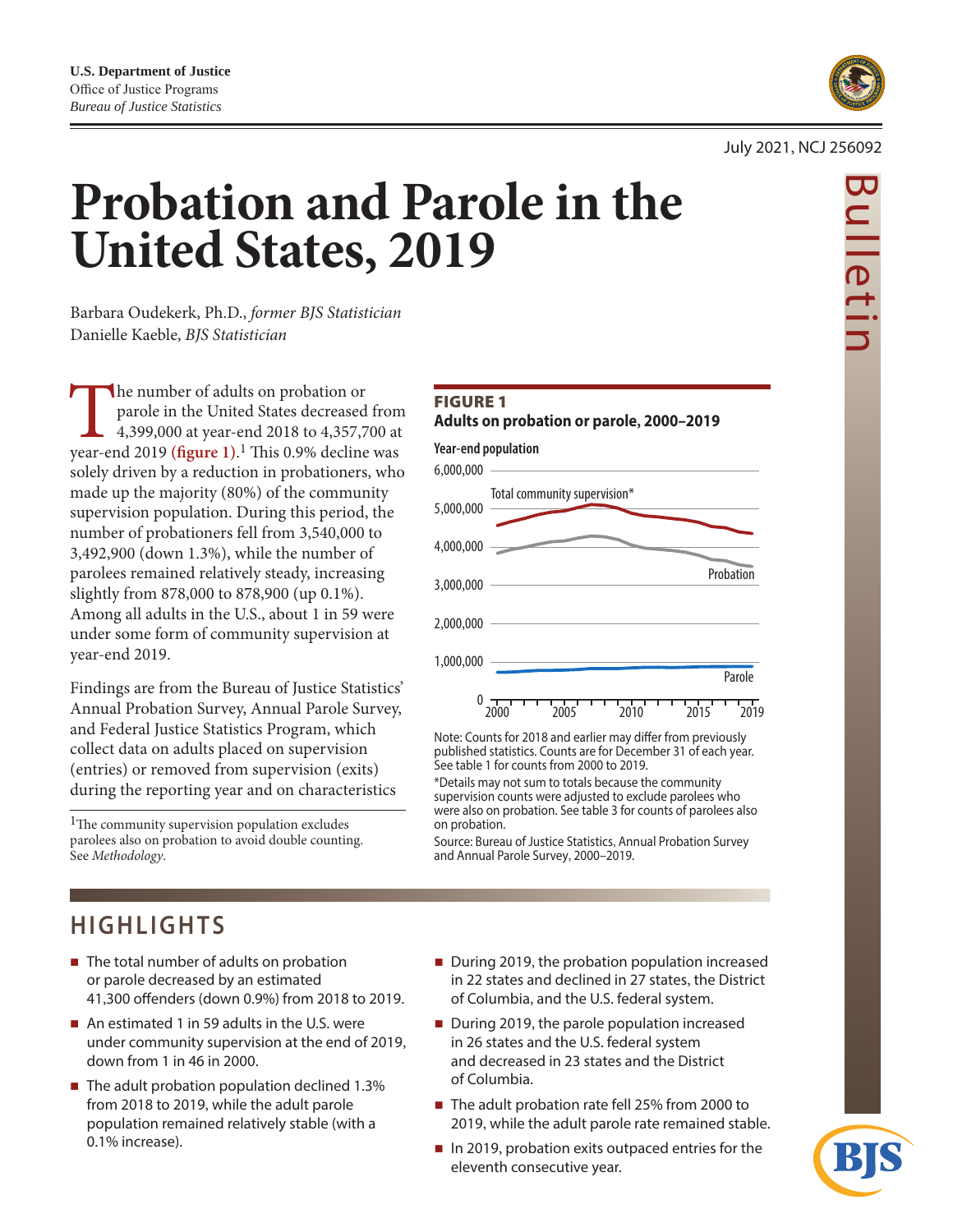

#### July 2021, NCJ 256092

# **Probation and Parole in the United States, 2019**

Barbara Oudekerk, Ph.D., *former BJS Statistician* Danielle Kaeble, *BJS Statistician*

The number of adults on probation or parole in the United States decreased from 4,399,000 at year-end 2018 to 4,357,700 at year-end 2019 (figure 1).<sup>1</sup> This 0.9% decline was parole in the United States decreased from 4,399,000 at year-end 2018 to 4,357,700 at solely driven by a reduction in probationers, who made up the majority (80%) of the community supervision population. During this period, the number of probationers fell from 3,540,000 to 3,492,900 (down 1.3%), while the number of parolees remained relatively steady, increasing slightly from 878,000 to 878,900 (up 0.1%). Among all adults in the U.S., about 1 in 59 were under some form of community supervision at year-end 2019.

Findings are from the Bureau of Justice Statistics' Annual Probation Survey, Annual Parole Survey, and Federal Justice Statistics Program, which collect data on adults placed on supervision (entries) or removed from supervision (exits) during the reporting year and on characteristics

<sup>1</sup>The community supervision population excludes parolees also on probation to avoid double counting. See *Methodology*.

### Figure 1

**Adults on probation or parole, 2000–2019**



Note: Counts for 2018 and earlier may differ from previously published statistics. Counts are for December 31 of each year. See table 1 for counts from 2000 to 2019.

\*Details may not sum to totals because the community supervision counts were adjusted to exclude parolees who were also on probation. See table 3 for counts of parolees also on probation.

Source: Bureau of Justice Statistics, Annual Probation Survey and Annual Parole Survey, 2000–2019.

### **HIGHLIGHTS**

- $\blacksquare$  The total number of adults on probation or parole decreased by an estimated 41,300 offenders (down 0.9%) from 2018 to 2019.
- An estimated 1 in 59 adults in the U.S. were under community supervision at the end of 2019, down from 1 in 46 in 2000.
- $\blacksquare$  The adult probation population declined 1.3% from 2018 to 2019, while the adult parole population remained relatively stable (with a 0.1% increase).
- During 2019, the probation population increased in 22 states and declined in 27 states, the District of Columbia, and the U.S. federal system.
- During 2019, the parole population increased in 26 states and the U.S. federal system and decreased in 23 states and the District of Columbia.
- The adult probation rate fell 25% from 2000 to 2019, while the adult parole rate remained stable.
- $\blacksquare$  In 2019, probation exits outpaced entries for the eleventh consecutive year.



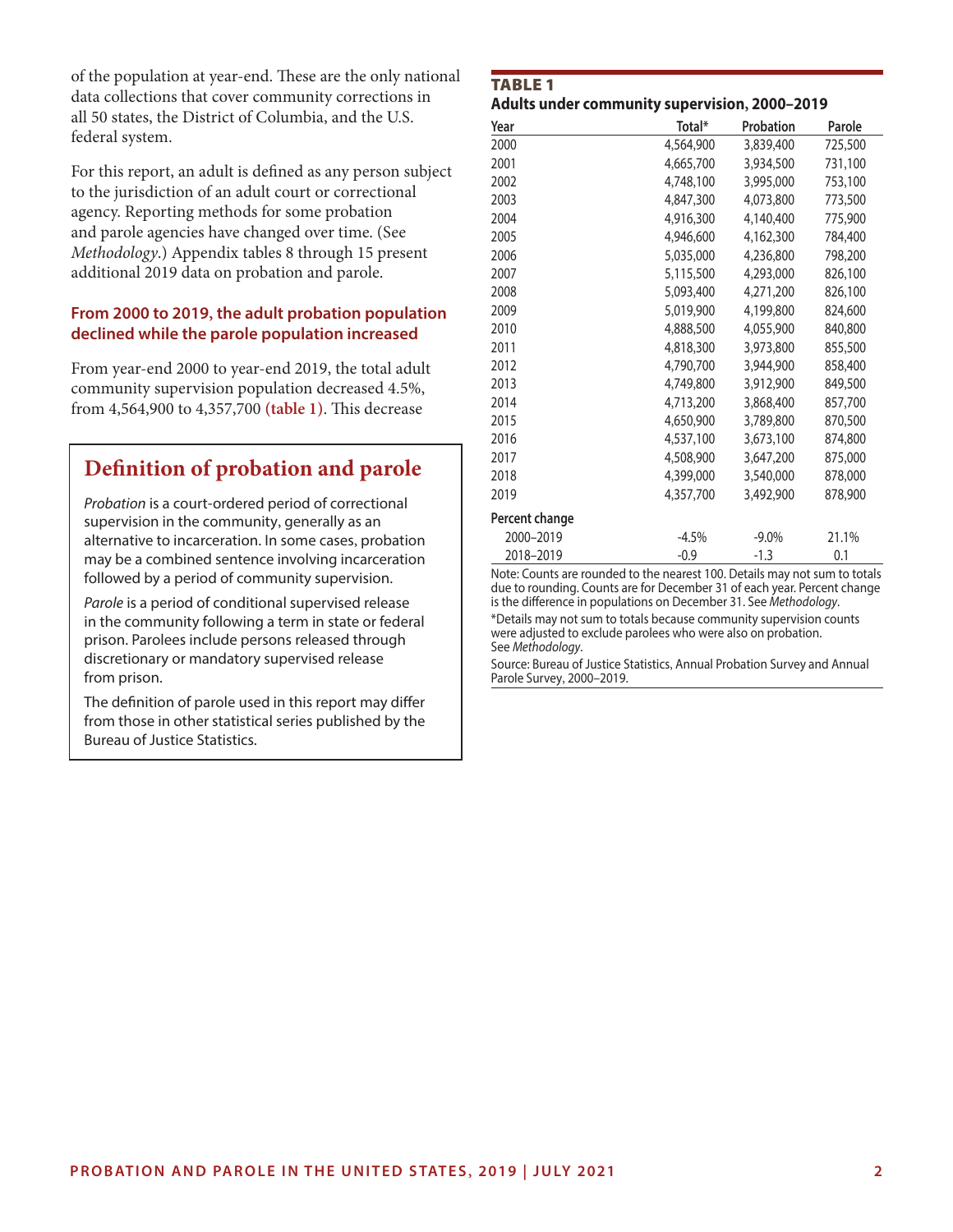of the population at year-end. These are the only national data collections that cover community corrections in all 50 states, the District of Columbia, and the U.S. federal system.

For this report, an adult is defined as any person subject to the jurisdiction of an adult court or correctional agency. Reporting methods for some probation and parole agencies have changed over time. (See *Methodology*.) Appendix tables 8 through 15 present additional 2019 data on probation and parole.

#### **From 2000 to 2019, the adult probation population declined while the parole population increased**

From year-end 2000 to year-end 2019, the total adult community supervision population decreased 4.5%, from 4,564,900 to 4,357,700 **(table 1)**. This decrease

### **Definition of probation and parole**

*Probation* is a court-ordered period of correctional supervision in the community, generally as an alternative to incarceration. In some cases, probation may be a combined sentence involving incarceration followed by a period of community supervision.

*Parole* is a period of conditional supervised release in the community following a term in state or federal prison. Parolees include persons released through discretionary or mandatory supervised release from prison.

The definition of parole used in this report may differ from those in other statistical series published by the Bureau of Justice Statistics.

### TABLE<sub>1</sub> **Adults under community supervision, 2000–2019**

| Year           | Total*    | Probation | Parole  |
|----------------|-----------|-----------|---------|
| 2000           | 4,564,900 | 3,839,400 | 725,500 |
| 2001           | 4,665,700 | 3,934,500 | 731,100 |
| 2002           | 4,748,100 | 3,995,000 | 753,100 |
| 2003           | 4,847,300 | 4,073,800 | 773,500 |
| 2004           | 4,916,300 | 4,140,400 | 775,900 |
| 2005           | 4,946,600 | 4,162,300 | 784,400 |
| 2006           | 5,035,000 | 4,236,800 | 798,200 |
| 2007           | 5,115,500 | 4,293,000 | 826,100 |
| 2008           | 5,093,400 | 4,271,200 | 826,100 |
| 2009           | 5,019,900 | 4,199,800 | 824,600 |
| 2010           | 4,888,500 | 4,055,900 | 840,800 |
| 2011           | 4,818,300 | 3,973,800 | 855,500 |
| 2012           | 4,790,700 | 3,944,900 | 858,400 |
| 2013           | 4,749,800 | 3,912,900 | 849,500 |
| 2014           | 4,713,200 | 3,868,400 | 857,700 |
| 2015           | 4,650,900 | 3,789,800 | 870,500 |
| 2016           | 4,537,100 | 3,673,100 | 874,800 |
| 2017           | 4,508,900 | 3,647,200 | 875,000 |
| 2018           | 4,399,000 | 3,540,000 | 878,000 |
| 2019           | 4,357,700 | 3,492,900 | 878,900 |
| Percent change |           |           |         |
| 2000-2019      | $-4.5%$   | $-9.0\%$  | 21.1%   |
| 2018-2019      | $-0.9$    | $-1.3$    | 0.1     |

Note: Counts are rounded to the nearest 100. Details may not sum to totals due to rounding. Counts are for December 31 of each year. Percent change is the difference in populations on December 31. See *Methodology*.

\*Details may not sum to totals because community supervision counts were adjusted to exclude parolees who were also on probation. See *Methodology*.

Source: Bureau of Justice Statistics, Annual Probation Survey and Annual Parole Survey, 2000–2019.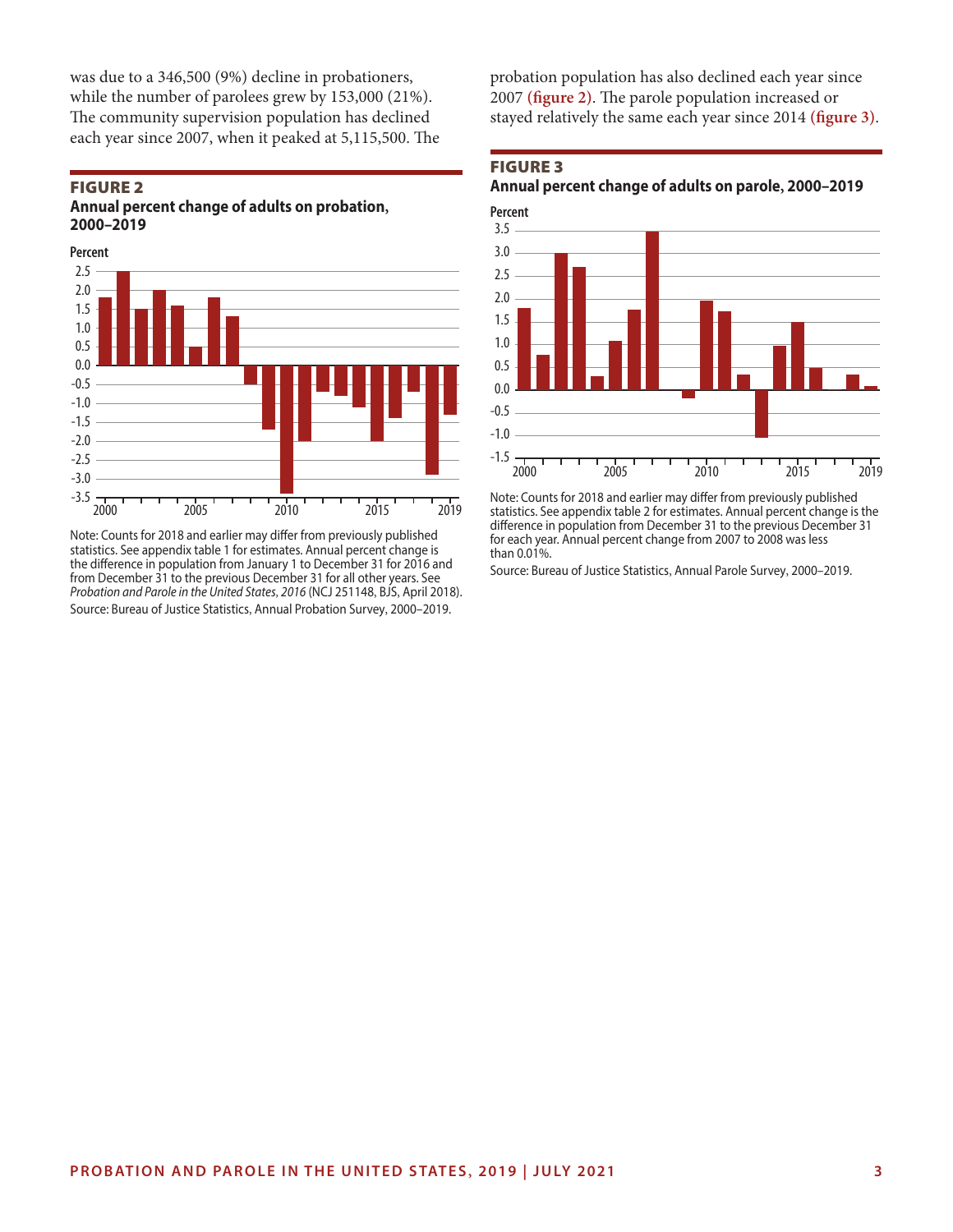was due to a 346,500 (9%) decline in probationers, while the number of parolees grew by 153,000 (21%). The community supervision population has declined each year since 2007, when it peaked at 5,115,500. The

#### Figure 2 **Annual percent change of adults on probation, 2000–2019**



Note: Counts for 2018 and earlier may differ from previously published statistics. See appendix table 1 for estimates. Annual percent change is the difference in population from January 1 to December 31 for 2016 and from December 31 to the previous December 31 for all other years. See *Probation and Parole in the United States, 2016* (NCJ 251148, BJS, April 2018). Source: Bureau of Justice Statistics, Annual Probation Survey, 2000–2019.

probation population has also declined each year since 2007 **(figure 2)**. The parole population increased or stayed relatively the same each year since 2014 **(figure 3)**.

### Figure 3

**Annual percent change of adults on parole, 2000–2019**



Note: Counts for 2018 and earlier may differ from previously published statistics. See appendix table 2 for estimates. Annual percent change is the difference in population from December 31 to the previous December 31 for each year. Annual percent change from 2007 to 2008 was less than 0.01%.

Source: Bureau of Justice Statistics, Annual Parole Survey, 2000–2019.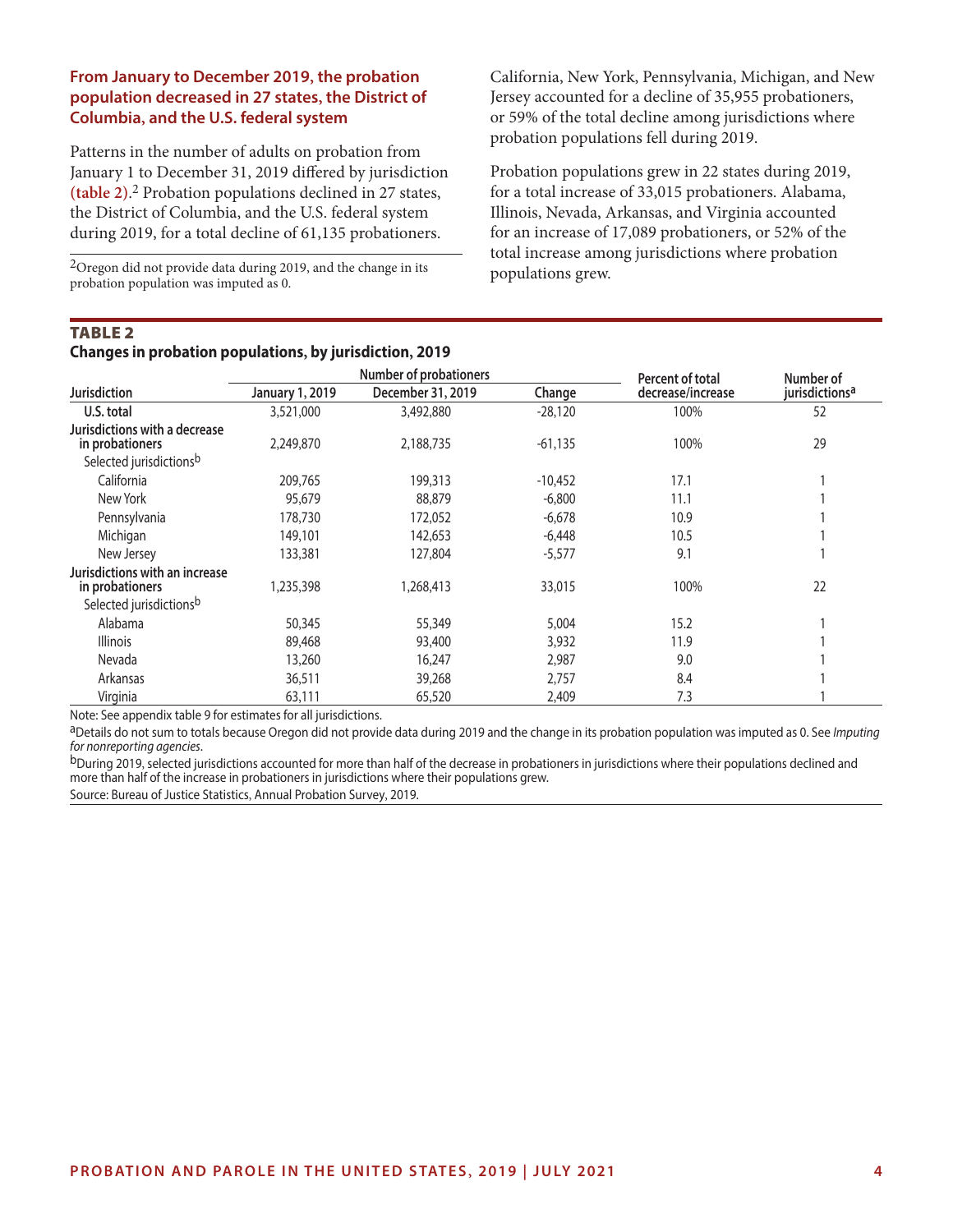#### **From January to December 2019, the probation population decreased in 27 states, the District of Columbia, and the U.S. federal system**

Patterns in the number of adults on probation from January 1 to December 31, 2019 differed by jurisdiction **(table 2)**. 2 Probation populations declined in 27 states, the District of Columbia, and the U.S. federal system during 2019, for a total decline of 61,135 probationers.

2Oregon did not provide data during 2019, and the change in its probation population was imputed as 0.

California, New York, Pennsylvania, Michigan, and New Jersey accounted for a decline of 35,955 probationers, or 59% of the total decline among jurisdictions where probation populations fell during 2019.

Probation populations grew in 22 states during 2019, for a total increase of 33,015 probationers. Alabama, Illinois, Nevada, Arkansas, and Virginia accounted for an increase of 17,089 probationers, or 52% of the total increase among jurisdictions where probation populations grew.

#### **TABLE 2**

**Changes in probation populations, by jurisdiction, 2019**

|                                                   |                        | <b>Number of probationers</b> | Percent of total | Number of         |                            |
|---------------------------------------------------|------------------------|-------------------------------|------------------|-------------------|----------------------------|
| <b>Jurisdiction</b>                               | <b>January 1, 2019</b> | December 31, 2019             | Change           | decrease/increase | jurisdictions <sup>a</sup> |
| U.S. total                                        | 3,521,000              | 3,492,880                     | $-28,120$        | 100%              | 52                         |
| Jurisdictions with a decrease<br>in probationers  | 2,249,870              | 2,188,735                     | $-61,135$        | 100%              | 29                         |
| Selected jurisdictionsb                           |                        |                               |                  |                   |                            |
| California                                        | 209,765                | 199,313                       | $-10,452$        | 17.1              |                            |
| New York                                          | 95,679                 | 88,879                        | $-6,800$         | 11.1              |                            |
| Pennsylvania                                      | 178,730                | 172,052                       | $-6,678$         | 10.9              |                            |
| Michigan                                          | 149,101                | 142,653                       | $-6,448$         | 10.5              |                            |
| New Jersey                                        | 133,381                | 127,804                       | $-5,577$         | 9.1               |                            |
| Jurisdictions with an increase<br>in probationers | 1,235,398              | 1,268,413                     | 33,015           | 100%              | 22                         |
| Selected jurisdictionsb                           |                        |                               |                  |                   |                            |
| Alabama                                           | 50,345                 | 55,349                        | 5,004            | 15.2              |                            |
| <b>Illinois</b>                                   | 89,468                 | 93,400                        | 3,932            | 11.9              |                            |
| Nevada                                            | 13,260                 | 16,247                        | 2,987            | 9.0               |                            |
| Arkansas                                          | 36,511                 | 39,268                        | 2,757            | 8.4               |                            |
| Virginia                                          | 63,111                 | 65,520                        | 2,409            | 7.3               |                            |

Note: See appendix table 9 for estimates for all jurisdictions.

aDetails do not sum to totals because Oregon did not provide data during 2019 and the change in its probation population was imputed as 0. See *Imputing for nonreporting agencies*.

bDuring 2019, selected jurisdictions accounted for more than half of the decrease in probationers in jurisdictions where their populations declined and more than half of the increase in probationers in jurisdictions where their populations grew.

Source: Bureau of Justice Statistics, Annual Probation Survey, 2019.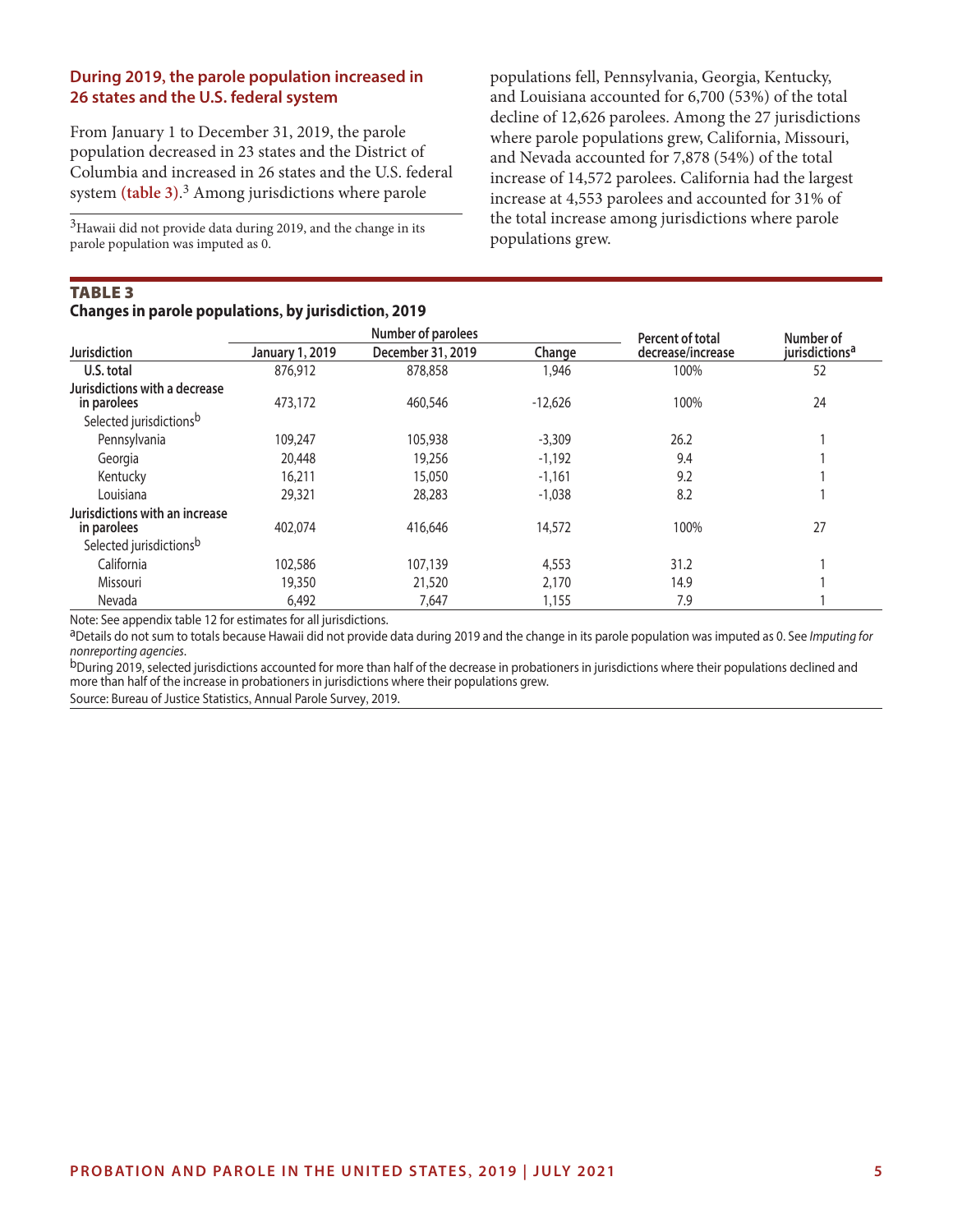#### **During 2019, the parole population increased in 26 states and the U.S. federal system**

From January 1 to December 31, 2019, the parole population decreased in 23 states and the District of Columbia and increased in 26 states and the U.S. federal system **(table 3)**. 3 Among jurisdictions where parole

<sup>3</sup>Hawaii did not provide data during 2019, and the change in its parole population was imputed as 0.

#### Table 3 **Changes in parole populations, by jurisdiction, 2019**

populations fell, Pennsylvania, Georgia, Kentucky, and Louisiana accounted for 6,700 (53%) of the total decline of 12,626 parolees. Among the 27 jurisdictions where parole populations grew, California, Missouri, and Nevada accounted for 7,878 (54%) of the total increase of 14,572 parolees. California had the largest increase at 4,553 parolees and accounted for 31% of the total increase among jurisdictions where parole populations grew.

|                                               |                        | Number of parolees |           | Percent of total  | Number of                  |
|-----------------------------------------------|------------------------|--------------------|-----------|-------------------|----------------------------|
| <b>Jurisdiction</b>                           | <b>January 1, 2019</b> | December 31, 2019  | Change    | decrease/increase | jurisdictions <sup>a</sup> |
| U.S. total                                    | 876,912                | 878,858            | 1,946     | 100%              | 52                         |
| Jurisdictions with a decrease<br>in parolees  | 473,172                | 460,546            | $-12,626$ | 100%              | 24                         |
| Selected jurisdictionsb                       |                        |                    |           |                   |                            |
| Pennsylvania                                  | 109,247                | 105,938            | $-3,309$  | 26.2              |                            |
| Georgia                                       | 20,448                 | 19,256             | $-1,192$  | 9.4               |                            |
| Kentucky                                      | 16,211                 | 15,050             | $-1,161$  | 9.2               |                            |
| Louisiana                                     | 29,321                 | 28,283             | $-1,038$  | 8.2               |                            |
| Jurisdictions with an increase<br>in parolees | 402,074                | 416,646            | 14,572    | 100%              | 27                         |
| Selected jurisdictionsb                       |                        |                    |           |                   |                            |
| California                                    | 102,586                | 107,139            | 4,553     | 31.2              |                            |
| Missouri                                      | 19,350                 | 21,520             | 2,170     | 14.9              |                            |
| Nevada                                        | 6,492                  | 7,647              | 1,155     | 7.9               |                            |

Note: See appendix table 12 for estimates for all jurisdictions.

aDetails do not sum to totals because Hawaii did not provide data during 2019 and the change in its parole population was imputed as 0. See *Imputing for nonreporting agencies*.

b<sub>During</sub> 2019, selected jurisdictions accounted for more than half of the decrease in probationers in jurisdictions where their populations declined and more than half of the increase in probationers in jurisdictions where their populations grew.

Source: Bureau of Justice Statistics, Annual Parole Survey, 2019.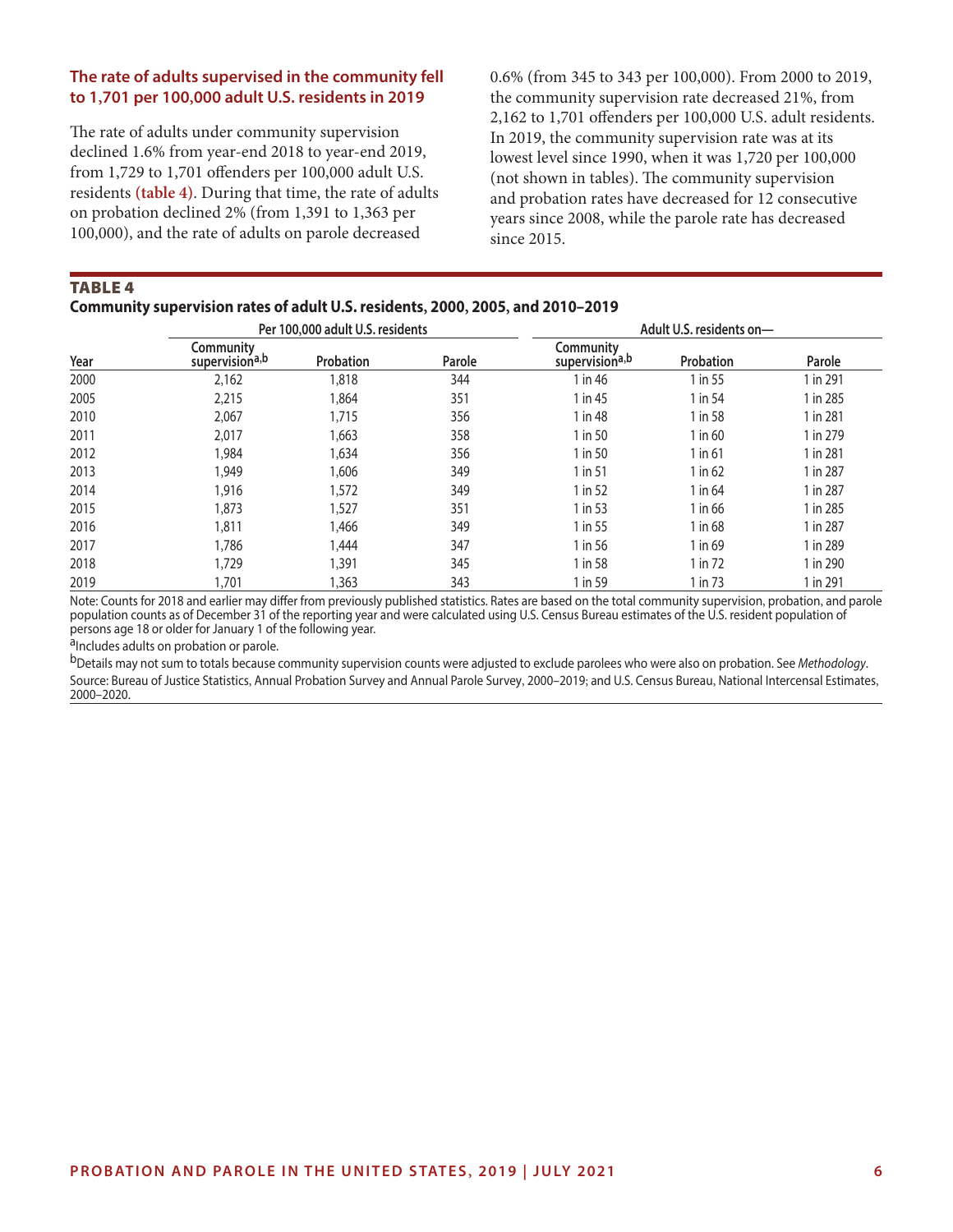#### **The rate of adults supervised in the community fell to 1,701 per 100,000 adult U.S. residents in 2019**

The rate of adults under community supervision declined 1.6% from year-end 2018 to year-end 2019, from 1,729 to 1,701 offenders per 100,000 adult U.S. residents **(table 4)**. During that time, the rate of adults on probation declined 2% (from 1,391 to 1,363 per 100,000), and the rate of adults on parole decreased

0.6% (from 345 to 343 per 100,000). From 2000 to 2019, the community supervision rate decreased 21%, from 2,162 to 1,701 offenders per 100,000 U.S. adult residents. In 2019, the community supervision rate was at its lowest level since 1990, when it was 1,720 per 100,000 (not shown in tables). The community supervision and probation rates have decreased for 12 consecutive years since 2008, while the parole rate has decreased since 2015.

**TABLE 4** 

#### **Community supervision rates of adult U.S. residents, 2000, 2005, and 2010–2019**

|      | Per 100,000 adult U.S. residents        |           |        | Adult U.S. residents on-                |           |          |
|------|-----------------------------------------|-----------|--------|-----------------------------------------|-----------|----------|
| Year | Community<br>supervision <sup>a,b</sup> | Probation | Parole | Community<br>supervision <sup>a,b</sup> | Probation | Parole   |
| 2000 | 2,162                                   | 1,818     | 344    | 1 in 46                                 | 1 in 55   | 1 in 291 |
| 2005 | 2,215                                   | 1,864     | 351    | 1 in 45                                 | 1 in 54   | 1 in 285 |
| 2010 | 2,067                                   | 1,715     | 356    | 1 in 48                                 | 1 in 58   | 1 in 281 |
| 2011 | 2,017                                   | 1,663     | 358    | 1 in 50                                 | 1 in 60   | 1 in 279 |
| 2012 | 1,984                                   | 1,634     | 356    | 1 in 50                                 | $1$ in 61 | 1 in 281 |
| 2013 | 1,949                                   | 1,606     | 349    | 1 in 51                                 | $1$ in 62 | 1 in 287 |
| 2014 | 1,916                                   | 1,572     | 349    | 1 in 52                                 | 1 in 64   | 1 in 287 |
| 2015 | 1,873                                   | 1,527     | 351    | 1 in 53                                 | 1 in 66   | 1 in 285 |
| 2016 | 1,811                                   | 1,466     | 349    | 1 in 55                                 | 1 in 68   | 1 in 287 |
| 2017 | 1,786                                   | 1,444     | 347    | 1 in 56                                 | 1 in 69   | 1 in 289 |
| 2018 | 1,729                                   | 1,391     | 345    | 1 in 58                                 | 1 in 72   | 1 in 290 |
| 2019 | 1,701                                   | 1,363     | 343    | 1 in 59                                 | 1 in 73   | 1 in 291 |

Note: Counts for 2018 and earlier may differ from previously published statistics. Rates are based on the total community supervision, probation, and parole population counts as of December 31 of the reporting year and were calculated using U.S. Census Bureau estimates of the U.S. resident population of persons age 18 or older for January 1 of the following year.

aIncludes adults on probation or parole.

bDetails may not sum to totals because community supervision counts were adjusted to exclude parolees who were also on probation. See *Methodology*. Source: Bureau of Justice Statistics, Annual Probation Survey and Annual Parole Survey, 2000–2019; and U.S. Census Bureau, National Intercensal Estimates, 2000–2020.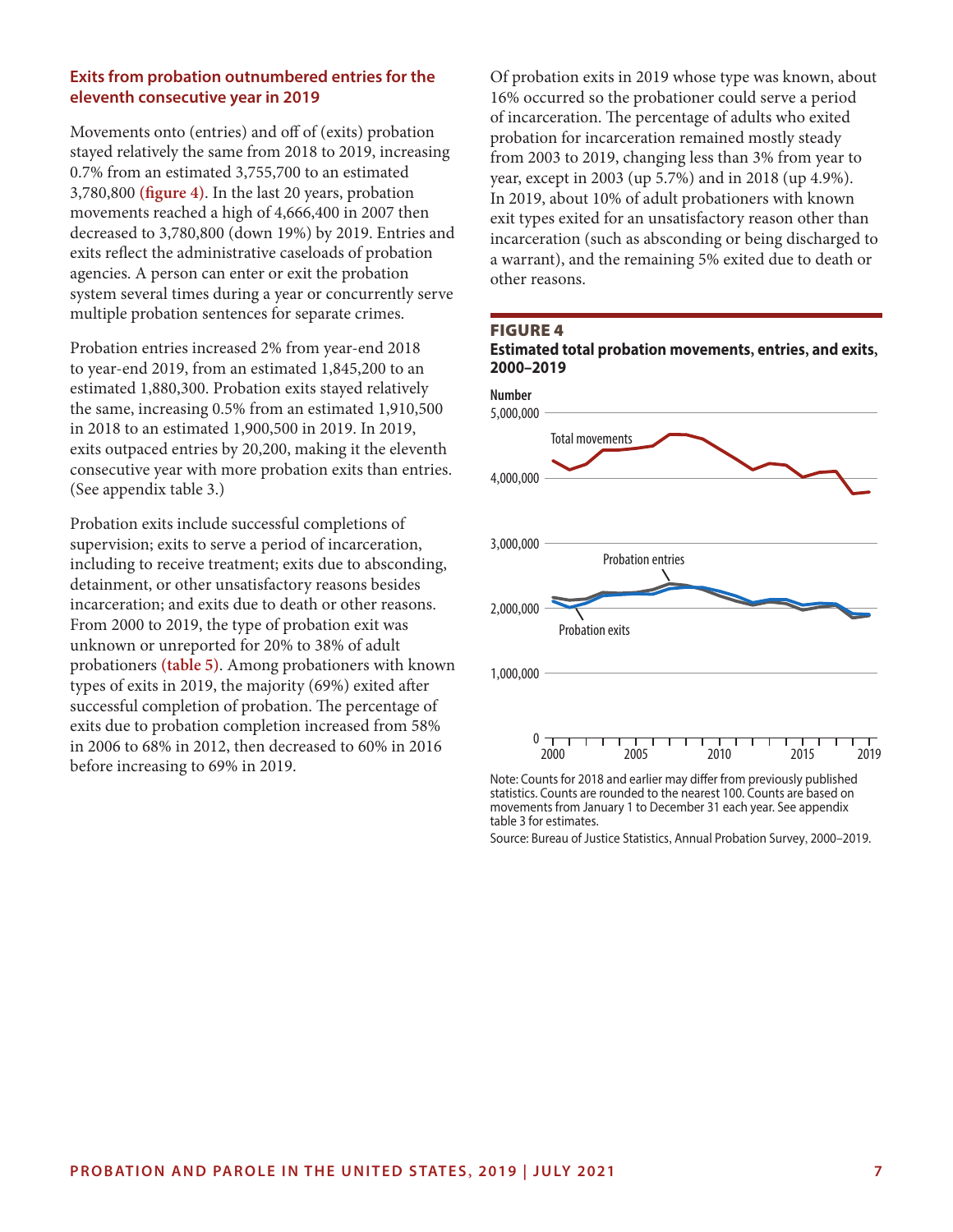#### **Exits from probation outnumbered entries for the eleventh consecutive year in 2019**

Movements onto (entries) and off of (exits) probation stayed relatively the same from 2018 to 2019, increasing 0.7% from an estimated 3,755,700 to an estimated 3,780,800 **(figure 4)**. In the last 20 years, probation movements reached a high of 4,666,400 in 2007 then decreased to 3,780,800 (down 19%) by 2019. Entries and exits reflect the administrative caseloads of probation agencies. A person can enter or exit the probation system several times during a year or concurrently serve multiple probation sentences for separate crimes.

Probation entries increased 2% from year-end 2018 to year-end 2019, from an estimated 1,845,200 to an estimated 1,880,300. Probation exits stayed relatively the same, increasing 0.5% from an estimated 1,910,500 in 2018 to an estimated 1,900,500 in 2019. In 2019, exits outpaced entries by 20,200, making it the eleventh consecutive year with more probation exits than entries. (See appendix table 3.)

Probation exits include successful completions of supervision; exits to serve a period of incarceration, including to receive treatment; exits due to absconding, detainment, or other unsatisfactory reasons besides incarceration; and exits due to death or other reasons. From 2000 to 2019, the type of probation exit was unknown or unreported for 20% to 38% of adult probationers **(table 5)**. Among probationers with known types of exits in 2019, the majority (69%) exited after successful completion of probation. The percentage of exits due to probation completion increased from 58% in 2006 to 68% in 2012, then decreased to 60% in 2016 before increasing to 69% in 2019.

Of probation exits in 2019 whose type was known, about 16% occurred so the probationer could serve a period of incarceration. The percentage of adults who exited probation for incarceration remained mostly steady from 2003 to 2019, changing less than 3% from year to year, except in 2003 (up 5.7%) and in 2018 (up 4.9%). In 2019, about 10% of adult probationers with known exit types exited for an unsatisfactory reason other than incarceration (such as absconding or being discharged to a warrant), and the remaining 5% exited due to death or other reasons.





movements from January 1 to December 31 each year. See appendix table 3 for estimates.

Source: Bureau of Justice Statistics, Annual Probation Survey, 2000–2019.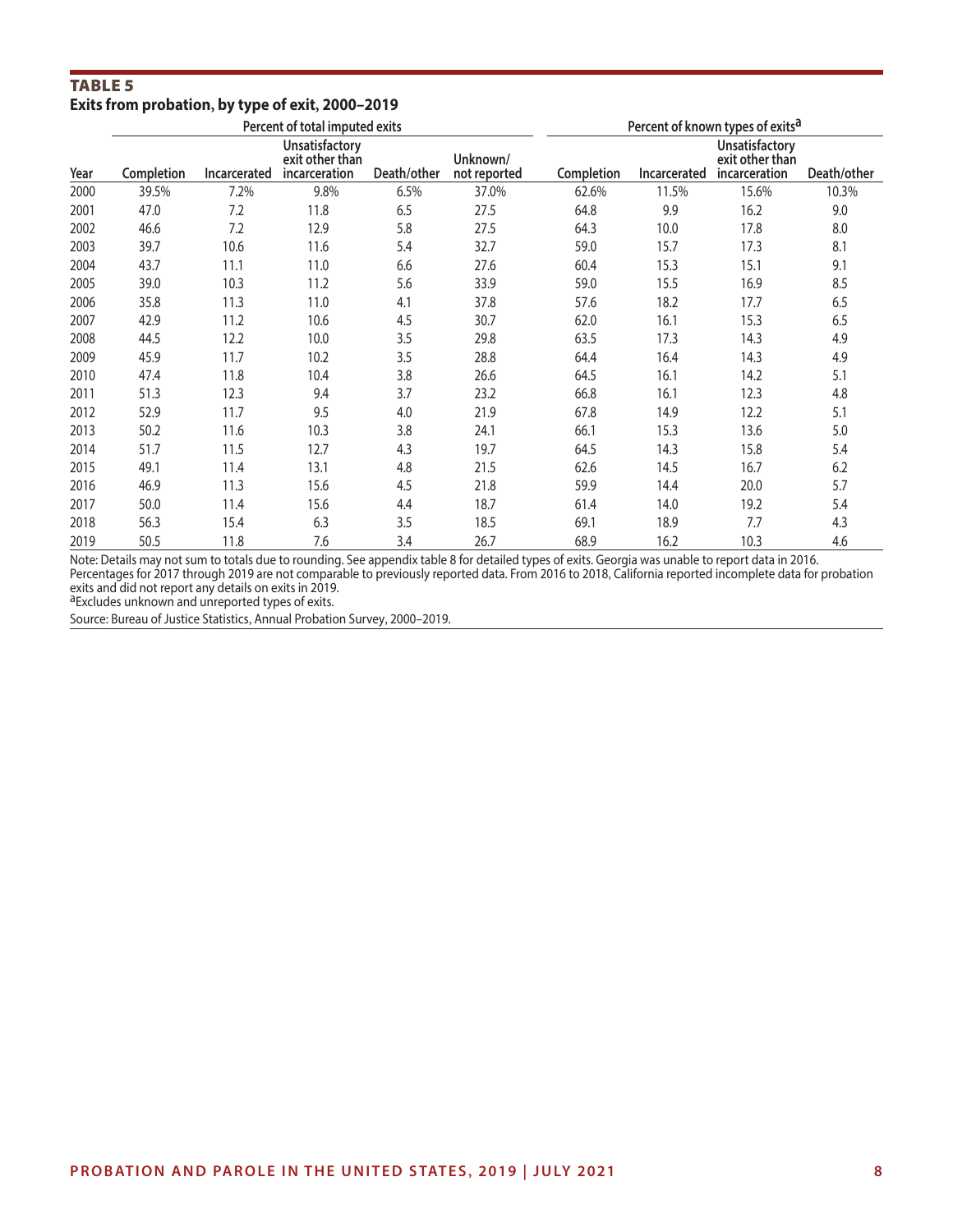#### Table 5 **Exits from probation, by type of exit, 2000–2019**

|      | Percent of total imputed exits |              |                                                    |             |                          | Percent of known types of exits <sup>a</sup> |              |                                                           |             |
|------|--------------------------------|--------------|----------------------------------------------------|-------------|--------------------------|----------------------------------------------|--------------|-----------------------------------------------------------|-------------|
| Year | Completion                     | Incarcerated | Unsatisfactory<br>exit other than<br>incarceration | Death/other | Unknown/<br>not reported | Completion                                   | Incarcerated | <b>Unsatisfactory</b><br>exit other than<br>incarceration | Death/other |
| 2000 | 39.5%                          | 7.2%         | 9.8%                                               | 6.5%        | 37.0%                    | 62.6%                                        | 11.5%        | 15.6%                                                     | 10.3%       |
| 2001 | 47.0                           | 7.2          | 11.8                                               | 6.5         | 27.5                     | 64.8                                         | 9.9          | 16.2                                                      | 9.0         |
| 2002 | 46.6                           | 7.2          | 12.9                                               | 5.8         | 27.5                     | 64.3                                         | 10.0         | 17.8                                                      | 8.0         |
| 2003 | 39.7                           | 10.6         | 11.6                                               | 5.4         | 32.7                     | 59.0                                         | 15.7         | 17.3                                                      | 8.1         |
| 2004 | 43.7                           | 11.1         | 11.0                                               | 6.6         | 27.6                     | 60.4                                         | 15.3         | 15.1                                                      | 9.1         |
| 2005 | 39.0                           | 10.3         | 11.2                                               | 5.6         | 33.9                     | 59.0                                         | 15.5         | 16.9                                                      | 8.5         |
| 2006 | 35.8                           | 11.3         | 11.0                                               | 4.1         | 37.8                     | 57.6                                         | 18.2         | 17.7                                                      | 6.5         |
| 2007 | 42.9                           | 11.2         | 10.6                                               | 4.5         | 30.7                     | 62.0                                         | 16.1         | 15.3                                                      | 6.5         |
| 2008 | 44.5                           | 12.2         | 10.0                                               | 3.5         | 29.8                     | 63.5                                         | 17.3         | 14.3                                                      | 4.9         |
| 2009 | 45.9                           | 11.7         | 10.2                                               | 3.5         | 28.8                     | 64.4                                         | 16.4         | 14.3                                                      | 4.9         |
| 2010 | 47.4                           | 11.8         | 10.4                                               | 3.8         | 26.6                     | 64.5                                         | 16.1         | 14.2                                                      | 5.1         |
| 2011 | 51.3                           | 12.3         | 9.4                                                | 3.7         | 23.2                     | 66.8                                         | 16.1         | 12.3                                                      | 4.8         |
| 2012 | 52.9                           | 11.7         | 9.5                                                | 4.0         | 21.9                     | 67.8                                         | 14.9         | 12.2                                                      | 5.1         |
| 2013 | 50.2                           | 11.6         | 10.3                                               | 3.8         | 24.1                     | 66.1                                         | 15.3         | 13.6                                                      | 5.0         |
| 2014 | 51.7                           | 11.5         | 12.7                                               | 4.3         | 19.7                     | 64.5                                         | 14.3         | 15.8                                                      | 5.4         |
| 2015 | 49.1                           | 11.4         | 13.1                                               | 4.8         | 21.5                     | 62.6                                         | 14.5         | 16.7                                                      | 6.2         |
| 2016 | 46.9                           | 11.3         | 15.6                                               | 4.5         | 21.8                     | 59.9                                         | 14.4         | 20.0                                                      | 5.7         |
| 2017 | 50.0                           | 11.4         | 15.6                                               | 4.4         | 18.7                     | 61.4                                         | 14.0         | 19.2                                                      | 5.4         |
| 2018 | 56.3                           | 15.4         | 6.3                                                | 3.5         | 18.5                     | 69.1                                         | 18.9         | 7.7                                                       | 4.3         |
| 2019 | 50.5                           | 11.8         | 7.6                                                | 3.4         | 26.7                     | 68.9                                         | 16.2         | 10.3                                                      | 4.6         |

Note: Details may not sum to totals due to rounding. See appendix table 8 for detailed types of exits. Georgia was unable to report data in 2016. Percentages for 2017 through 2019 are not comparable to previously reported data. From 2016 to 2018, California reported incomplete data for probation exits and did not report any details on exits in 2019.<br><sup>a</sup>Excludes unknown and unreported types of exits.

Source: Bureau of Justice Statistics, Annual Probation Survey, 2000–2019.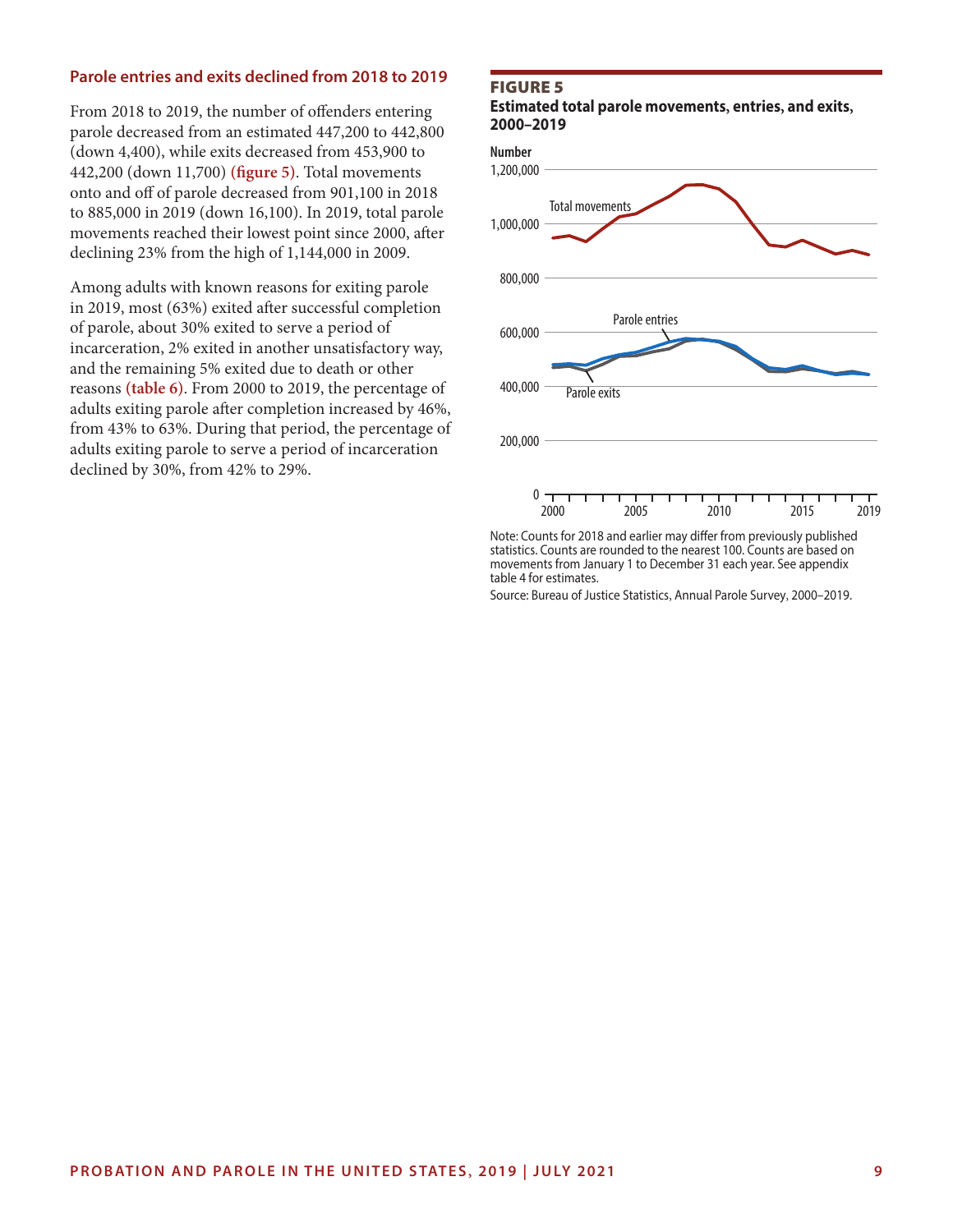#### **Parole entries and exits declined from 2018 to 2019**

From 2018 to 2019, the number of offenders entering parole decreased from an estimated 447,200 to 442,800 (down 4,400), while exits decreased from 453,900 to 442,200 (down 11,700) **(figure 5)**. Total movements onto and off of parole decreased from 901,100 in 2018 to 885,000 in 2019 (down 16,100). In 2019, total parole movements reached their lowest point since 2000, after declining 23% from the high of 1,144,000 in 2009.

Among adults with known reasons for exiting parole in 2019, most (63%) exited after successful completion of parole, about 30% exited to serve a period of incarceration, 2% exited in another unsatisfactory way, and the remaining 5% exited due to death or other reasons **(table 6)**. From 2000 to 2019, the percentage of adults exiting parole after completion increased by 46%, from 43% to 63%. During that period, the percentage of adults exiting parole to serve a period of incarceration declined by 30%, from 42% to 29%.

#### Figure 5

**Estimated total parole movements, entries, and exits, 2000–2019**



Note: Counts for 2018 and earlier may differ from previously published statistics. Counts are rounded to the nearest 100. Counts are based on movements from January 1 to December 31 each year. See appendix table 4 for estimates.

Source: Bureau of Justice Statistics, Annual Parole Survey, 2000–2019.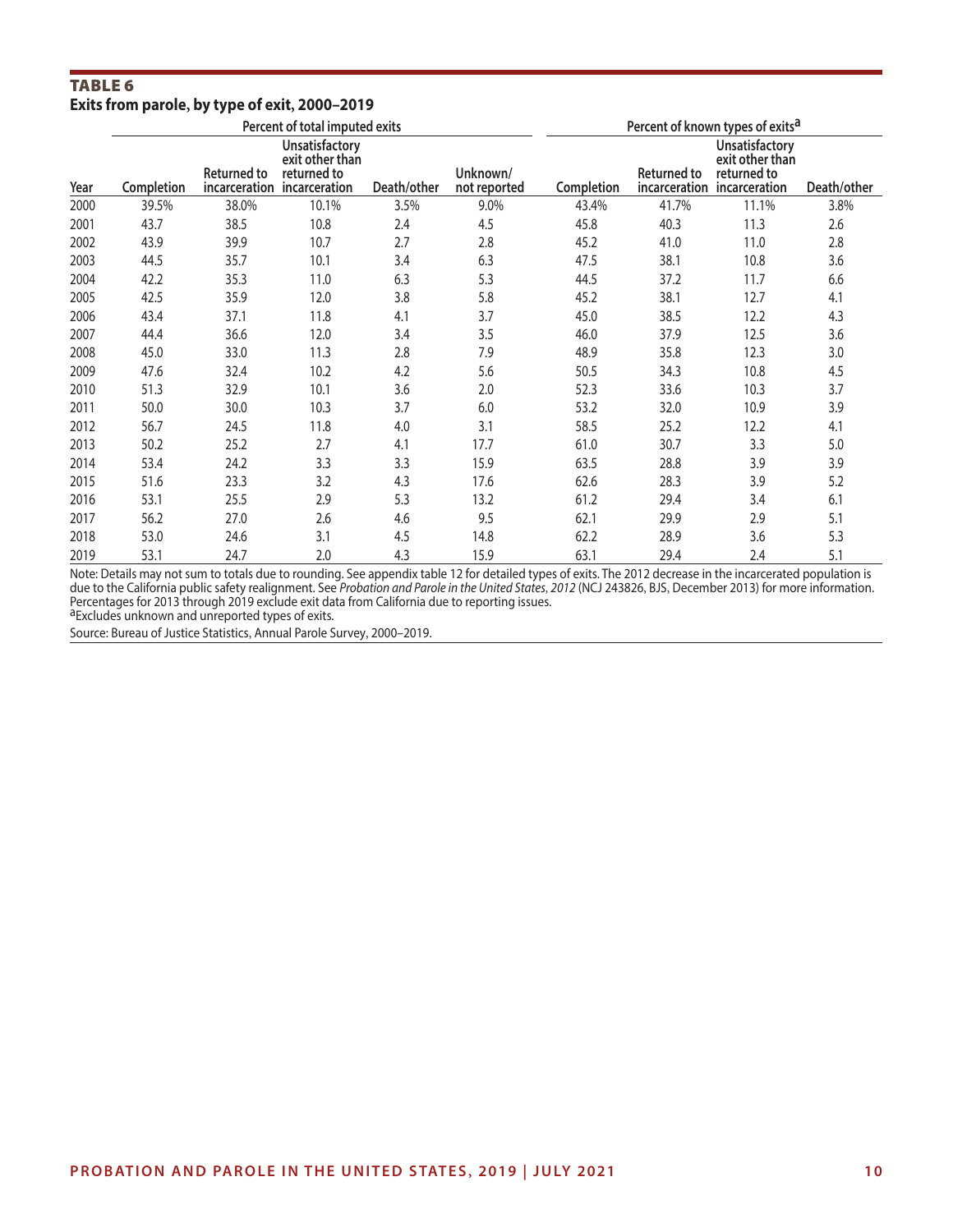#### Table 6 **Exits from parole, by type of exit, 2000–2019**

|      | Percent of total imputed exits |                    |                                                                                 |             |                          | Percent of known types of exits <sup>a</sup> |                    |                                                                                 |             |
|------|--------------------------------|--------------------|---------------------------------------------------------------------------------|-------------|--------------------------|----------------------------------------------|--------------------|---------------------------------------------------------------------------------|-------------|
| Year | Completion                     | <b>Returned to</b> | Unsatisfactory<br>exit other than<br>returned to<br>incarceration incarceration | Death/other | Unknown/<br>not reported | Completion                                   | <b>Returned to</b> | Unsatisfactory<br>exit other than<br>returned to<br>incarceration incarceration | Death/other |
| 2000 | 39.5%                          | 38.0%              | 10.1%                                                                           | 3.5%        | 9.0%                     | 43.4%                                        | 41.7%              | 11.1%                                                                           | 3.8%        |
| 2001 | 43.7                           | 38.5               | 10.8                                                                            | 2.4         | 4.5                      | 45.8                                         | 40.3               | 11.3                                                                            | 2.6         |
| 2002 | 43.9                           | 39.9               | 10.7                                                                            | 2.7         | 2.8                      | 45.2                                         | 41.0               | 11.0                                                                            | 2.8         |
| 2003 | 44.5                           | 35.7               | 10.1                                                                            | 3.4         | 6.3                      | 47.5                                         | 38.1               | 10.8                                                                            | 3.6         |
| 2004 | 42.2                           | 35.3               | 11.0                                                                            | 6.3         | 5.3                      | 44.5                                         | 37.2               | 11.7                                                                            | 6.6         |
| 2005 | 42.5                           | 35.9               | 12.0                                                                            | 3.8         | 5.8                      | 45.2                                         | 38.1               | 12.7                                                                            | 4.1         |
| 2006 | 43.4                           | 37.1               | 11.8                                                                            | 4.1         | 3.7                      | 45.0                                         | 38.5               | 12.2                                                                            | 4.3         |
| 2007 | 44.4                           | 36.6               | 12.0                                                                            | 3.4         | 3.5                      | 46.0                                         | 37.9               | 12.5                                                                            | 3.6         |
| 2008 | 45.0                           | 33.0               | 11.3                                                                            | 2.8         | 7.9                      | 48.9                                         | 35.8               | 12.3                                                                            | 3.0         |
| 2009 | 47.6                           | 32.4               | 10.2                                                                            | 4.2         | 5.6                      | 50.5                                         | 34.3               | 10.8                                                                            | 4.5         |
| 2010 | 51.3                           | 32.9               | 10.1                                                                            | 3.6         | 2.0                      | 52.3                                         | 33.6               | 10.3                                                                            | 3.7         |
| 2011 | 50.0                           | 30.0               | 10.3                                                                            | 3.7         | 6.0                      | 53.2                                         | 32.0               | 10.9                                                                            | 3.9         |
| 2012 | 56.7                           | 24.5               | 11.8                                                                            | 4.0         | 3.1                      | 58.5                                         | 25.2               | 12.2                                                                            | 4.1         |
| 2013 | 50.2                           | 25.2               | 2.7                                                                             | 4.1         | 17.7                     | 61.0                                         | 30.7               | 3.3                                                                             | 5.0         |
| 2014 | 53.4                           | 24.2               | 3.3                                                                             | 3.3         | 15.9                     | 63.5                                         | 28.8               | 3.9                                                                             | 3.9         |
| 2015 | 51.6                           | 23.3               | 3.2                                                                             | 4.3         | 17.6                     | 62.6                                         | 28.3               | 3.9                                                                             | 5.2         |
| 2016 | 53.1                           | 25.5               | 2.9                                                                             | 5.3         | 13.2                     | 61.2                                         | 29.4               | 3.4                                                                             | 6.1         |
| 2017 | 56.2                           | 27.0               | 2.6                                                                             | 4.6         | 9.5                      | 62.1                                         | 29.9               | 2.9                                                                             | 5.1         |
| 2018 | 53.0                           | 24.6               | 3.1                                                                             | 4.5         | 14.8                     | 62.2                                         | 28.9               | 3.6                                                                             | 5.3         |
| 2019 | 53.1                           | 24.7               | 2.0                                                                             | 4.3         | 15.9                     | 63.1                                         | 29.4               | 2.4                                                                             | 5.1         |

Note: Details may not sum to totals due to rounding. See appendix table 12 for detailed types of exits. The 2012 decrease in the incarcerated population is due to the California public safety realignment. See *Probation and Parole in the United States, 2012* (NCJ 243826, BJS, December 2013) for more information. Percentages for 2013 through 2019 exclude exit data from California due to reporting issues.<br><sup>a</sup>Excludes unknown and unreported types of exits.

Source: Bureau of Justice Statistics, Annual Parole Survey, 2000–2019.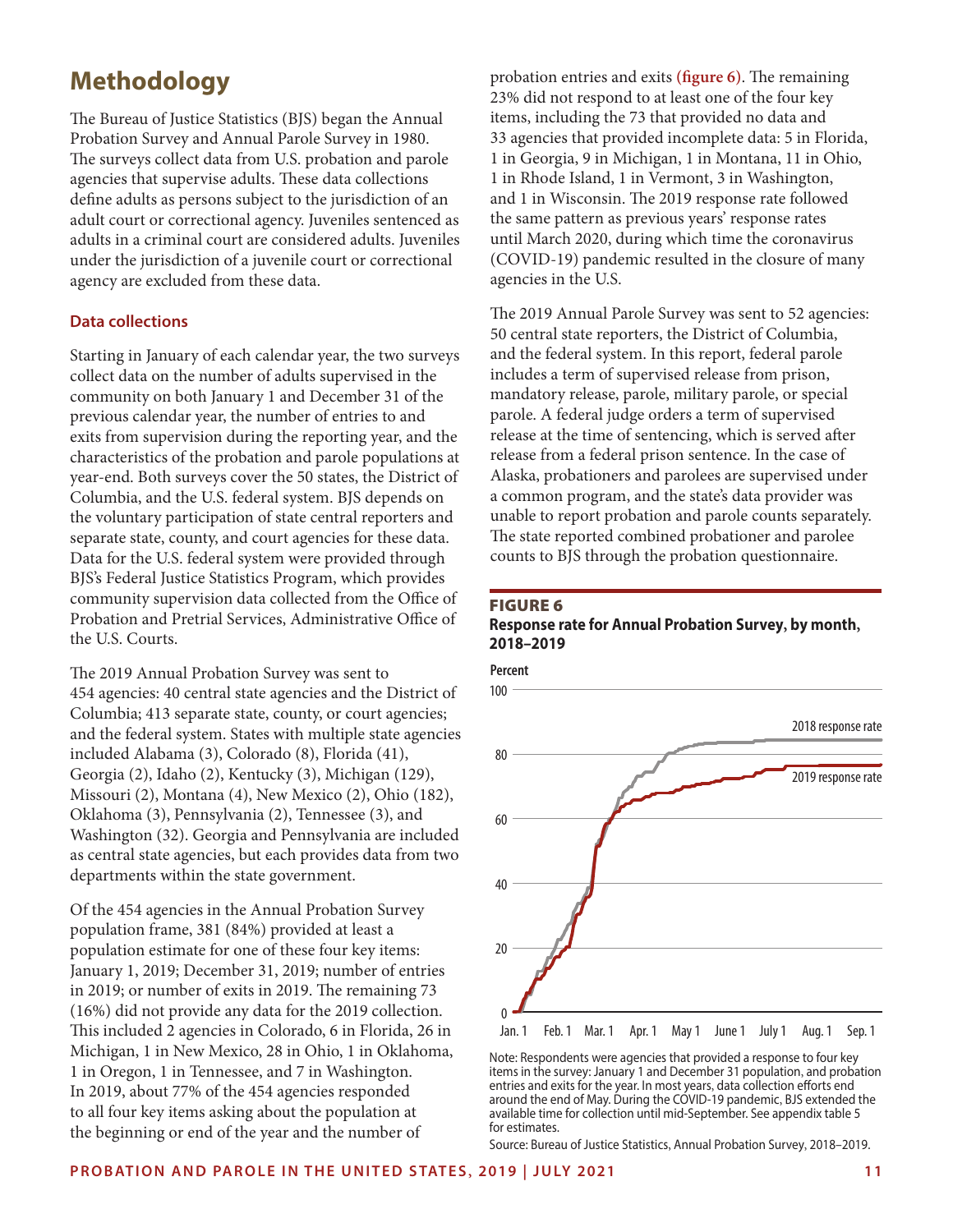### **Methodology**

The Bureau of Justice Statistics (BJS) began the Annual Probation Survey and Annual Parole Survey in 1980. The surveys collect data from U.S. probation and parole agencies that supervise adults. These data collections define adults as persons subject to the jurisdiction of an adult court or correctional agency. Juveniles sentenced as adults in a criminal court are considered adults. Juveniles under the jurisdiction of a juvenile court or correctional agency are excluded from these data.

#### **Data collections**

Starting in January of each calendar year, the two surveys collect data on the number of adults supervised in the community on both January 1 and December 31 of the previous calendar year, the number of entries to and exits from supervision during the reporting year, and the characteristics of the probation and parole populations at year-end. Both surveys cover the 50 states, the District of Columbia, and the U.S. federal system. BJS depends on the voluntary participation of state central reporters and separate state, county, and court agencies for these data. Data for the U.S. federal system were provided through BJS's Federal Justice Statistics Program, which provides community supervision data collected from the Office of Probation and Pretrial Services, Administrative Office of the U.S. Courts.

The 2019 Annual Probation Survey was sent to 454 agencies: 40 central state agencies and the District of Columbia; 413 separate state, county, or court agencies; and the federal system. States with multiple state agencies included Alabama (3), Colorado (8), Florida (41), Georgia (2), Idaho (2), Kentucky (3), Michigan (129), Missouri (2), Montana (4), New Mexico (2), Ohio (182), Oklahoma (3), Pennsylvania (2), Tennessee (3), and Washington (32). Georgia and Pennsylvania are included as central state agencies, but each provides data from two departments within the state government.

Of the 454 agencies in the Annual Probation Survey population frame, 381 (84%) provided at least a population estimate for one of these four key items: January 1, 2019; December 31, 2019; number of entries in 2019; or number of exits in 2019. The remaining 73 (16%) did not provide any data for the 2019 collection. This included 2 agencies in Colorado, 6 in Florida, 26 in Michigan, 1 in New Mexico, 28 in Ohio, 1 in Oklahoma, 1 in Oregon, 1 in Tennessee, and 7 in Washington. In 2019, about 77% of the 454 agencies responded to all four key items asking about the population at the beginning or end of the year and the number of

probation entries and exits **(figure 6)**. The remaining 23% did not respond to at least one of the four key items, including the 73 that provided no data and 33 agencies that provided incomplete data: 5 in Florida, 1 in Georgia, 9 in Michigan, 1 in Montana, 11 in Ohio, 1 in Rhode Island, 1 in Vermont, 3 in Washington, and 1 in Wisconsin. The 2019 response rate followed the same pattern as previous years' response rates until March 2020, during which time the coronavirus (COVID-19) pandemic resulted in the closure of many agencies in the U.S.

The 2019 Annual Parole Survey was sent to 52 agencies: 50 central state reporters, the District of Columbia, and the federal system. In this report, federal parole includes a term of supervised release from prison, mandatory release, parole, military parole, or special parole. A federal judge orders a term of supervised release at the time of sentencing, which is served after release from a federal prison sentence. In the case of Alaska, probationers and parolees are supervised under a common program, and the state's data provider was unable to report probation and parole counts separately. The state reported combined probationer and parolee counts to BJS through the probation questionnaire.

#### Figure 6 **Response rate for Annual Probation Survey, by month, 2018–2019**



Note: Respondents were agencies that provided a response to four key items in the survey: January 1 and December 31 population, and probation entries and exits for the year. In most years, data collection efforts end around the end of May. During the COVID-19 pandemic, BJS extended the available time for collection until mid-September. See appendix table 5 for estimates.

Source: Bureau of Justice Statistics, Annual Probation Survey, 2018–2019.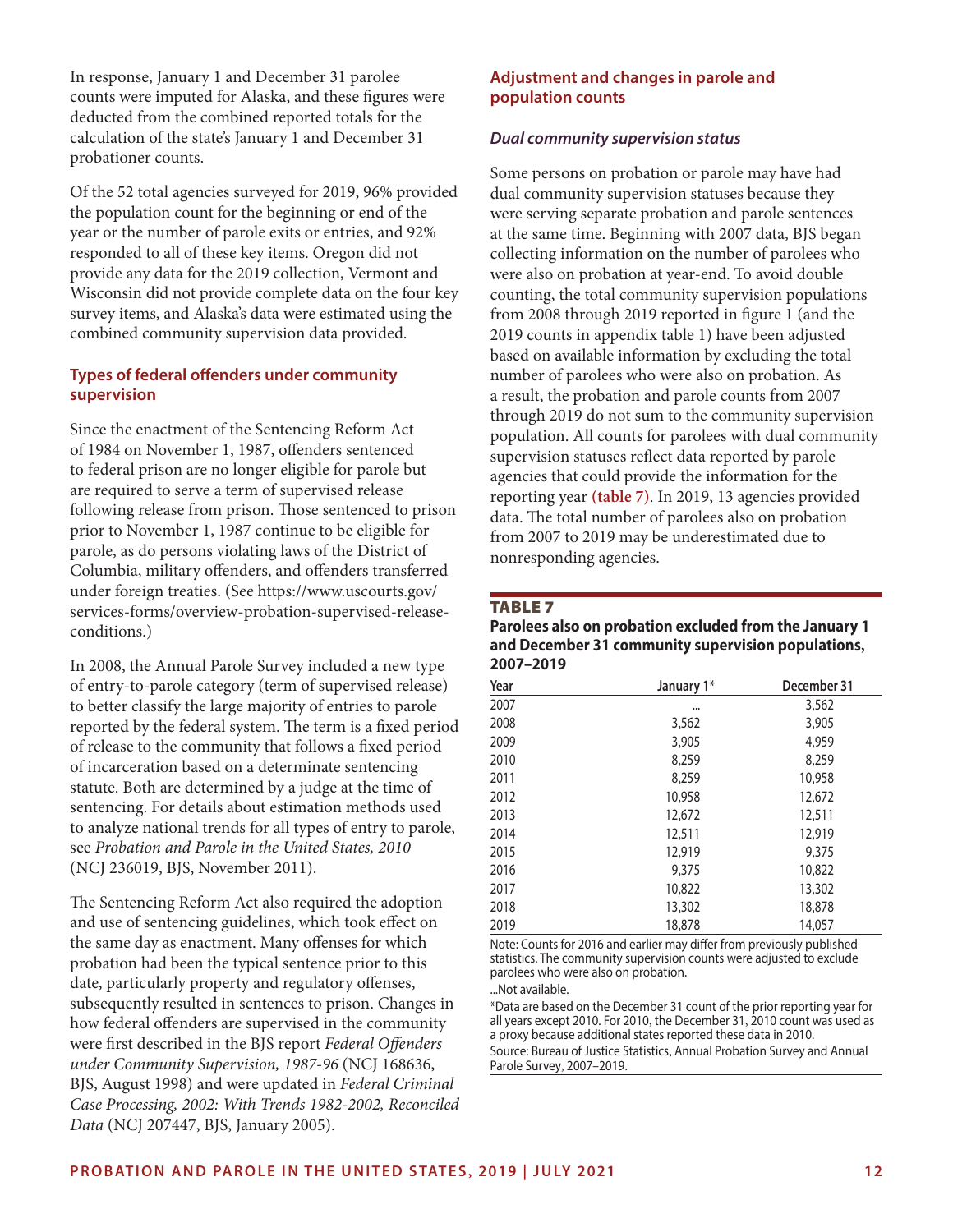In response, January 1 and December 31 parolee counts were imputed for Alaska, and these figures were deducted from the combined reported totals for the calculation of the state's January 1 and December 31 probationer counts.

Of the 52 total agencies surveyed for 2019, 96% provided the population count for the beginning or end of the year or the number of parole exits or entries, and 92% responded to all of these key items. Oregon did not provide any data for the 2019 collection, Vermont and Wisconsin did not provide complete data on the four key survey items, and Alaska's data were estimated using the combined community supervision data provided.

#### **Types of federal offenders under community supervision**

Since the enactment of the Sentencing Reform Act of 1984 on November 1, 1987, offenders sentenced to federal prison are no longer eligible for parole but are required to serve a term of supervised release following release from prison. Those sentenced to prison prior to November 1, 1987 continue to be eligible for parole, as do persons violating laws of the District of Columbia, military offenders, and offenders transferred under foreign treaties. (See [https://www.uscourts.gov/](https://www.uscourts.gov/services-forms/overview-probation-supervised-release-conditions) [services-forms/overview-probation-supervised-release](https://www.uscourts.gov/services-forms/overview-probation-supervised-release-conditions)[conditions.](https://www.uscourts.gov/services-forms/overview-probation-supervised-release-conditions))

In 2008, the Annual Parole Survey included a new type of entry-to-parole category (term of supervised release) to better classify the large majority of entries to parole reported by the federal system. The term is a fixed period of release to the community that follows a fixed period of incarceration based on a determinate sentencing statute. Both are determined by a judge at the time of sentencing. For details about estimation methods used to analyze national trends for all types of entry to parole, see *Probation and Parole in the United States, 2010* (NCJ 236019, BJS, November 2011).

The Sentencing Reform Act also required the adoption and use of sentencing guidelines, which took effect on the same day as enactment. Many offenses for which probation had been the typical sentence prior to this date, particularly property and regulatory offenses, subsequently resulted in sentences to prison. Changes in how federal offenders are supervised in the community were first described in the BJS report *Federal Offenders under Community Supervision, 1987-96* (NCJ 168636, BJS, August 1998) and were updated in *Federal Criminal Case Processing, 2002: With Trends 1982-2002, Reconciled Data* (NCJ 207447, BJS, January 2005).

#### **Adjustment and changes in parole and population counts**

#### *Dual community supervision status*

Some persons on probation or parole may have had dual community supervision statuses because they were serving separate probation and parole sentences at the same time. Beginning with 2007 data, BJS began collecting information on the number of parolees who were also on probation at year-end. To avoid double counting, the total community supervision populations from 2008 through 2019 reported in figure 1 (and the 2019 counts in appendix table 1) have been adjusted based on available information by excluding the total number of parolees who were also on probation. As a result, the probation and parole counts from 2007 through 2019 do not sum to the community supervision population. All counts for parolees with dual community supervision statuses reflect data reported by parole agencies that could provide the information for the reporting year **(table 7)**. In 2019, 13 agencies provided data. The total number of parolees also on probation from 2007 to 2019 may be underestimated due to nonresponding agencies.

#### **TABLE 7**

**Parolees also on probation excluded from the January 1 and December 31 community supervision populations, 2007–2019**

| Year | January 1* | December 31 |
|------|------------|-------------|
| 2007 |            | 3,562       |
| 2008 | 3,562      | 3,905       |
| 2009 | 3,905      | 4,959       |
| 2010 | 8,259      | 8,259       |
| 2011 | 8,259      | 10,958      |
| 2012 | 10,958     | 12,672      |
| 2013 | 12,672     | 12,511      |
| 2014 | 12,511     | 12,919      |
| 2015 | 12,919     | 9,375       |
| 2016 | 9,375      | 10,822      |
| 2017 | 10,822     | 13,302      |
| 2018 | 13,302     | 18,878      |
| 2019 | 18,878     | 14,057      |

Note: Counts for 2016 and earlier may differ from previously published statistics. The community supervision counts were adjusted to exclude parolees who were also on probation.

...Not available.

\*Data are based on the December 31 count of the prior reporting year for all years except 2010. For 2010, the December 31, 2010 count was used as a proxy because additional states reported these data in 2010. Source: Bureau of Justice Statistics, Annual Probation Survey and Annual Parole Survey, 2007–2019.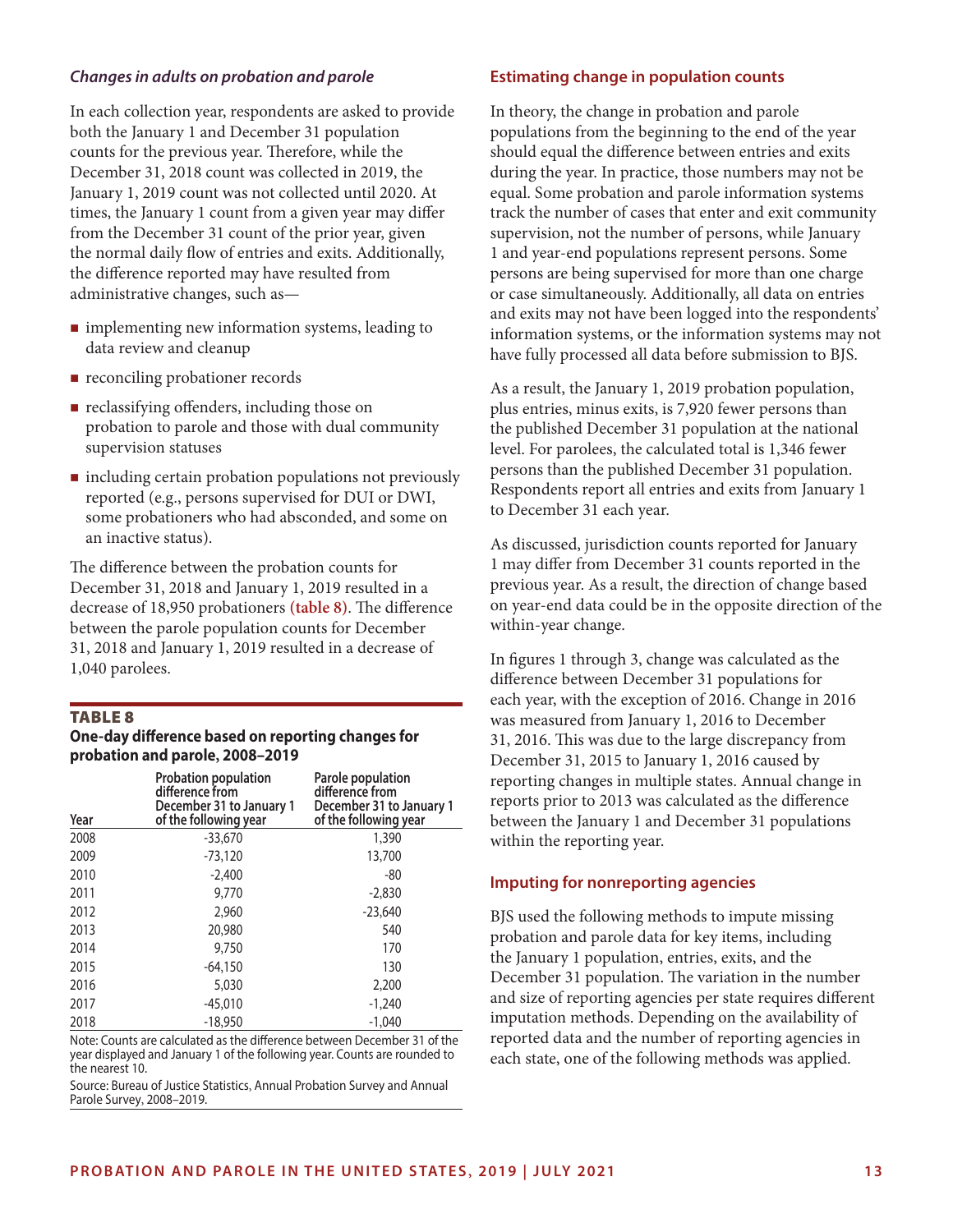#### *Changes in adults on probation and parole*

In each collection year, respondents are asked to provide both the January 1 and December 31 population counts for the previous year. Therefore, while the December 31, 2018 count was collected in 2019, the January 1, 2019 count was not collected until 2020. At times, the January 1 count from a given year may differ from the December 31 count of the prior year, given the normal daily flow of entries and exits. Additionally, the difference reported may have resulted from administrative changes, such as—

- **n** implementing new information systems, leading to data review and cleanup
- reconciling probationer records
- **reclassifying offenders, including those on** probation to parole and those with dual community supervision statuses
- $\blacksquare$  including certain probation populations not previously reported (e.g., persons supervised for DUI or DWI, some probationers who had absconded, and some on an inactive status).

The difference between the probation counts for December 31, 2018 and January 1, 2019 resulted in a decrease of 18,950 probationers **(table 8)**. The difference between the parole population counts for December 31, 2018 and January 1, 2019 resulted in a decrease of 1,040 parolees.

#### **TABLE 8**

#### **One-day difference based on reporting changes for probation and parole, 2008–2019**

| Year | <b>Probation population</b><br>difference from<br>December 31 to January 1<br>of the following year | Parole population<br>difference from<br>December 31 to January 1<br>of the following year |
|------|-----------------------------------------------------------------------------------------------------|-------------------------------------------------------------------------------------------|
| 2008 | $-33,670$                                                                                           | 1,390                                                                                     |
| 2009 | $-73,120$                                                                                           | 13,700                                                                                    |
| 2010 | $-2,400$                                                                                            | -80                                                                                       |
| 2011 | 9,770                                                                                               | $-2,830$                                                                                  |
| 2012 | 2,960                                                                                               | $-23,640$                                                                                 |
| 2013 | 20,980                                                                                              | 540                                                                                       |
| 2014 | 9,750                                                                                               | 170                                                                                       |
| 2015 | $-64,150$                                                                                           | 130                                                                                       |
| 2016 | 5,030                                                                                               | 2,200                                                                                     |
| 2017 | $-45,010$                                                                                           | $-1,240$                                                                                  |
| 2018 | $-18,950$                                                                                           | $-1,040$                                                                                  |

Note: Counts are calculated as the difference between December 31 of the year displayed and January 1 of the following year. Counts are rounded to the nearest 10.

Source: Bureau of Justice Statistics, Annual Probation Survey and Annual Parole Survey, 2008–2019.

#### **Estimating change in population counts**

In theory, the change in probation and parole populations from the beginning to the end of the year should equal the difference between entries and exits during the year. In practice, those numbers may not be equal. Some probation and parole information systems track the number of cases that enter and exit community supervision, not the number of persons, while January 1 and year-end populations represent persons. Some persons are being supervised for more than one charge or case simultaneously. Additionally, all data on entries and exits may not have been logged into the respondents' information systems, or the information systems may not have fully processed all data before submission to BJS.

As a result, the January 1, 2019 probation population, plus entries, minus exits, is 7,920 fewer persons than the published December 31 population at the national level. For parolees, the calculated total is 1,346 fewer persons than the published December 31 population. Respondents report all entries and exits from January 1 to December 31 each year.

As discussed, jurisdiction counts reported for January 1 may differ from December 31 counts reported in the previous year. As a result, the direction of change based on year-end data could be in the opposite direction of the within-year change.

In figures 1 through 3, change was calculated as the difference between December 31 populations for each year, with the exception of 2016. Change in 2016 was measured from January 1, 2016 to December 31, 2016. This was due to the large discrepancy from December 31, 2015 to January 1, 2016 caused by reporting changes in multiple states. Annual change in reports prior to 2013 was calculated as the difference between the January 1 and December 31 populations within the reporting year.

#### **Imputing for nonreporting agencies**

BJS used the following methods to impute missing probation and parole data for key items, including the January 1 population, entries, exits, and the December 31 population. The variation in the number and size of reporting agencies per state requires different imputation methods. Depending on the availability of reported data and the number of reporting agencies in each state, one of the following methods was applied.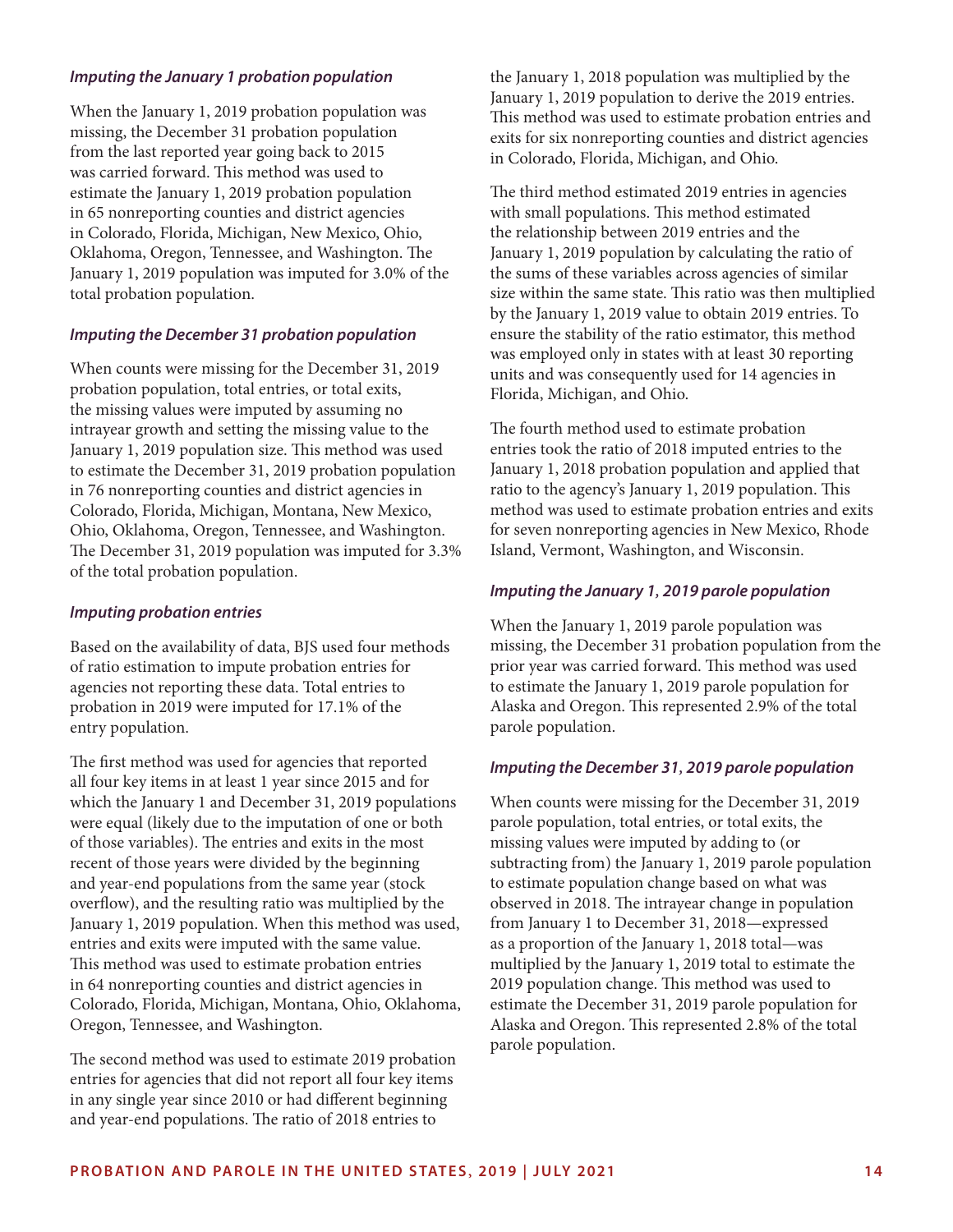#### *Imputing the January 1 probation population*

When the January 1, 2019 probation population was missing, the December 31 probation population from the last reported year going back to 2015 was carried forward. This method was used to estimate the January 1, 2019 probation population in 65 nonreporting counties and district agencies in Colorado, Florida, Michigan, New Mexico, Ohio, Oklahoma, Oregon, Tennessee, and Washington. The January 1, 2019 population was imputed for 3.0% of the total probation population.

#### *Imputing the December 31 probation population*

When counts were missing for the December 31, 2019 probation population, total entries, or total exits, the missing values were imputed by assuming no intrayear growth and setting the missing value to the January 1, 2019 population size. This method was used to estimate the December 31, 2019 probation population in 76 nonreporting counties and district agencies in Colorado, Florida, Michigan, Montana, New Mexico, Ohio, Oklahoma, Oregon, Tennessee, and Washington. The December 31, 2019 population was imputed for 3.3% of the total probation population.

#### *Imputing probation entries*

Based on the availability of data, BJS used four methods of ratio estimation to impute probation entries for agencies not reporting these data. Total entries to probation in 2019 were imputed for 17.1% of the entry population.

The first method was used for agencies that reported all four key items in at least 1 year since 2015 and for which the January 1 and December 31, 2019 populations were equal (likely due to the imputation of one or both of those variables). The entries and exits in the most recent of those years were divided by the beginning and year-end populations from the same year (stock overflow), and the resulting ratio was multiplied by the January 1, 2019 population. When this method was used, entries and exits were imputed with the same value. This method was used to estimate probation entries in 64 nonreporting counties and district agencies in Colorado, Florida, Michigan, Montana, Ohio, Oklahoma, Oregon, Tennessee, and Washington.

The second method was used to estimate 2019 probation entries for agencies that did not report all four key items in any single year since 2010 or had different beginning and year-end populations. The ratio of 2018 entries to

the January 1, 2018 population was multiplied by the January 1, 2019 population to derive the 2019 entries. This method was used to estimate probation entries and exits for six nonreporting counties and district agencies in Colorado, Florida, Michigan, and Ohio.

The third method estimated 2019 entries in agencies with small populations. This method estimated the relationship between 2019 entries and the January 1, 2019 population by calculating the ratio of the sums of these variables across agencies of similar size within the same state. This ratio was then multiplied by the January 1, 2019 value to obtain 2019 entries. To ensure the stability of the ratio estimator, this method was employed only in states with at least 30 reporting units and was consequently used for 14 agencies in Florida, Michigan, and Ohio.

The fourth method used to estimate probation entries took the ratio of 2018 imputed entries to the January 1, 2018 probation population and applied that ratio to the agency's January 1, 2019 population. This method was used to estimate probation entries and exits for seven nonreporting agencies in New Mexico, Rhode Island, Vermont, Washington, and Wisconsin.

#### *Imputing the January 1, 2019 parole population*

When the January 1, 2019 parole population was missing, the December 31 probation population from the prior year was carried forward. This method was used to estimate the January 1, 2019 parole population for Alaska and Oregon. This represented 2.9% of the total parole population.

#### *Imputing the December 31, 2019 parole population*

When counts were missing for the December 31, 2019 parole population, total entries, or total exits, the missing values were imputed by adding to (or subtracting from) the January 1, 2019 parole population to estimate population change based on what was observed in 2018. The intrayear change in population from January 1 to December 31, 2018—expressed as a proportion of the January 1, 2018 total—was multiplied by the January 1, 2019 total to estimate the 2019 population change. This method was used to estimate the December 31, 2019 parole population for Alaska and Oregon. This represented 2.8% of the total parole population.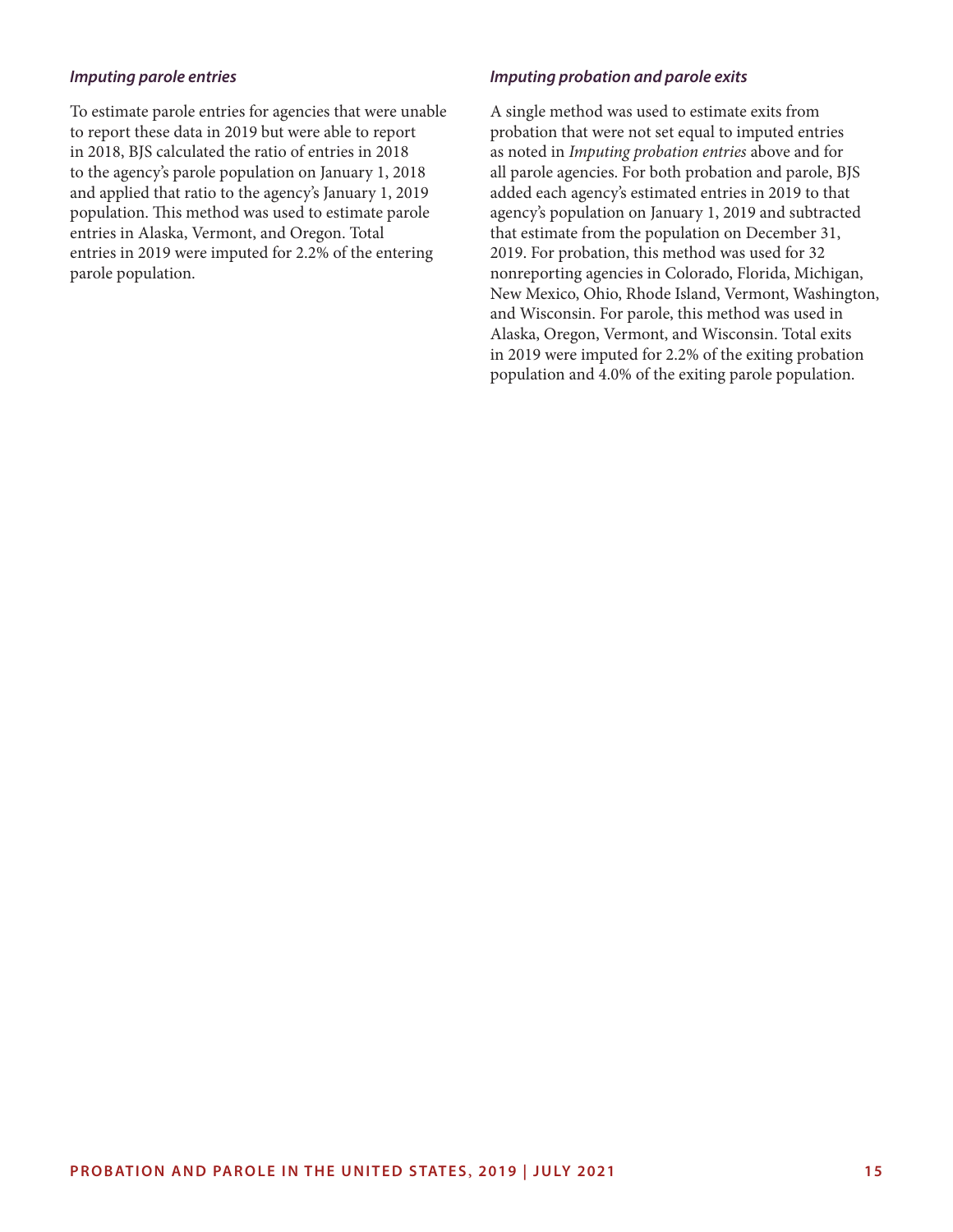#### *Imputing parole entries*

To estimate parole entries for agencies that were unable to report these data in 2019 but were able to report in 2018, BJS calculated the ratio of entries in 2018 to the agency's parole population on January 1, 2018 and applied that ratio to the agency's January 1, 2019 population. This method was used to estimate parole entries in Alaska, Vermont, and Oregon. Total entries in 2019 were imputed for 2.2% of the entering parole population.

#### *Imputing probation and parole exits*

A single method was used to estimate exits from probation that were not set equal to imputed entries as noted in *Imputing probation entries* above and for all parole agencies. For both probation and parole, BJS added each agency's estimated entries in 2019 to that agency's population on January 1, 2019 and subtracted that estimate from the population on December 31, 2019. For probation, this method was used for 32 nonreporting agencies in Colorado, Florida, Michigan, New Mexico, Ohio, Rhode Island, Vermont, Washington, and Wisconsin. For parole, this method was used in Alaska, Oregon, Vermont, and Wisconsin. Total exits in 2019 were imputed for 2.2% of the exiting probation population and 4.0% of the exiting parole population.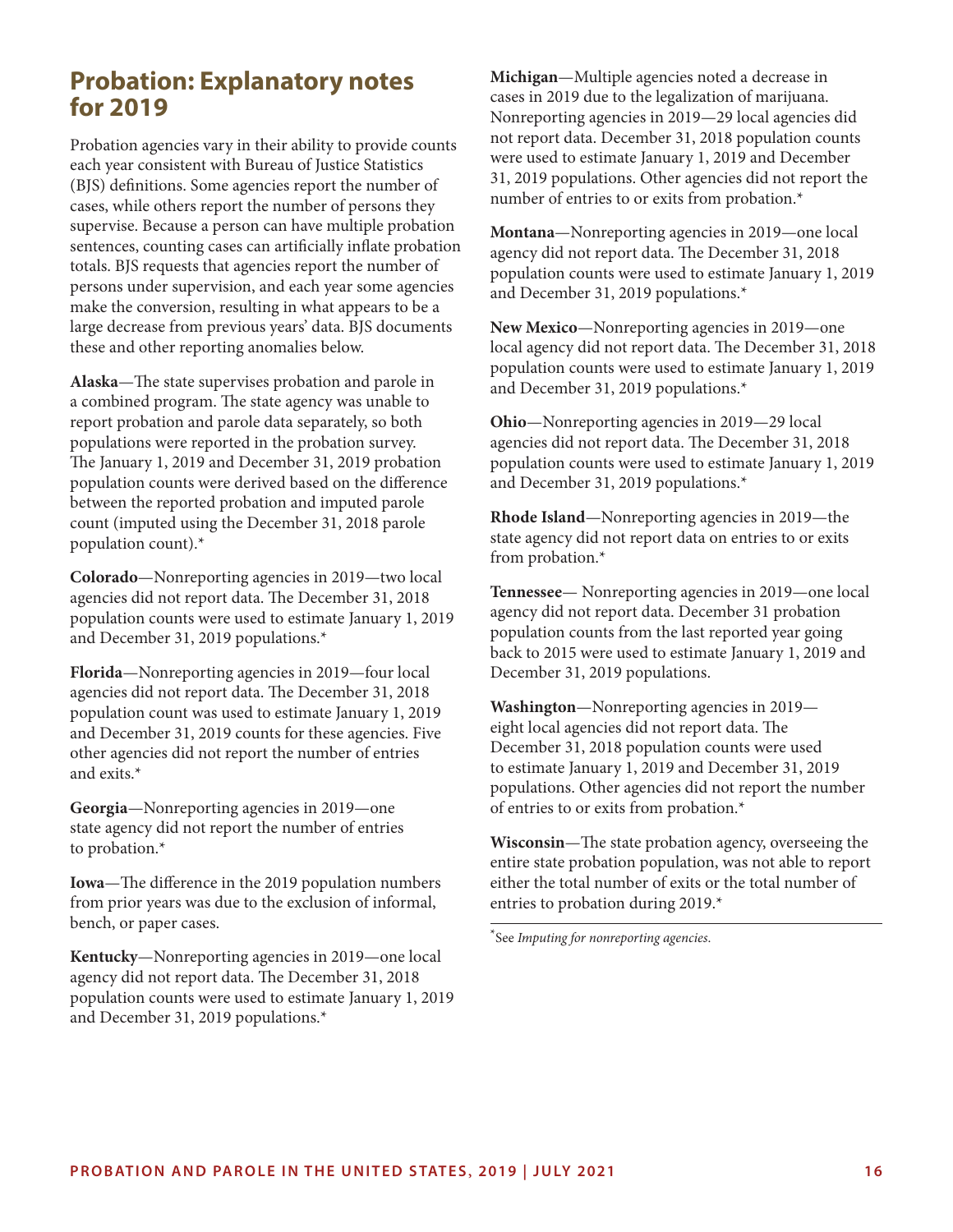### **Probation: Explanatory notes for 2019**

Probation agencies vary in their ability to provide counts each year consistent with Bureau of Justice Statistics (BJS) definitions. Some agencies report the number of cases, while others report the number of persons they supervise. Because a person can have multiple probation sentences, counting cases can artificially inflate probation totals. BJS requests that agencies report the number of persons under supervision, and each year some agencies make the conversion, resulting in what appears to be a large decrease from previous years' data. BJS documents these and other reporting anomalies below.

**Alaska**—The state supervises probation and parole in a combined program. The state agency was unable to report probation and parole data separately, so both populations were reported in the probation survey. The January 1, 2019 and December 31, 2019 probation population counts were derived based on the difference between the reported probation and imputed parole count (imputed using the December 31, 2018 parole population count).\*

**Colorado**—Nonreporting agencies in 2019—two local agencies did not report data. The December 31, 2018 population counts were used to estimate January 1, 2019 and December 31, 2019 populations.\*

**Florida**—Nonreporting agencies in 2019—four local agencies did not report data. The December 31, 2018 population count was used to estimate January 1, 2019 and December 31, 2019 counts for these agencies. Five other agencies did not report the number of entries and exits.\*

**Georgia**—Nonreporting agencies in 2019—one state agency did not report the number of entries to probation.\*

**Iowa**—The difference in the 2019 population numbers from prior years was due to the exclusion of informal, bench, or paper cases.

**Kentucky**—Nonreporting agencies in 2019—one local agency did not report data. The December 31, 2018 population counts were used to estimate January 1, 2019 and December 31, 2019 populations.\*

**Michigan**—Multiple agencies noted a decrease in cases in 2019 due to the legalization of marijuana. Nonreporting agencies in 2019—29 local agencies did not report data. December 31, 2018 population counts were used to estimate January 1, 2019 and December 31, 2019 populations. Other agencies did not report the number of entries to or exits from probation.\*

**Montana**—Nonreporting agencies in 2019—one local agency did not report data. The December 31, 2018 population counts were used to estimate January 1, 2019 and December 31, 2019 populations.\*

**New Mexico**—Nonreporting agencies in 2019—one local agency did not report data. The December 31, 2018 population counts were used to estimate January 1, 2019 and December 31, 2019 populations.\*

**Ohio**—Nonreporting agencies in 2019—29 local agencies did not report data. The December 31, 2018 population counts were used to estimate January 1, 2019 and December 31, 2019 populations.\*

**Rhode Island**—Nonreporting agencies in 2019—the state agency did not report data on entries to or exits from probation.\*

**Tennessee**— Nonreporting agencies in 2019—one local agency did not report data. December 31 probation population counts from the last reported year going back to 2015 were used to estimate January 1, 2019 and December 31, 2019 populations.

**Washington**—Nonreporting agencies in 2019 eight local agencies did not report data. The December 31, 2018 population counts were used to estimate January 1, 2019 and December 31, 2019 populations. Other agencies did not report the number of entries to or exits from probation.\*

**Wisconsin**—The state probation agency, overseeing the entire state probation population, was not able to report either the total number of exits or the total number of entries to probation during 2019.\*

\*See *Imputing for nonreporting agencies*.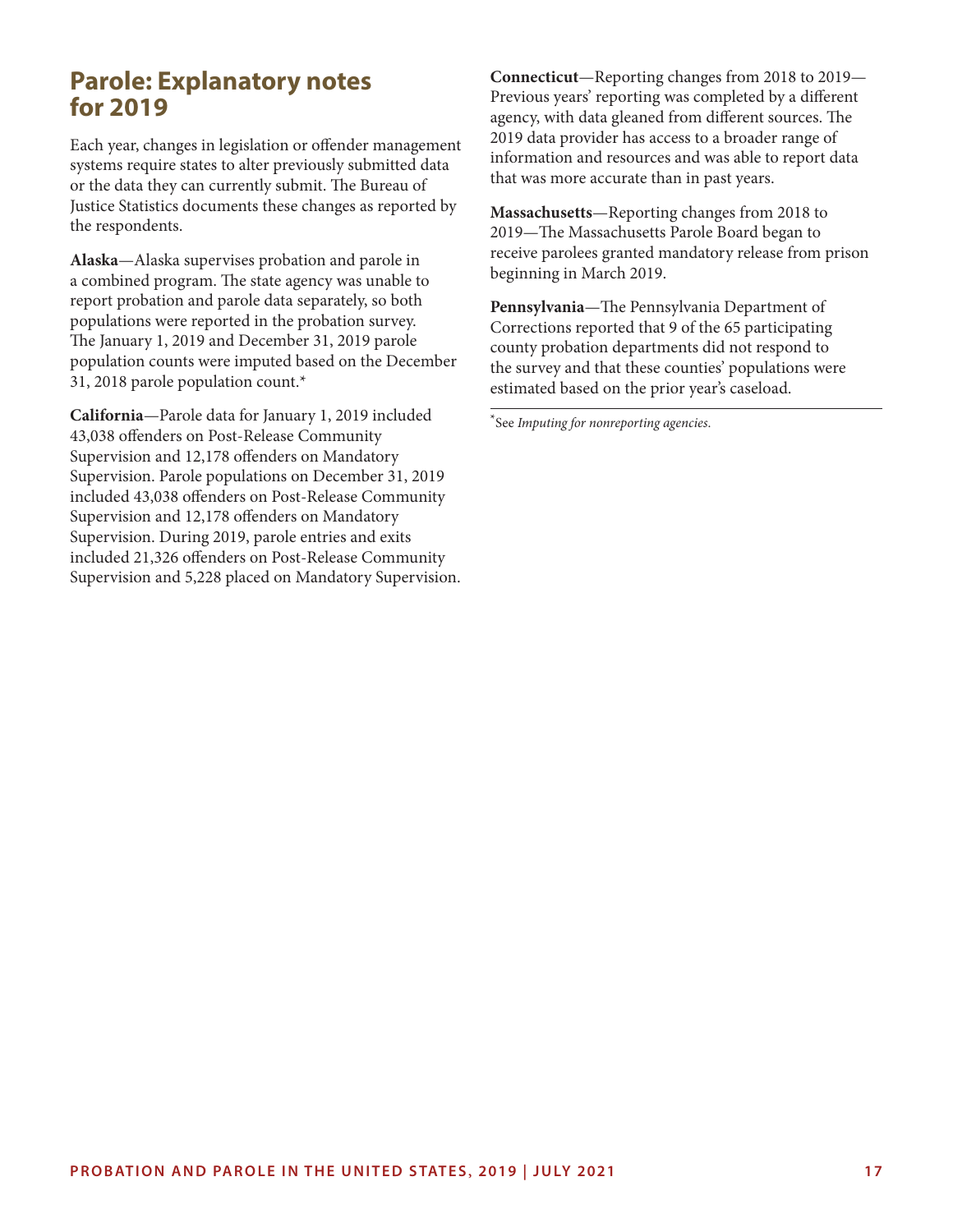### **Parole: Explanatory notes for 2019**

Each year, changes in legislation or offender management systems require states to alter previously submitted data or the data they can currently submit. The Bureau of Justice Statistics documents these changes as reported by the respondents.

**Alaska**—Alaska supervises probation and parole in a combined program. The state agency was unable to report probation and parole data separately, so both populations were reported in the probation survey. The January 1, 2019 and December 31, 2019 parole population counts were imputed based on the December 31, 2018 parole population count.\*

**California**—Parole data for January 1, 2019 included 43,038 offenders on Post-Release Community Supervision and 12,178 offenders on Mandatory Supervision. Parole populations on December 31, 2019 included 43,038 offenders on Post-Release Community Supervision and 12,178 offenders on Mandatory Supervision. During 2019, parole entries and exits included 21,326 offenders on Post-Release Community Supervision and 5,228 placed on Mandatory Supervision. **Connecticut**—Reporting changes from 2018 to 2019— Previous years' reporting was completed by a different agency, with data gleaned from different sources. The 2019 data provider has access to a broader range of information and resources and was able to report data that was more accurate than in past years.

**Massachusetts**—Reporting changes from 2018 to 2019—The Massachusetts Parole Board began to receive parolees granted mandatory release from prison beginning in March 2019.

**Pennsylvania**—The Pennsylvania Department of Corrections reported that 9 of the 65 participating county probation departments did not respond to the survey and that these counties' populations were estimated based on the prior year's caseload.

\*See *Imputing for nonreporting agencies*.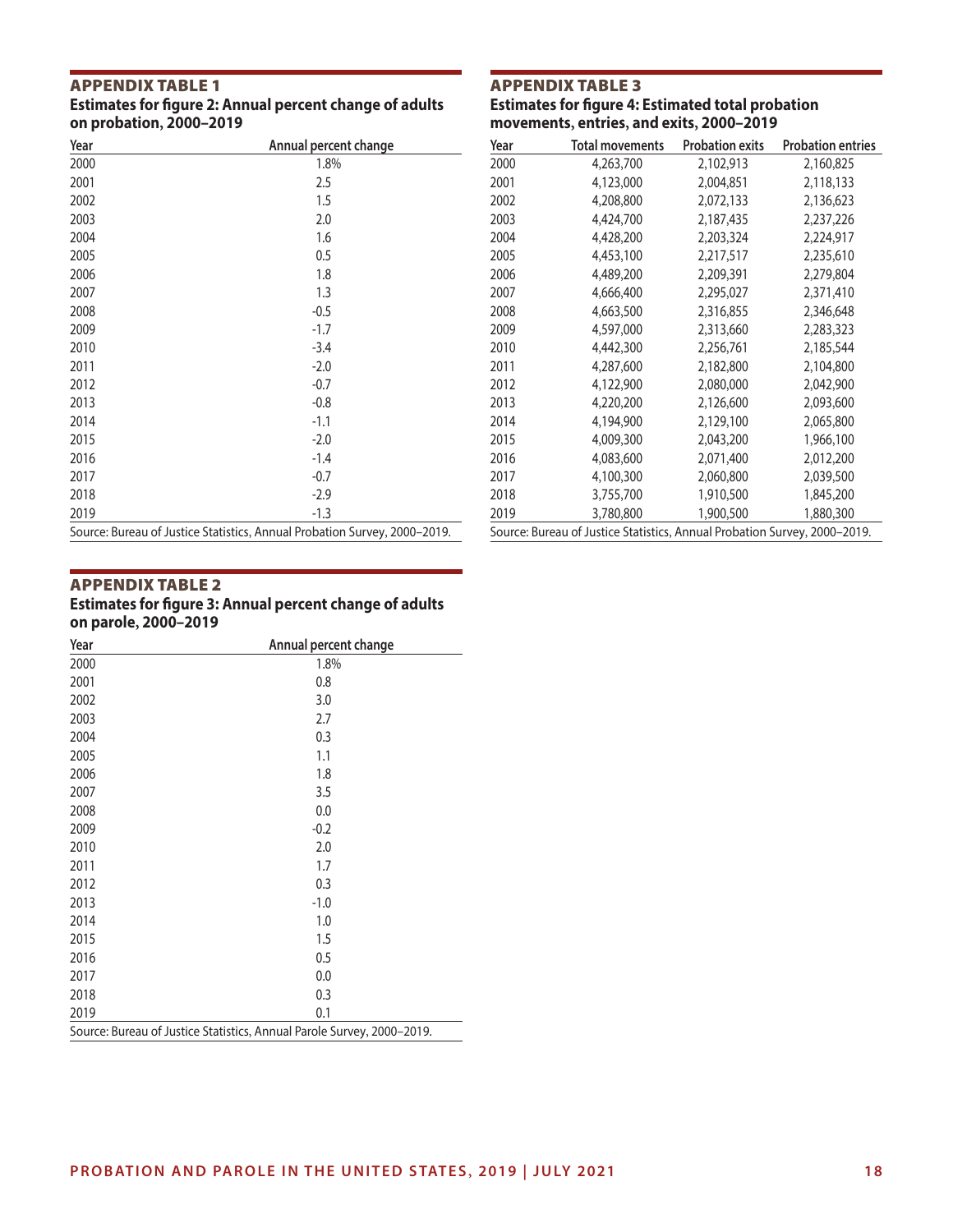### **APPENDIX TABLE 1**<br>Estimates for figure 2: Annual percent change of adults on probation, 2000-2019

### **APPENDIX TABLE 3**<br>Estimates for figure 4: Estimated total probation movements, entries, and exits, 2000–2019

| Year | Annual percent change                                                     |
|------|---------------------------------------------------------------------------|
| 2000 | 1.8%                                                                      |
| 2001 | 2.5                                                                       |
| 2002 | 1.5                                                                       |
| 2003 | 2.0                                                                       |
| 2004 | 1.6                                                                       |
| 2005 | 0.5                                                                       |
| 2006 | 1.8                                                                       |
| 2007 | 1.3                                                                       |
| 2008 | $-0.5$                                                                    |
| 2009 | $-1.7$                                                                    |
| 2010 | $-3.4$                                                                    |
| 2011 | $-2.0$                                                                    |
| 2012 | $-0.7$                                                                    |
| 2013 | $-0.8$                                                                    |
| 2014 | $-1.1$                                                                    |
| 2015 | $-2.0$                                                                    |
| 2016 | $-1.4$                                                                    |
| 2017 | $-0.7$                                                                    |
| 2018 | $-2.9$                                                                    |
| 2019 | $-1.3$                                                                    |
|      | Source: Bureau of Justice Statistics, Annual Probation Survey, 2000-2019. |

| Year                                                                      | Total movements | <b>Probation exits</b> | <b>Probation entries</b> |  |  |
|---------------------------------------------------------------------------|-----------------|------------------------|--------------------------|--|--|
| 2000                                                                      | 4,263,700       | 2,102,913              | 2,160,825                |  |  |
| 2001                                                                      | 4,123,000       | 2,004,851              | 2,118,133                |  |  |
| 2002                                                                      | 4,208,800       | 2,072,133              | 2,136,623                |  |  |
| 2003                                                                      | 4,424,700       | 2,187,435              | 2,237,226                |  |  |
| 2004                                                                      | 4,428,200       | 2,203,324              | 2,224,917                |  |  |
| 2005                                                                      | 4,453,100       | 2,217,517              | 2,235,610                |  |  |
| 2006                                                                      | 4,489,200       | 2,209,391              | 2,279,804                |  |  |
| 2007                                                                      | 4,666,400       | 2,295,027              | 2,371,410                |  |  |
| 2008                                                                      | 4,663,500       | 2,316,855              | 2,346,648                |  |  |
| 2009                                                                      | 4,597,000       | 2,313,660              | 2,283,323                |  |  |
| 2010                                                                      | 4,442,300       | 2,256,761              | 2,185,544                |  |  |
| 2011                                                                      | 4,287,600       | 2,182,800              | 2,104,800                |  |  |
| 2012                                                                      | 4,122,900       | 2,080,000              | 2,042,900                |  |  |
| 2013                                                                      | 4,220,200       | 2,126,600              | 2,093,600                |  |  |
| 2014                                                                      | 4,194,900       | 2,129,100              | 2,065,800                |  |  |
| 2015                                                                      | 4,009,300       | 2,043,200              | 1,966,100                |  |  |
| 2016                                                                      | 4,083,600       | 2,071,400              | 2,012,200                |  |  |
| 2017                                                                      | 4,100,300       | 2,060,800              | 2,039,500                |  |  |
| 2018                                                                      | 3,755,700       | 1,910,500              | 1,845,200                |  |  |
| 2019                                                                      | 3,780,800       | 1,900,500              | 1,880,300                |  |  |
| Source: Bureau of Justice Statistics, Annual Probation Survey, 2000-2019. |                 |                        |                          |  |  |

### **APPENDIX TABLE 2**<br>Estimates for figure 3: Annual percent change of adults on parole, 2000-2019

| Year                                                                   | Annual percent change |  |  |  |
|------------------------------------------------------------------------|-----------------------|--|--|--|
| 2000                                                                   | 1.8%                  |  |  |  |
| 2001                                                                   | 0.8                   |  |  |  |
| 2002                                                                   | 3.0                   |  |  |  |
| 2003                                                                   | 2.7                   |  |  |  |
| 2004                                                                   | 0.3                   |  |  |  |
| 2005                                                                   | 1.1                   |  |  |  |
| 2006                                                                   | 1.8                   |  |  |  |
| 2007                                                                   | 3.5                   |  |  |  |
| 2008                                                                   | 0.0                   |  |  |  |
| 2009                                                                   | $-0.2$                |  |  |  |
| 2010                                                                   | 2.0                   |  |  |  |
| 2011                                                                   | 1.7                   |  |  |  |
| 2012                                                                   | 0.3                   |  |  |  |
| 2013                                                                   | $-1.0$                |  |  |  |
| 2014                                                                   | 1.0                   |  |  |  |
| 2015                                                                   | 1.5                   |  |  |  |
| 2016                                                                   | 0.5                   |  |  |  |
| 2017                                                                   | 0.0                   |  |  |  |
| 2018                                                                   | 0.3                   |  |  |  |
| 2019                                                                   | 0.1                   |  |  |  |
| Source: Bureau of Justice Statistics, Annual Parole Survey, 2000-2019. |                       |  |  |  |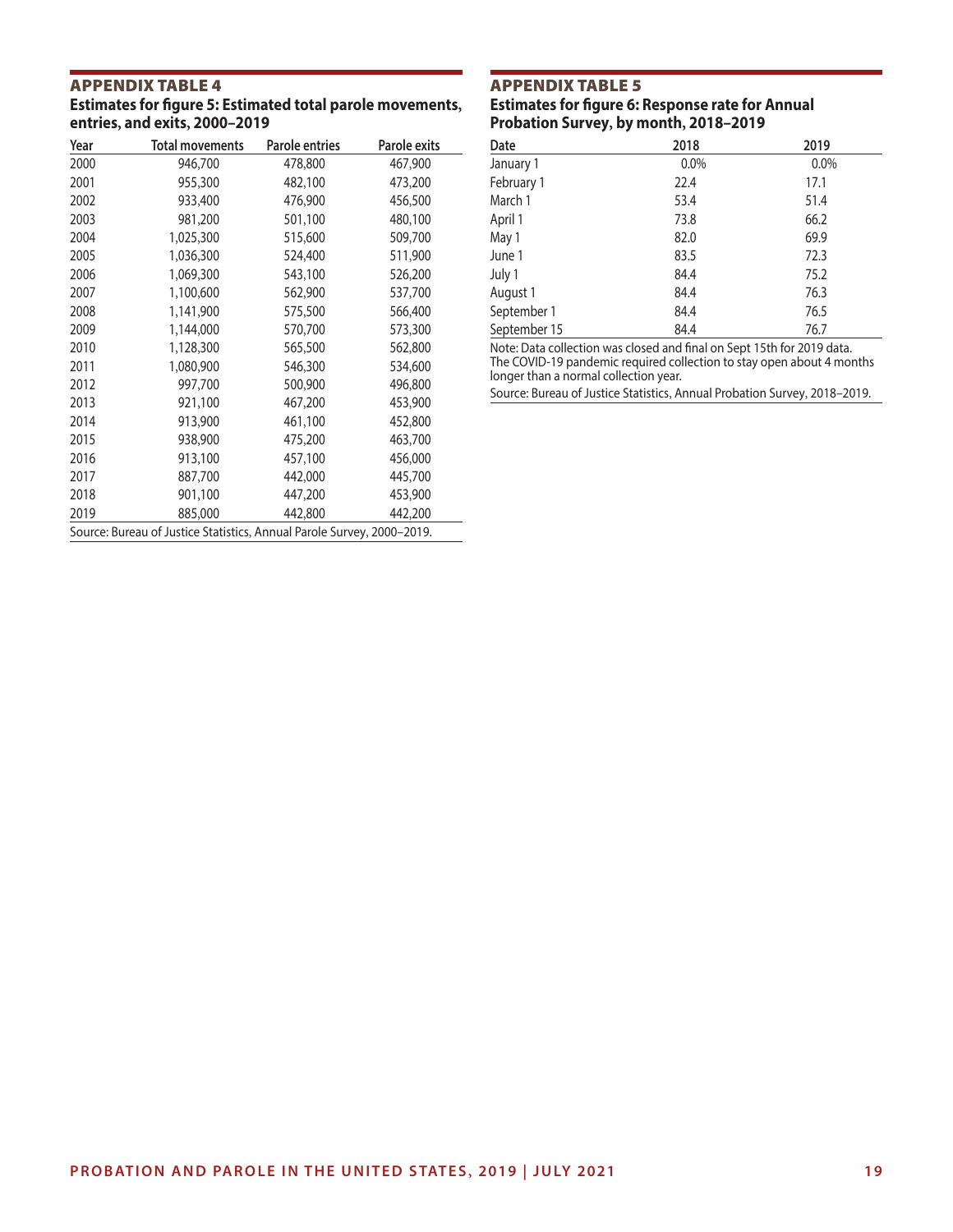### **APPENDIX TABLE 4**<br>Estimates for figure 5: Estimated total parole movements, entries, and exits, 2000-2019

| Year                                                                   | <b>Total movements</b> | <b>Parole entries</b> | Parole exits |  |  |  |
|------------------------------------------------------------------------|------------------------|-----------------------|--------------|--|--|--|
| 2000                                                                   | 946,700                | 478,800               | 467,900      |  |  |  |
| 2001                                                                   | 955,300                | 482,100               | 473,200      |  |  |  |
| 2002                                                                   | 933,400                | 476,900               | 456,500      |  |  |  |
| 2003                                                                   | 981,200                | 501,100               | 480,100      |  |  |  |
| 2004                                                                   | 1,025,300              | 515,600               | 509,700      |  |  |  |
| 2005                                                                   | 1,036,300              | 524,400               | 511,900      |  |  |  |
| 2006                                                                   | 1,069,300              | 543,100               | 526,200      |  |  |  |
| 2007                                                                   | 1,100,600              | 562,900               | 537,700      |  |  |  |
| 2008                                                                   | 1,141,900              | 575,500               | 566,400      |  |  |  |
| 2009                                                                   | 1,144,000              | 570,700               | 573,300      |  |  |  |
| 2010                                                                   | 1,128,300              | 565,500               | 562,800      |  |  |  |
| 2011                                                                   | 1,080,900              | 546,300               | 534,600      |  |  |  |
| 2012                                                                   | 997,700                | 500,900               | 496,800      |  |  |  |
| 2013                                                                   | 921,100                | 467,200               | 453,900      |  |  |  |
| 2014                                                                   | 913,900                | 461,100               | 452,800      |  |  |  |
| 2015                                                                   | 938,900                | 475,200               | 463,700      |  |  |  |
| 2016                                                                   | 913,100                | 457,100               | 456,000      |  |  |  |
| 2017                                                                   | 887,700                | 442,000               | 445,700      |  |  |  |
| 2018                                                                   | 901,100                | 447,200               | 453,900      |  |  |  |
| 2019                                                                   | 885,000                | 442,800               | 442,200      |  |  |  |
| Source: Bureau of Justice Statistics, Annual Parole Survey, 2000-2019. |                        |                       |              |  |  |  |

### **APPENDIX TABLE 5**<br>Estimates for figure 6: Response rate for Annual Probation Survey, by month, 2018-2019

| Date         | 2018    | 2019    |
|--------------|---------|---------|
| January 1    | $0.0\%$ | $0.0\%$ |
| February 1   | 22.4    | 17.1    |
| March 1      | 53.4    | 51.4    |
| April 1      | 73.8    | 66.2    |
| May 1        | 82.0    | 69.9    |
| June 1       | 83.5    | 72.3    |
| July 1       | 84.4    | 75.2    |
| August 1     | 84.4    | 76.3    |
| September 1  | 84.4    | 76.5    |
| September 15 | 84.4    | 76.7    |

Note: Data collection was closed and final on Sept 15th for 2019 data. The COVID-19 pandemic required collection to stay open about 4 months longer than a normal collection year.

Source: Bureau of Justice Statistics, Annual Probation Survey, 2018–2019.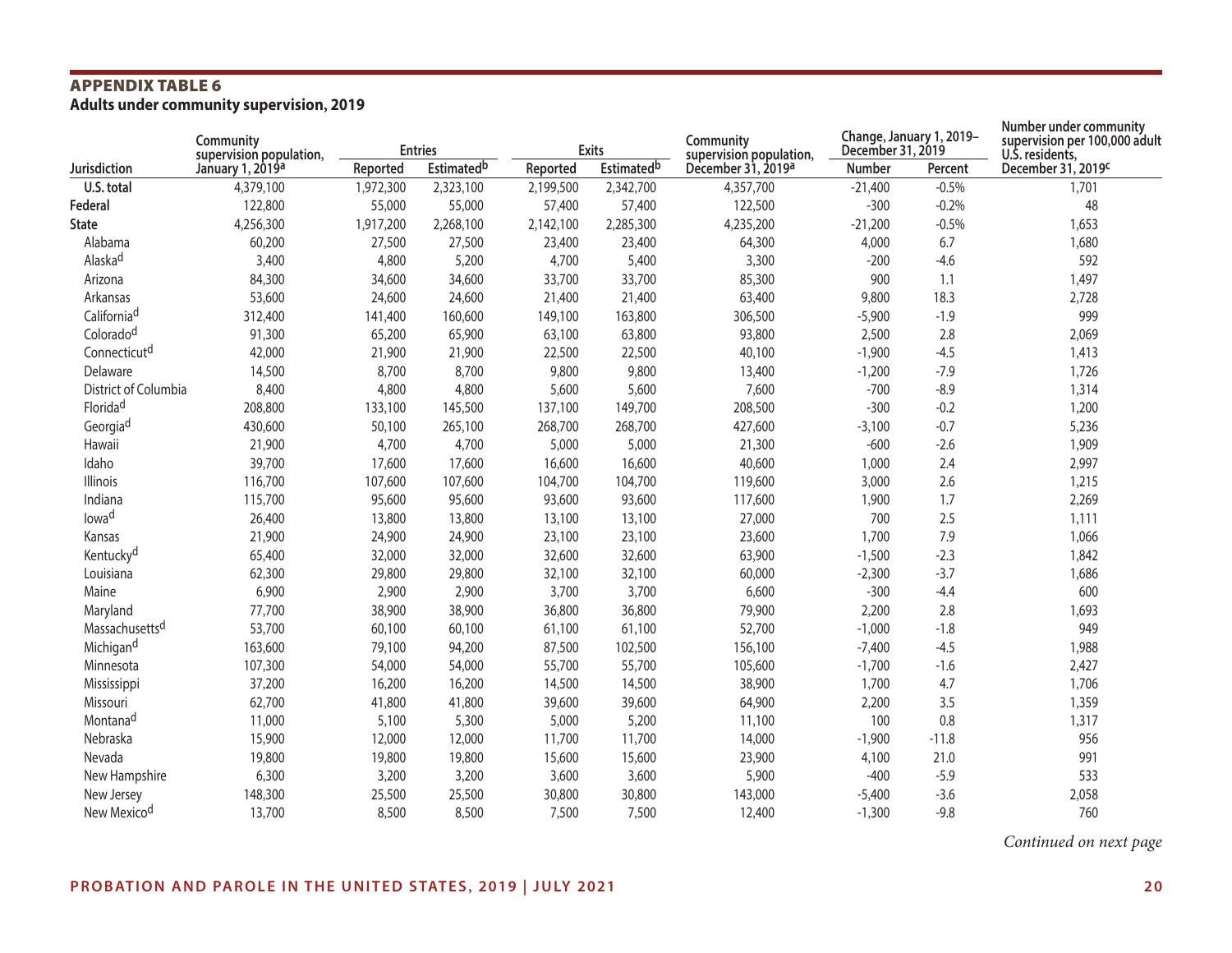## **APPENDIX TABLE 6**<br>Adults under community supervision, 2019

|                            | Community<br>supervision population, | <b>Entries</b> |                    |           | <b>Exits</b>       | Community<br>supervision population, | Change, January 1, 2019-<br>December 31, 2019 |         | Number under community<br>supervision per 100,000 adult<br>U.S. residents, |  |
|----------------------------|--------------------------------------|----------------|--------------------|-----------|--------------------|--------------------------------------|-----------------------------------------------|---------|----------------------------------------------------------------------------|--|
| Jurisdiction               | January 1, 2019a                     | Reported       | <b>Estimated</b> b | Reported  | <b>Estimated</b> b | December 31, 2019a                   | Number                                        | Percent | December 31, 2019C                                                         |  |
| U.S. total                 | 4,379,100                            | 1,972,300      | 2,323,100          | 2,199,500 | 2,342,700          | 4,357,700                            | $-21,400$                                     | $-0.5%$ | 1,701                                                                      |  |
| Federal                    | 122,800                              | 55,000         | 55,000             | 57,400    | 57,400             | 122,500                              | $-300$                                        | $-0.2%$ | 48                                                                         |  |
| <b>State</b>               | 4,256,300                            | 1,917,200      | 2,268,100          | 2,142,100 | 2,285,300          | 4,235,200                            | $-21,200$                                     | $-0.5%$ | 1,653                                                                      |  |
| Alabama                    | 60,200                               | 27,500         | 27,500             | 23,400    | 23,400             | 64,300                               | 4,000                                         | 6.7     | 1,680                                                                      |  |
| Alaska <sup>d</sup>        | 3,400                                | 4,800          | 5,200              | 4,700     | 5,400              | 3,300                                | $-200$                                        | $-4.6$  | 592                                                                        |  |
| Arizona                    | 84,300                               | 34,600         | 34,600             | 33,700    | 33,700             | 85,300                               | 900                                           | 1.1     | 1,497                                                                      |  |
| Arkansas                   | 53,600                               | 24,600         | 24,600             | 21,400    | 21,400             | 63,400                               | 9,800                                         | 18.3    | 2,728                                                                      |  |
| California <sup>d</sup>    | 312,400                              | 141,400        | 160,600            | 149,100   | 163,800            | 306,500                              | $-5,900$                                      | $-1.9$  | 999                                                                        |  |
| Coloradod                  | 91,300                               | 65,200         | 65,900             | 63,100    | 63,800             | 93,800                               | 2,500                                         | 2.8     | 2,069                                                                      |  |
| Connecticutd               | 42,000                               | 21,900         | 21,900             | 22,500    | 22,500             | 40,100                               | $-1,900$                                      | $-4.5$  | 1,413                                                                      |  |
| Delaware                   | 14,500                               | 8,700          | 8,700              | 9,800     | 9,800              | 13,400                               | $-1,200$                                      | $-7.9$  | 1,726                                                                      |  |
| District of Columbia       | 8,400                                | 4,800          | 4,800              | 5,600     | 5,600              | 7,600                                | $-700$                                        | $-8.9$  | 1,314                                                                      |  |
| Floridad                   | 208,800                              | 133,100        | 145,500            | 137,100   | 149,700            | 208,500                              | $-300$                                        | $-0.2$  | 1,200                                                                      |  |
| Georgia <sup>d</sup>       | 430,600                              | 50,100         | 265,100            | 268,700   | 268,700            | 427,600                              | $-3,100$                                      | $-0.7$  | 5,236                                                                      |  |
| Hawaii                     | 21,900                               | 4,700          | 4,700              | 5,000     | 5,000              | 21,300                               | $-600$                                        | $-2.6$  | 1,909                                                                      |  |
| Idaho                      | 39,700                               | 17,600         | 17,600             | 16,600    | 16,600             | 40,600                               | 1,000                                         | 2.4     | 2,997                                                                      |  |
| Illinois                   | 116,700                              | 107,600        | 107,600            | 104,700   | 104,700            | 119,600                              | 3,000                                         | 2.6     | 1,215                                                                      |  |
| Indiana                    | 115,700                              | 95,600         | 95,600             | 93,600    | 93,600             | 117,600                              | 1,900                                         | 1.7     | 2,269                                                                      |  |
| lowad                      | 26,400                               | 13,800         | 13,800             | 13,100    | 13,100             | 27,000                               | 700                                           | 2.5     | 1,111                                                                      |  |
| Kansas                     | 21,900                               | 24,900         | 24,900             | 23,100    | 23,100             | 23,600                               | 1,700                                         | 7.9     | 1,066                                                                      |  |
| Kentucky <sup>d</sup>      | 65,400                               | 32,000         | 32,000             | 32,600    | 32,600             | 63,900                               | $-1,500$                                      | $-2.3$  | 1,842                                                                      |  |
| Louisiana                  | 62,300                               | 29,800         | 29,800             | 32,100    | 32,100             | 60,000                               | $-2,300$                                      | $-3.7$  | 1,686                                                                      |  |
| Maine                      | 6,900                                | 2,900          | 2,900              | 3,700     | 3,700              | 6,600                                | $-300$                                        | $-4.4$  | 600                                                                        |  |
| Maryland                   | 77,700                               | 38,900         | 38,900             | 36,800    | 36,800             | 79,900                               | 2,200                                         | 2.8     | 1,693                                                                      |  |
| Massachusetts <sup>d</sup> | 53,700                               | 60,100         | 60,100             | 61,100    | 61,100             | 52,700                               | $-1,000$                                      | $-1.8$  | 949                                                                        |  |
| Michigan <sup>d</sup>      | 163,600                              | 79,100         | 94,200             | 87,500    | 102,500            | 156,100                              | $-7,400$                                      | $-4.5$  | 1,988                                                                      |  |
| Minnesota                  | 107,300                              | 54,000         | 54,000             | 55,700    | 55,700             | 105,600                              | $-1,700$                                      | $-1.6$  | 2,427                                                                      |  |
| Mississippi                | 37,200                               | 16,200         | 16,200             | 14,500    | 14,500             | 38,900                               | 1,700                                         | 4.7     | 1,706                                                                      |  |
| Missouri                   | 62,700                               | 41,800         | 41,800             | 39,600    | 39,600             | 64,900                               | 2,200                                         | 3.5     | 1,359                                                                      |  |
| Montana <sup>d</sup>       | 11,000                               | 5,100          | 5,300              | 5,000     | 5,200              | 11,100                               | 100                                           | 0.8     | 1,317                                                                      |  |
| Nebraska                   | 15,900                               | 12,000         | 12,000             | 11,700    | 11,700             | 14,000                               | $-1,900$                                      | $-11.8$ | 956                                                                        |  |
| Nevada                     | 19,800                               | 19,800         | 19,800             | 15,600    | 15,600             | 23,900                               | 4,100                                         | 21.0    | 991                                                                        |  |
| New Hampshire              | 6,300                                | 3,200          | 3,200              | 3,600     | 3,600              | 5,900                                | $-400$                                        | $-5.9$  | 533                                                                        |  |
| New Jersey                 | 148,300                              | 25,500         | 25,500             | 30,800    | 30,800             | 143,000                              | $-5,400$                                      | $-3.6$  | 2,058                                                                      |  |
| New Mexico <sup>d</sup>    | 13,700                               | 8,500          | 8,500              | 7,500     | 7,500              | 12,400                               | $-1,300$                                      | $-9.8$  | 760                                                                        |  |

*Continued on next page*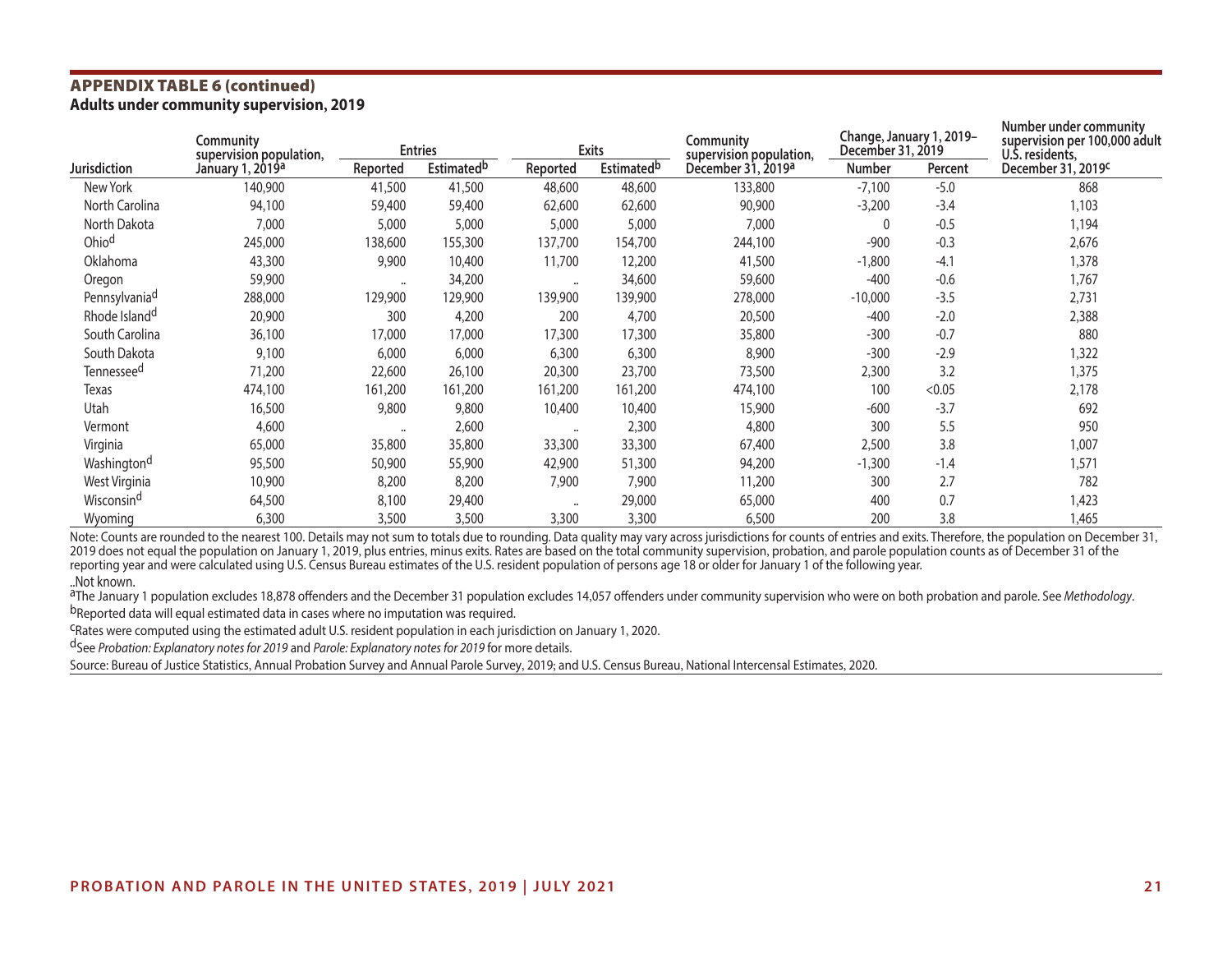## **APPENDIX TABLE 6 (continued)**<br>Adults under community supervision, 2019

| Community<br>supervision population, |                              |                      | <b>Entries</b>                | <b>Exits</b>         |                               | Community<br>supervision population, | Change, January 1, 2019-<br>December 31, 2019 |         | Number under community<br>supervision per 100,000 adult<br>U.S. residents, |  |
|--------------------------------------|------------------------------|----------------------|-------------------------------|----------------------|-------------------------------|--------------------------------------|-----------------------------------------------|---------|----------------------------------------------------------------------------|--|
| Jurisdiction                         | January 1, 2019 <sup>a</sup> | Reported             | <b>Estimated</b> <sup>b</sup> | Reported             | <b>Estimated</b> <sup>b</sup> | December 31, 2019 <sup>a</sup>       | <b>Number</b>                                 | Percent | December 31, 2019 <sup>c</sup>                                             |  |
| New York                             | 140,900                      | 41,500               | 41,500                        | 48,600               | 48,600                        | 133,800                              | $-7,100$                                      | $-5.0$  | 868                                                                        |  |
| North Carolina                       | 94,100                       | 59,400               | 59,400                        | 62,600               | 62,600                        | 90,900                               | $-3,200$                                      | $-3.4$  | 1,103                                                                      |  |
| North Dakota                         | 7,000                        | 5,000                | 5,000                         | 5,000                | 5,000                         | 7,000                                |                                               | $-0.5$  | 1,194                                                                      |  |
| Ohio <sup>d</sup>                    | 245,000                      | 138,600              | 155,300                       | 137,700              | 154,700                       | 244,100                              | $-900$                                        | $-0.3$  | 2,676                                                                      |  |
| Oklahoma                             | 43,300                       | 9,900                | 10,400                        | 11,700               | 12,200                        | 41,500                               | $-1,800$                                      | $-4.1$  | 1,378                                                                      |  |
| Oregon                               | 59,900                       | $\ddot{\phantom{a}}$ | 34,200                        | $\ddotsc$            | 34,600                        | 59,600                               | $-400$                                        | $-0.6$  | 1,767                                                                      |  |
| Pennsylvania <sup>d</sup>            | 288,000                      | 129,900              | 129,900                       | 139,900              | 139,900                       | 278,000                              | $-10,000$                                     | $-3.5$  | 2,731                                                                      |  |
| Rhode Island <sup>d</sup>            | 20,900                       | 300                  | 4,200                         | 200                  | 4,700                         | 20,500                               | $-400$                                        | $-2.0$  | 2,388                                                                      |  |
| South Carolina                       | 36,100                       | 17,000               | 17,000                        | 17,300               | 17,300                        | 35,800                               | $-300$                                        | $-0.7$  | 880                                                                        |  |
| South Dakota                         | 9,100                        | 6,000                | 6,000                         | 6,300                | 6,300                         | 8,900                                | $-300$                                        | $-2.9$  | 1,322                                                                      |  |
| Tennessee <sup>d</sup>               | 71,200                       | 22,600               | 26,100                        | 20,300               | 23,700                        | 73,500                               | 2,300                                         | 3.2     | 1,375                                                                      |  |
| Texas                                | 474,100                      | 161,200              | 161,200                       | 161,200              | 161,200                       | 474,100                              | 100                                           | < 0.05  | 2,178                                                                      |  |
| Utah                                 | 16,500                       | 9,800                | 9,800                         | 10,400               | 10,400                        | 15,900                               | $-600$                                        | $-3.7$  | 692                                                                        |  |
| Vermont                              | 4,600                        |                      | 2,600                         | $\ddot{\phantom{a}}$ | 2,300                         | 4,800                                | 300                                           | 5.5     | 950                                                                        |  |
| Virginia                             | 65,000                       | 35,800               | 35,800                        | 33,300               | 33,300                        | 67,400                               | 2,500                                         | 3.8     | 1,007                                                                      |  |
| Washington <sup>d</sup>              | 95,500                       | 50,900               | 55,900                        | 42,900               | 51,300                        | 94,200                               | $-1,300$                                      | $-1.4$  | 1,571                                                                      |  |
| West Virginia                        | 10,900                       | 8,200                | 8,200                         | 7,900                | 7,900                         | 11,200                               | 300                                           | 2.7     | 782                                                                        |  |
| Wisconsin <sup>d</sup>               | 64,500                       | 8,100                | 29,400                        | $\cdots$             | 29,000                        | 65,000                               | 400                                           | 0.7     | 1,423                                                                      |  |
| Wyoming                              | 6,300                        | 3,500                | 3,500                         | 3,300                | 3,300                         | 6,500                                | 200                                           | 3.8     | 1,465                                                                      |  |

Note: Counts are rounded to the nearest 100. Details may not sum to totals due to rounding. Data quality may vary across jurisdictions for counts of entries and exits. Therefore, the population on December 31, 2019 does not equal the population on January 1, 2019, plus entries, minus exits. Rates are based on the total community supervision, probation, and parole population counts as of December 31 of the reporting year and were calculated using U.S. Census Bureau estimates of the U.S. resident population of persons age 18 or older for January 1 of the following year. ..Not known.

<sup>a</sup>The January 1 population excludes 18,878 offenders and the December 31 population excludes 14,057 offenders under community supervision who were on both probation and parole. See *Methodology*.<br><sup>b</sup>Reported data will equ

cRates were computed using the estimated adult U.S. resident population in each jurisdiction on January 1, 2020.

dSee *Probation: Explanatory notes for 2019* and *Parole: Explanatory notes for 2019* for more details.

Source: Bureau of Justice Statistics, Annual Probation Survey and Annual Parole Survey, 2019; and U.S. Census Bureau, National Intercensal Estimates, 2020.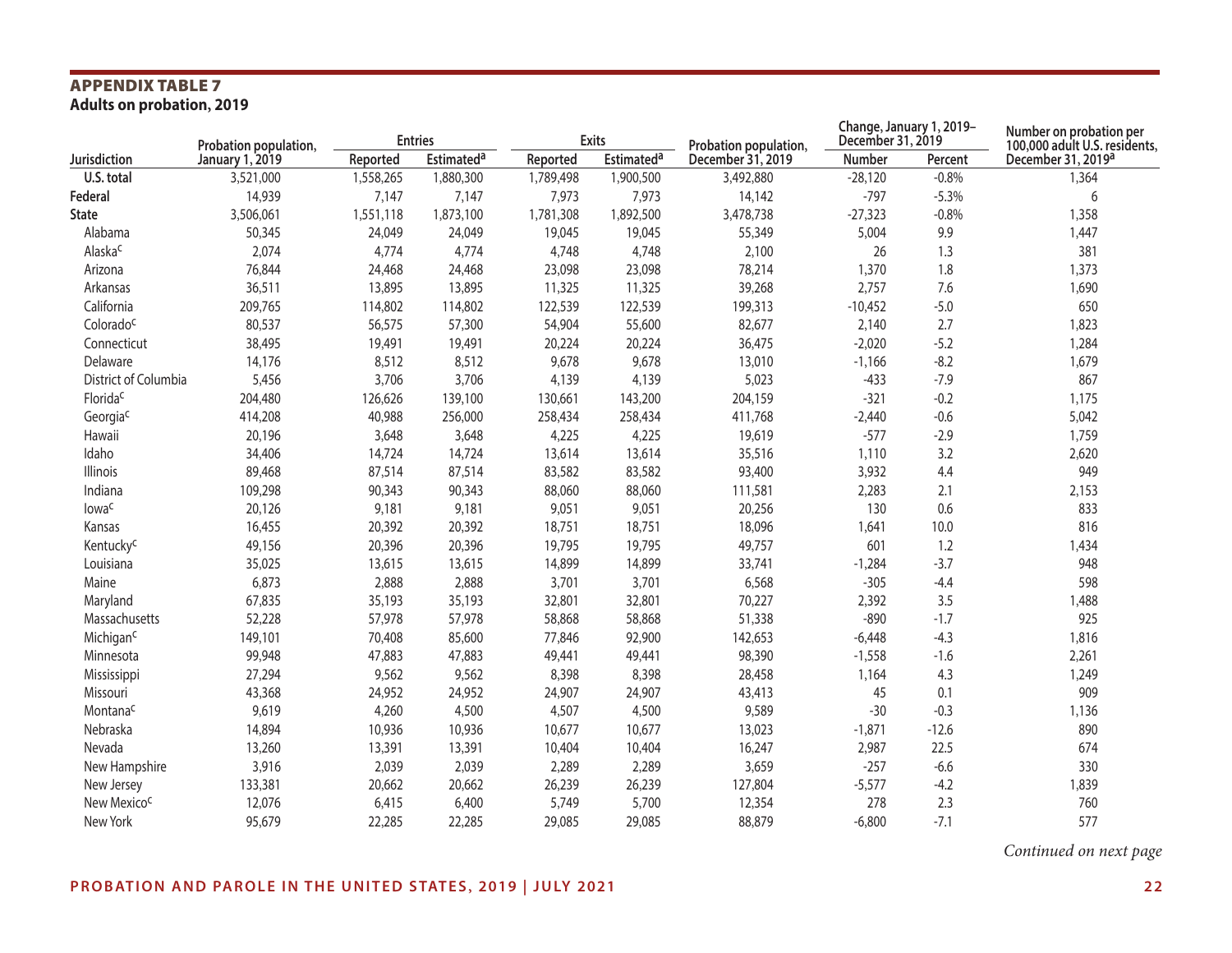## **APPENDIX TABLE 7<br>Adults on probation, 2019**

|                         | Probation population, |           | <b>Entries</b>    |           | <b>Exits</b>      | Probation population, | December 31, 2019 | Change, January 1, 2019- | Number on probation per<br>100,000 adult U.S. residents, |
|-------------------------|-----------------------|-----------|-------------------|-----------|-------------------|-----------------------|-------------------|--------------------------|----------------------------------------------------------|
| Jurisdiction            | January 1, 2019       | Reported  | <b>Estimateda</b> | Reported  | <b>Estimateda</b> | December 31, 2019     | Number            | Percent                  | December 31, 2019 <sup>a</sup>                           |
| U.S. total              | 3,521,000             | 1,558,265 | 1,880,300         | 1,789,498 | 1,900,500         | 3,492,880             | $-28,120$         | $-0.8%$                  | 1,364                                                    |
| Federal                 | 14,939                | 7,147     | 7,147             | 7,973     | 7,973             | 14,142                | $-797$            | $-5.3%$                  | 6                                                        |
| <b>State</b>            | 3,506,061             | 1,551,118 | 1,873,100         | 1,781,308 | 1,892,500         | 3,478,738             | $-27,323$         | $-0.8%$                  | 1,358                                                    |
| Alabama                 | 50,345                | 24,049    | 24,049            | 19,045    | 19,045            | 55,349                | 5,004             | 9.9                      | 1,447                                                    |
| Alaska <sup>c</sup>     | 2,074                 | 4,774     | 4,774             | 4,748     | 4,748             | 2,100                 | 26                | 1.3                      | 381                                                      |
| Arizona                 | 76,844                | 24,468    | 24,468            | 23,098    | 23,098            | 78,214                | 1,370             | 1.8                      | 1,373                                                    |
| Arkansas                | 36,511                | 13,895    | 13,895            | 11,325    | 11,325            | 39,268                | 2,757             | 7.6                      | 1,690                                                    |
| California              | 209,765               | 114,802   | 114,802           | 122,539   | 122,539           | 199,313               | $-10,452$         | $-5.0$                   | 650                                                      |
| Colorado <sup>c</sup>   | 80,537                | 56,575    | 57,300            | 54,904    | 55,600            | 82,677                | 2,140             | 2.7                      | 1,823                                                    |
| Connecticut             | 38,495                | 19,491    | 19,491            | 20,224    | 20,224            | 36,475                | $-2,020$          | $-5.2$                   | 1,284                                                    |
| Delaware                | 14,176                | 8,512     | 8,512             | 9,678     | 9,678             | 13,010                | $-1,166$          | $-8.2$                   | 1,679                                                    |
| District of Columbia    | 5,456                 | 3,706     | 3,706             | 4,139     | 4,139             | 5,023                 | $-433$            | $-7.9$                   | 867                                                      |
| Florida <sup>c</sup>    | 204,480               | 126,626   | 139,100           | 130,661   | 143,200           | 204,159               | $-321$            | $-0.2$                   | 1,175                                                    |
| Georgiac                | 414,208               | 40,988    | 256,000           | 258,434   | 258,434           | 411,768               | $-2,440$          | $-0.6$                   | 5,042                                                    |
| Hawaii                  | 20,196                | 3,648     | 3,648             | 4,225     | 4,225             | 19,619                | $-577$            | $-2.9$                   | 1,759                                                    |
| Idaho                   | 34,406                | 14,724    | 14,724            | 13,614    | 13,614            | 35,516                | 1,110             | 3.2                      | 2,620                                                    |
| Illinois                | 89,468                | 87,514    | 87,514            | 83,582    | 83,582            | 93,400                | 3,932             | 4.4                      | 949                                                      |
| Indiana                 | 109,298               | 90,343    | 90,343            | 88,060    | 88,060            | 111,581               | 2,283             | 2.1                      | 2,153                                                    |
| lowa <sup>c</sup>       | 20,126                | 9,181     | 9,181             | 9,051     | 9,051             | 20,256                | 130               | 0.6                      | 833                                                      |
| Kansas                  | 16,455                | 20,392    | 20,392            | 18,751    | 18,751            | 18,096                | 1,641             | 10.0                     | 816                                                      |
| Kentucky <sup>c</sup>   | 49,156                | 20,396    | 20,396            | 19,795    | 19,795            | 49,757                | 601               | 1.2                      | 1,434                                                    |
| Louisiana               | 35,025                | 13,615    | 13,615            | 14,899    | 14,899            | 33,741                | $-1,284$          | $-3.7$                   | 948                                                      |
| Maine                   | 6,873                 | 2,888     | 2,888             | 3,701     | 3,701             | 6,568                 | $-305$            | $-4.4$                   | 598                                                      |
| Maryland                | 67,835                | 35,193    | 35,193            | 32,801    | 32,801            | 70,227                | 2,392             | 3.5                      | 1,488                                                    |
| Massachusetts           | 52,228                | 57,978    | 57,978            | 58,868    | 58,868            | 51,338                | $-890$            | $-1.7$                   | 925                                                      |
| Michigan <sup>c</sup>   | 149,101               | 70,408    | 85,600            | 77,846    | 92,900            | 142,653               | $-6,448$          | $-4.3$                   | 1,816                                                    |
| Minnesota               | 99,948                | 47,883    | 47,883            | 49,441    | 49,441            | 98,390                | $-1,558$          | $-1.6$                   | 2,261                                                    |
| Mississippi             | 27,294                | 9,562     | 9,562             | 8,398     | 8,398             | 28,458                | 1,164             | 4.3                      | 1,249                                                    |
| Missouri                | 43,368                | 24,952    | 24,952            | 24,907    | 24,907            | 43,413                | 45                | 0.1                      | 909                                                      |
| Montana <sup>c</sup>    | 9,619                 | 4,260     | 4,500             | 4,507     | 4,500             | 9,589                 | $-30$             | $-0.3$                   | 1,136                                                    |
| Nebraska                | 14,894                | 10,936    | 10,936            | 10,677    | 10,677            | 13,023                | $-1,871$          | $-12.6$                  | 890                                                      |
| Nevada                  | 13,260                | 13,391    | 13,391            | 10,404    | 10,404            | 16,247                | 2,987             | 22.5                     | 674                                                      |
| New Hampshire           | 3,916                 | 2,039     | 2,039             | 2,289     | 2,289             | 3,659                 | $-257$            | $-6.6$                   | 330                                                      |
| New Jersey              | 133,381               | 20,662    | 20,662            | 26,239    | 26,239            | 127,804               | $-5,577$          | $-4.2$                   | 1,839                                                    |
| New Mexico <sup>c</sup> | 12,076                | 6,415     | 6,400             | 5,749     | 5,700             | 12,354                | 278               | 2.3                      | 760                                                      |
| New York                | 95,679                | 22,285    | 22,285            | 29,085    | 29,085            | 88,879                | $-6,800$          | $-7.1$                   | 577                                                      |

*Continued on next page*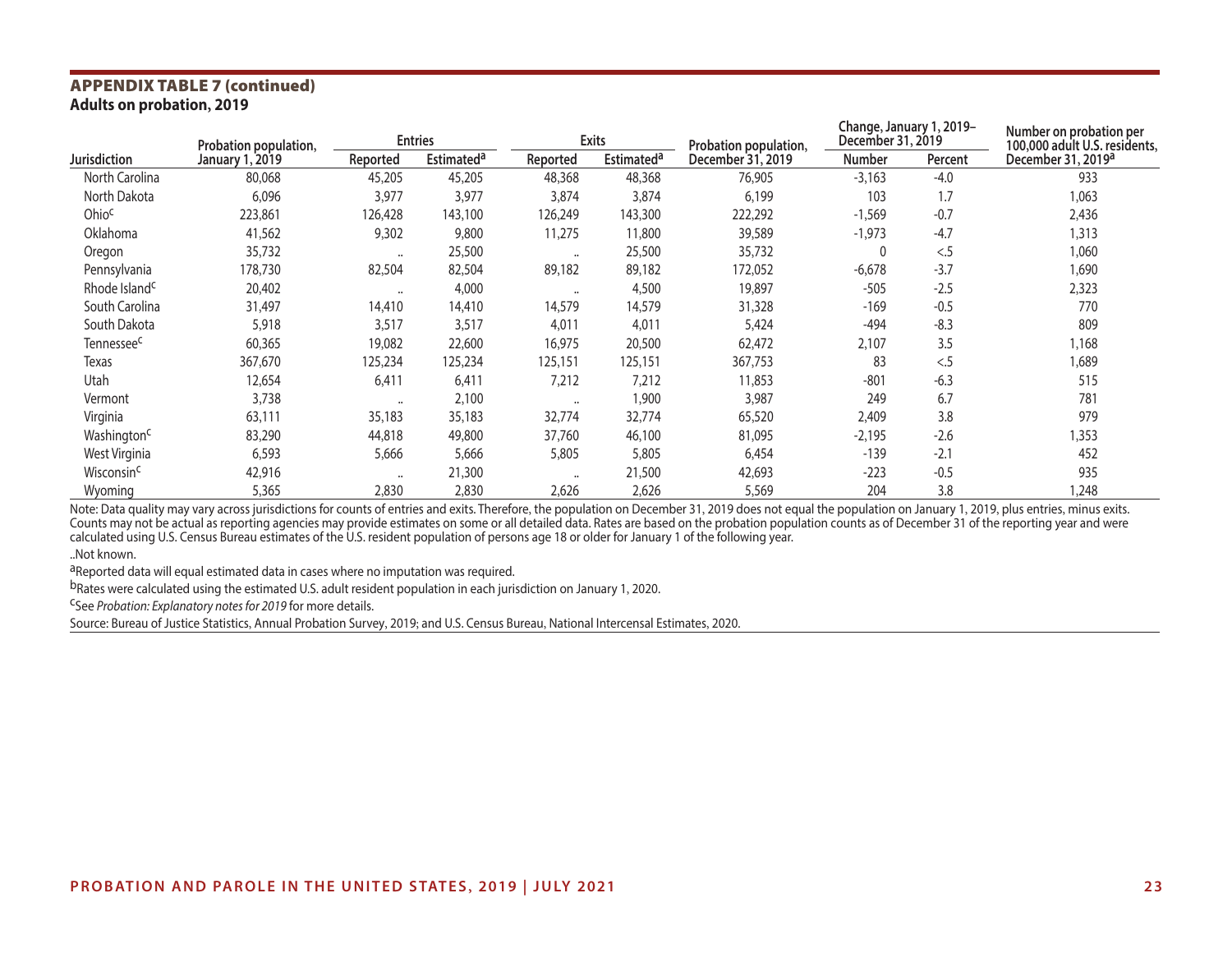### **APPENDIX TABLE 7 (continued)**<br>Adults on probation, 2019

|                           | Probation population,  |                      | <b>Entries</b>               |                      | <b>Exits</b>      | Probation population, | December 31, 2019 | Change, January 1, 2019- | Number on probation per<br>100,000 adult U.S. residents, |
|---------------------------|------------------------|----------------------|------------------------------|----------------------|-------------------|-----------------------|-------------------|--------------------------|----------------------------------------------------------|
| <b>Jurisdiction</b>       | <b>January 1, 2019</b> | Reported             | <b>Estimated<sup>a</sup></b> | Reported             | <b>Estimateda</b> | December 31, 2019     | <b>Number</b>     | Percent                  | December 31, 2019 <sup>a</sup>                           |
| North Carolina            | 80,068                 | 45,205               | 45,205                       | 48,368               | 48,368            | 76,905                | $-3,163$          | $-4.0$                   | 933                                                      |
| North Dakota              | 6,096                  | 3,977                | 3,977                        | 3,874                | 3,874             | 6,199                 | 103               | 1.7                      | 1,063                                                    |
| Ohioc                     | 223,861                | 126,428              | 143,100                      | 126,249              | 143,300           | 222,292               | $-1,569$          | $-0.7$                   | 2,436                                                    |
| Oklahoma                  | 41,562                 | 9,302                | 9,800                        | 11,275               | 11,800            | 39,589                | $-1,973$          | $-4.7$                   | 1,313                                                    |
| Oregon                    | 35,732                 | $\ddot{\phantom{a}}$ | 25,500                       | $\ddot{\phantom{a}}$ | 25,500            | 35,732                |                   | < 5                      | 1,060                                                    |
| Pennsylvania              | 178,730                | 82,504               | 82,504                       | 89,182               | 89,182            | 172,052               | $-6,678$          | $-3.7$                   | 1,690                                                    |
| Rhode Island <sup>c</sup> | 20,402                 | $\ddot{\phantom{a}}$ | 4,000                        | $\bullet\bullet$     | 4,500             | 19,897                | $-505$            | $-2.5$                   | 2,323                                                    |
| South Carolina            | 31,497                 | 14,410               | 14,410                       | 14,579               | 14,579            | 31,328                | $-169$            | $-0.5$                   | 770                                                      |
| South Dakota              | 5,918                  | 3,517                | 3,517                        | 4,011                | 4,011             | 5,424                 | -494              | $-8.3$                   | 809                                                      |
| Tennessee <sup>c</sup>    | 60,365                 | 19,082               | 22,600                       | 16,975               | 20,500            | 62,472                | 2,107             | 3.5                      | 1,168                                                    |
| Texas                     | 367,670                | 125,234              | 125,234                      | 125,151              | 125,151           | 367,753               | 83                | < 5                      | 1,689                                                    |
| Utah                      | 12,654                 | 6,411                | 6,411                        | 7,212                | 7,212             | 11,853                | $-801$            | $-6.3$                   | 515                                                      |
| Vermont                   | 3,738                  |                      | 2,100                        | $\ddot{\phantom{a}}$ | 1,900             | 3,987                 | 249               | 6.7                      | 781                                                      |
| Virginia                  | 63,111                 | 35,183               | 35,183                       | 32,774               | 32,774            | 65,520                | 2,409             | 3.8                      | 979                                                      |
| Washington <sup>c</sup>   | 83,290                 | 44,818               | 49,800                       | 37,760               | 46,100            | 81,095                | $-2,195$          | $-2.6$                   | 1,353                                                    |
| West Virginia             | 6,593                  | 5,666                | 5,666                        | 5,805                | 5,805             | 6,454                 | $-139$            | $-2.1$                   | 452                                                      |
| Wisconsin <sup>c</sup>    | 42,916                 | $\ddot{\phantom{a}}$ | 21,300                       | $\ddot{\phantom{a}}$ | 21,500            | 42,693                | $-223$            | $-0.5$                   | 935                                                      |
| Wyoming                   | 5,365                  | 2,830                | 2,830                        | 2,626                | 2,626             | 5,569                 | 204               | 3.8                      | 1,248                                                    |

Note: Data quality may vary across jurisdictions for counts of entries and exits. Therefore, the population on December 31, 2019 does not equal the population on January 1, 2019, plus entries, minus exits. Counts may not be actual as reporting agencies may provide estimates on some or all detailed data. Rates are based on the probation population counts as of December 31 of the reporting year and were calculated using U.S. Census Bureau estimates of the U.S. resident population of persons age 18 or older for January 1 of the following year. ..Not known.

aReported data will equal estimated data in cases where no imputation was required.

bRates were calculated using the estimated U.S. adult resident population in each jurisdiction on January 1, 2020.<br><sup>C</sup>See *Probation: Explanatory notes for 2019* for more details.

Source: Bureau of Justice Statistics, Annual Probation Survey, 2019; and U.S. Census Bureau, National Intercensal Estimates, 2020.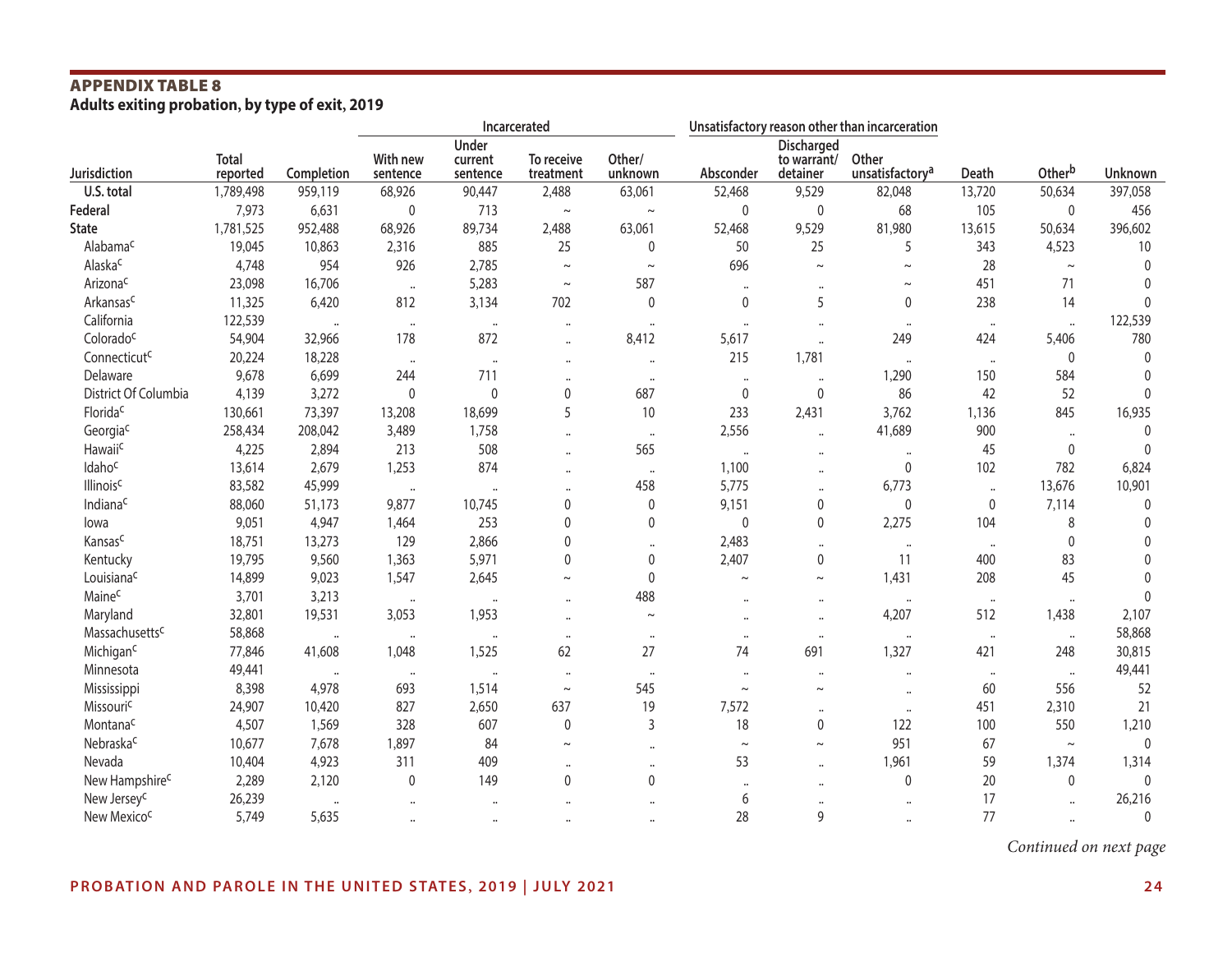## **APPENDIX TABLE 8**<br>Adults exiting probation, by type of exit, 2019

|                             |                          |                      |                      | Incarcerated         |                         |                      |                      | Unsatisfactory reason other than incarceration |                                      |                      |                      |              |
|-----------------------------|--------------------------|----------------------|----------------------|----------------------|-------------------------|----------------------|----------------------|------------------------------------------------|--------------------------------------|----------------------|----------------------|--------------|
|                             |                          |                      |                      | Under                |                         |                      |                      | Discharged                                     |                                      |                      |                      |              |
| Jurisdiction                | <b>Total</b><br>reported | Completion           | With new<br>sentence | current<br>sentence  | To receive<br>treatment | Other/<br>unknown    | Absconder            | to warrant/<br>detainer                        | Other<br>unsatisfactory <sup>a</sup> | Death                | Otherb               | Unknown      |
| U.S. total                  | 1,789,498                | 959,119              | 68,926               | 90,447               | 2,488                   | 63,061               | 52,468               | 9,529                                          | 82,048                               | 13,720               | 50,634               | 397,058      |
| Federal                     | 7,973                    | 6,631                | 0                    | 713                  | $\thicksim$             | $\sim$               | $\mathbf 0$          | 0                                              | 68                                   | 105                  | $\mathbf 0$          | 456          |
| <b>State</b>                | 1,781,525                | 952,488              | 68,926               | 89,734               | 2,488                   | 63,061               | 52,468               | 9,529                                          | 81,980                               | 13,615               | 50,634               | 396,602      |
| Alabama <sup>c</sup>        | 19,045                   | 10,863               | 2,316                | 885                  | 25                      | $\mathbf 0$          | 50                   | 25                                             | 5                                    | 343                  | 4,523                | 10           |
| Alaska <sup>c</sup>         | 4,748                    | 954                  | 926                  | 2,785                | $\sim$                  | $\sim$               | 696                  | $\sim$                                         | $\thicksim$                          | 28                   | $\sim$               | $\Omega$     |
| Arizona <sup>c</sup>        | 23,098                   | 16,706               |                      | 5,283                | $\thicksim$             | 587                  | $\ddotsc$            |                                                | $\thicksim$                          | 451                  | 71                   |              |
| Arkansasc                   | 11,325                   | 6,420                | 812                  | 3,134                | 702                     | $\mathbf 0$          | $\mathbf 0$          | 5                                              | 0                                    | 238                  | 14                   | $\Omega$     |
| California                  | 122,539                  |                      | $\cdot$              | $\ddot{\phantom{a}}$ | $\ddot{\phantom{a}}$    | $\ddotsc$            | $\ddot{\phantom{a}}$ | $\ddot{\phantom{a}}$                           | $\ddot{\phantom{a}}$                 | $\cdots$             | $\ddot{\phantom{a}}$ | 122,539      |
| Colorado <sup>c</sup>       | 54,904                   | 32,966               | 178                  | 872                  | $\ddot{\phantom{a}}$    | 8,412                | 5,617                | $\ddot{\phantom{a}}$                           | 249                                  | 424                  | 5,406                | 780          |
| Connecticut <sup>c</sup>    | 20,224                   | 18,228               | $\ddot{\phantom{1}}$ | $\ddot{\phantom{a}}$ | $\cdots$                | $\ddot{\phantom{a}}$ | 215                  | 1,781                                          | $\ddot{\phantom{a}}$                 | $\cdot\cdot$         | $\mathbf 0$          | $\mathbf{0}$ |
| Delaware                    | 9,678                    | 6,699                | 244                  | 711                  | $\ddotsc$               | $\ddot{\phantom{a}}$ | $\ddot{\phantom{a}}$ | $\ddotsc$                                      | 1,290                                | 150                  | 584                  | $\mathbf{0}$ |
| District Of Columbia        | 4,139                    | 3,272                | $\mathbf{0}$         | $\mathbf 0$          | 0                       | 687                  | 0                    | $\pmb{0}$                                      | 86                                   | 42                   | 52                   | $\Omega$     |
| Florida <sup>c</sup>        | 130,661                  | 73,397               | 13,208               | 18,699               | 5                       | 10                   | 233                  | 2,431                                          | 3,762                                | 1,136                | 845                  | 16,935       |
| Georgiac                    | 258,434                  | 208,042              | 3,489                | 1,758                | $\ddot{\phantom{a}}$    | $\ddot{\phantom{a}}$ | 2,556                | $\ddot{\phantom{a}}$                           | 41,689                               | 900                  | $\ddot{\phantom{a}}$ | $\mathbf{0}$ |
| Hawaiic                     | 4,225                    | 2,894                | 213                  | 508                  |                         | 565                  | $\ddot{\phantom{0}}$ | $\cdots$                                       | $\ddotsc$                            | 45                   | 0                    | $\mathbf{0}$ |
| Idahoc                      | 13,614                   | 2,679                | 1,253                | 874                  |                         | $\ddot{\phantom{a}}$ | 1,100                | $\ddot{\phantom{a}}$                           | 0                                    | 102                  | 782                  | 6,824        |
| <b>Illinois<sup>c</sup></b> | 83,582                   | 45,999               |                      |                      |                         | 458                  | 5,775                | $\ddot{\phantom{a}}$                           | 6,773                                | $\ddot{\phantom{a}}$ | 13,676               | 10,901       |
| Indiana <sup>c</sup>        | 88,060                   | 51,173               | 9,877                | 10,745               | $\mathbf 0$             | $\boldsymbol{0}$     | 9,151                | $\mathbf{0}$                                   | $\mathbf 0$                          | $\mathbf{0}$         | 7,114                | $\mathbf{0}$ |
| lowa                        | 9,051                    | 4,947                | 1,464                | 253                  | 0                       | $\mathbf 0$          | $\mathbf 0$          | 0                                              | 2,275                                | 104                  | 8                    | $\mathbf{0}$ |
| Kansasc                     | 18,751                   | 13,273               | 129                  | 2,866                | 0                       | $\ddotsc$            | 2,483                | $\ddotsc$                                      | $\ddot{\phantom{a}}$                 | $\cdots$             | 0                    | 0            |
| Kentucky                    | 19,795                   | 9,560                | 1,363                | 5,971                | 0                       | $\mathbf 0$          | 2,407                | $\mathbf{0}$                                   | 11                                   | 400                  | 83                   | $\mathbf{0}$ |
| Louisiana <sup>c</sup>      | 14,899                   | 9,023                | 1,547                | 2,645                | $\tilde{}$              | $\mathbf{0}$         | $\sim$               | $\sim$                                         | 1,431                                | 208                  | 45                   | $\Omega$     |
| Maine <sup>c</sup>          | 3,701                    | 3,213                | $\cdots$             | $\ddot{\phantom{a}}$ | $\ddot{\phantom{a}}$    | 488                  |                      | $\ddotsc$                                      | $\ddot{\phantom{1}}$                 | $\cdot\cdot$         | $\ddot{\phantom{a}}$ | $\Omega$     |
| Maryland                    | 32,801                   | 19,531               | 3,053                | 1,953                | $\ddot{\phantom{a}}$    | $\thicksim$          | $\ddot{\phantom{a}}$ | $\ddotsc$                                      | 4,207                                | 512                  | 1,438                | 2,107        |
| Massachusettsc              | 58,868                   | $\ddot{\phantom{a}}$ | $\ddotsc$            | $\ddot{\phantom{a}}$ | $\cdots$                | $\ddot{\phantom{a}}$ | $\ddot{\phantom{a}}$ | $\ddot{\phantom{a}}$                           | $\ddot{\phantom{a}}$                 | $\cdots$             | $\ddot{\phantom{a}}$ | 58,868       |
| Michigan <sup>c</sup>       | 77,846                   | 41,608               | 1,048                | 1,525                | 62                      | 27                   | 74                   | 691                                            | 1,327                                | 421                  | 248                  | 30,815       |
| Minnesota                   | 49,441                   |                      | $\cdots$             | $\ddot{\phantom{a}}$ | $\cdots$                | $\ddot{\phantom{a}}$ | $\ddot{\phantom{0}}$ | $\ddot{\phantom{a}}$                           | $\ddot{\phantom{0}}$                 | $\cdots$             | $\ddot{\phantom{a}}$ | 49,441       |
| Mississippi                 | 8,398                    | 4,978                | 693                  | 1,514                | $\thicksim$             | 545                  | $\sim$               | $\sim$                                         | $\ddot{\phantom{a}}$                 | 60                   | 556                  | 52           |
| Missouric                   | 24,907                   | 10,420               | 827                  | 2,650                | 637                     | 19                   | 7,572                | $\ddotsc$                                      | $\ddot{\phantom{a}}$                 | 451                  | 2,310                | 21           |
| Montana <sup>c</sup>        | 4,507                    | 1,569                | 328                  | 607                  | $\pmb{0}$               | 3                    | 18                   | $\mathbf{0}$                                   | 122                                  | 100                  | 550                  | 1,210        |
| Nebraskac                   | 10,677                   | 7,678                | 1,897                | 84                   | $\sim$                  | $\ddot{\phantom{a}}$ | $\thicksim$          | $\tilde{}$                                     | 951                                  | 67                   | $\thicksim$          | $\mathbf{0}$ |
| Nevada                      | 10,404                   | 4,923                | 311                  | 409                  | $\ddot{\phantom{a}}$    | $\cdots$             | 53                   |                                                | 1,961                                | 59                   | 1,374                | 1,314        |
| New Hampshire <sup>c</sup>  | 2,289                    | 2,120                | $\mathbf 0$          | 149                  | 0                       | 0                    | $\ddot{\phantom{0}}$ | $\ddot{\phantom{a}}$                           | 0                                    | 20                   | 0                    | $\mathbf{0}$ |
| New Jersey <sup>c</sup>     | 26,239                   | $\ddot{\phantom{a}}$ |                      |                      |                         |                      | 6                    |                                                | $\ddot{\phantom{a}}$                 | 17                   | $\ddot{\phantom{a}}$ | 26,216       |
| New Mexico <sup>c</sup>     | 5,749                    | 5,635                |                      |                      |                         |                      | 28                   | 9                                              |                                      | 77                   |                      | $\Omega$     |

*Continued on next page*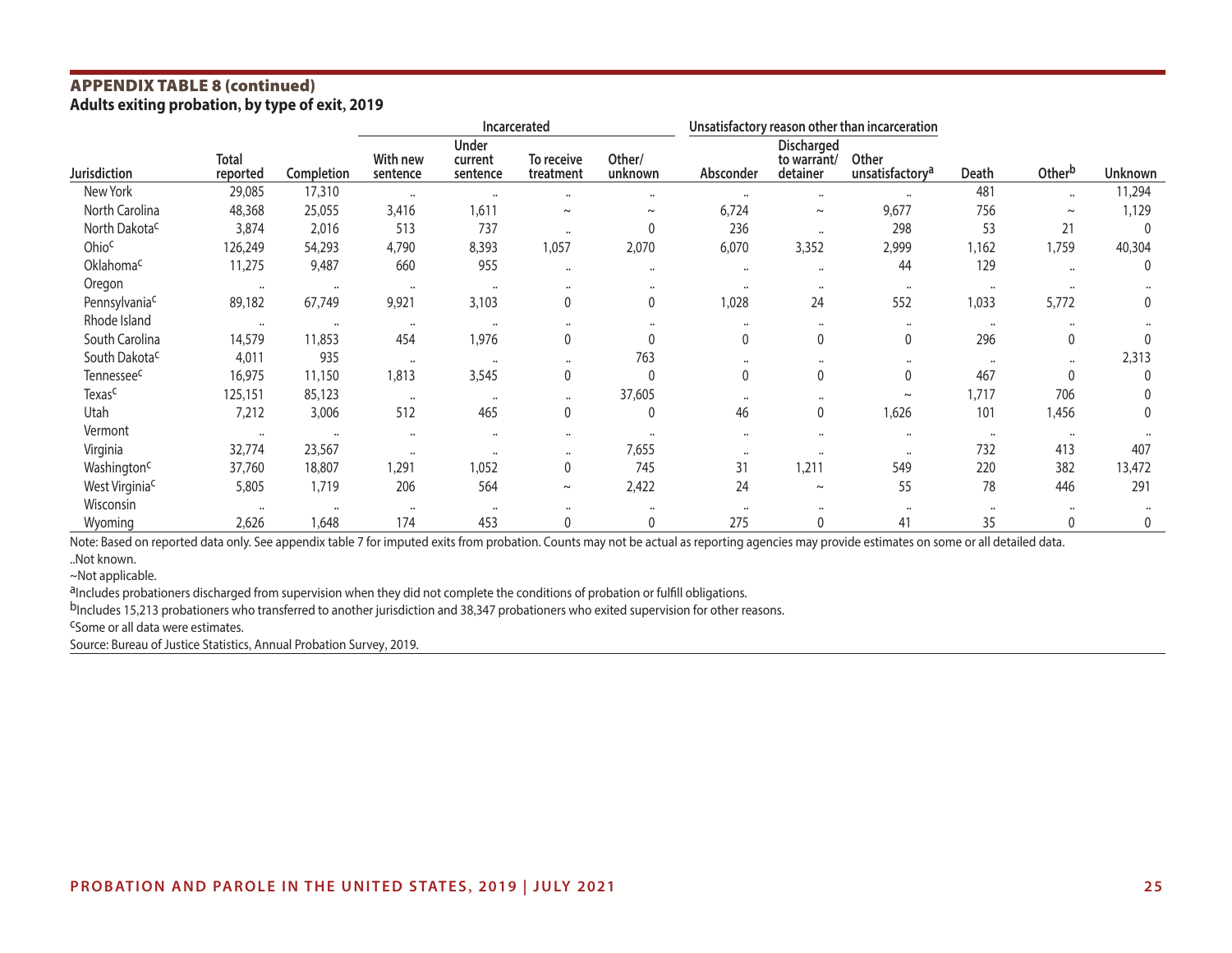## **APPENDIX TABLE 8 (continued)**<br>Adults exiting probation, by type of exit, 2019

|                            |                          |            |                      |                                     | Incarcerated            |                      | Unsatisfactory reason other than incarceration |                                       |                                      |                      |                      |                |
|----------------------------|--------------------------|------------|----------------------|-------------------------------------|-------------------------|----------------------|------------------------------------------------|---------------------------------------|--------------------------------------|----------------------|----------------------|----------------|
| <b>Jurisdiction</b>        | <b>Total</b><br>reported | Completion | With new<br>sentence | <b>Under</b><br>current<br>sentence | To receive<br>treatment | Other/<br>unknown    | Absconder                                      | Discharged<br>to warrant/<br>detainer | Other<br>unsatisfactory <sup>a</sup> | Death                | Otherb               | <b>Unknown</b> |
| New York                   | 29,085                   | 17,310     | $\ddot{\phantom{a}}$ | $\cdots$                            | $\ddotsc$               |                      | $\cdots$                                       | $\cdots$                              | $\ddotsc$                            | 481                  | $\cdots$             | 11,294         |
| North Carolina             | 48,368                   | 25,055     | 3,416                | 1,611                               | $\thicksim$             | $\sim$               | 6,724                                          | $\thicksim$                           | 9,677                                | 756                  | $\thicksim$          | 1,129          |
| North Dakota <sup>c</sup>  | 3,874                    | 2,016      | 513                  | 737                                 | $\ddotsc$               | $\mathbf{0}$         | 236                                            | $\ddotsc$                             | 298                                  | 53                   | 21                   | $\mathbf 0$    |
| Ohioc                      | 126,249                  | 54,293     | 4,790                | 8,393                               | 1,057                   | 2,070                | 6,070                                          | 3,352                                 | 2,999                                | 1,162                | 1,759                | 40,304         |
| Oklahoma <sup>c</sup>      | 11,275                   | 9,487      | 660                  | 955                                 | $\ddotsc$               | $\ddot{\phantom{a}}$ | $\cdots$                                       | $\ddotsc$                             | 44                                   | 129                  | $\ddot{\phantom{a}}$ | $\mathbf{0}$   |
| Oregon                     | $\cdots$                 | $\cdots$   | $\cdots$             | $\ddot{\phantom{a}}$                | $\cdots$                |                      | $\cdots$                                       | $\cdots$                              | $\ddotsc$                            | $\ddot{\phantom{a}}$ | $\ddot{\phantom{a}}$ |                |
| Pennsylvania <sup>c</sup>  | 89,182                   | 67,749     | 9,921                | 3,103                               | $\mathbf 0$             | 0                    | 1,028                                          | 24                                    | 552                                  | 1,033                | 5,772                | $\mathbf 0$    |
| Rhode Island               | $\ddot{\phantom{0}}$     | $\cdots$   | $\cdots$             | $\ddot{\phantom{a}}$                | $\cdots$                |                      | $\ddot{\phantom{a}}$                           |                                       |                                      | $\ddotsc$            | $\ddot{\phantom{0}}$ |                |
| South Carolina             | 14,579                   | 11,853     | 454                  | 1,976                               | 0                       |                      | 0                                              | 0                                     | 0                                    | 296                  | $\mathbf 0$          |                |
| South Dakota <sup>c</sup>  | 4,011                    | 935        | $\ddot{\phantom{a}}$ | $\ddot{\phantom{a}}$                | $\cdots$                | 763                  | $\cdots$                                       |                                       | $\ddot{\phantom{a}}$                 | $\cdots$             | $\cdots$             | 2,313          |
| Tennessee <sup>c</sup>     | 16,975                   | 11,150     | 1,813                | 3,545                               | $\mathbf 0$             | $\mathbf{0}$         | 0                                              | 0                                     | 0                                    | 467                  | $\mathbf{0}$         | $\Omega$       |
| Texas <sup>c</sup>         | 125,151                  | 85,123     | $\cdots$             | $\ddot{\phantom{0}}$                | $\cdots$                | 37,605               | $\bullet\bullet$                               |                                       | $\sim$                               | 1,717                | 706                  |                |
| Utah                       | 7,212                    | 3,006      | 512                  | 465                                 | 0                       | $\mathbf{0}$         | 46                                             | 0                                     | 1,626                                | 101                  | 1,456                | 0              |
| Vermont                    | $\ddot{\phantom{0}}$     | $\cdots$   | $\ddot{\phantom{0}}$ | $\ddot{\phantom{0}}$                | $\cdots$                |                      | $\cdots$                                       |                                       | $\cdots$                             | $\cdots$             | $\ddot{\phantom{0}}$ |                |
| Virginia                   | 32,774                   | 23,567     | $\ddot{\phantom{a}}$ | $\ddot{\phantom{a}}$                | $\cdots$                | 7,655                | $\cdots$                                       |                                       | $\cdots$                             | 732                  | 413                  | 407            |
| Washington <sup>c</sup>    | 37,760                   | 18,807     | 1,291                | 1,052                               | 0                       | 745                  | 31                                             | 1,211                                 | 549                                  | 220                  | 382                  | 13,472         |
| West Virginia <sup>c</sup> | 5,805                    | 1,719      | 206                  | 564                                 | $\sim$                  | 2,422                | 24                                             | $\sim$                                | 55                                   | 78                   | 446                  | 291            |
| Wisconsin                  | $\cdots$                 | $\cdots$   | $\ddot{\phantom{0}}$ | $\ddot{\phantom{a}}$                | $\ddot{\phantom{a}}$    |                      | $\ddot{\phantom{a}}$                           |                                       | $\ddot{\phantom{a}}$                 | $\ddot{\phantom{a}}$ |                      |                |
| Wyoming                    | 2,626                    | 1,648      | 174                  | 453                                 | 0                       | 0                    | 275                                            | 0                                     | 41                                   | 35                   | $\Omega$             | 0              |

Note: Based on reported data only. See appendix table 7 for imputed exits from probation. Counts may not be actual as reporting agencies may provide estimates on some or all detailed data.

..Not known.

~Not applicable.

a<sub>Includes</sub> probationers discharged from supervision when they did not complete the conditions of probation or fulfill obligations.

bIncludes 15,213 probationers who transferred to another jurisdiction and 38,347 probationers who exited supervision for other reasons.<br>CSome or all data were estimates.

Source: Bureau of Justice Statistics, Annual Probation Survey, 2019.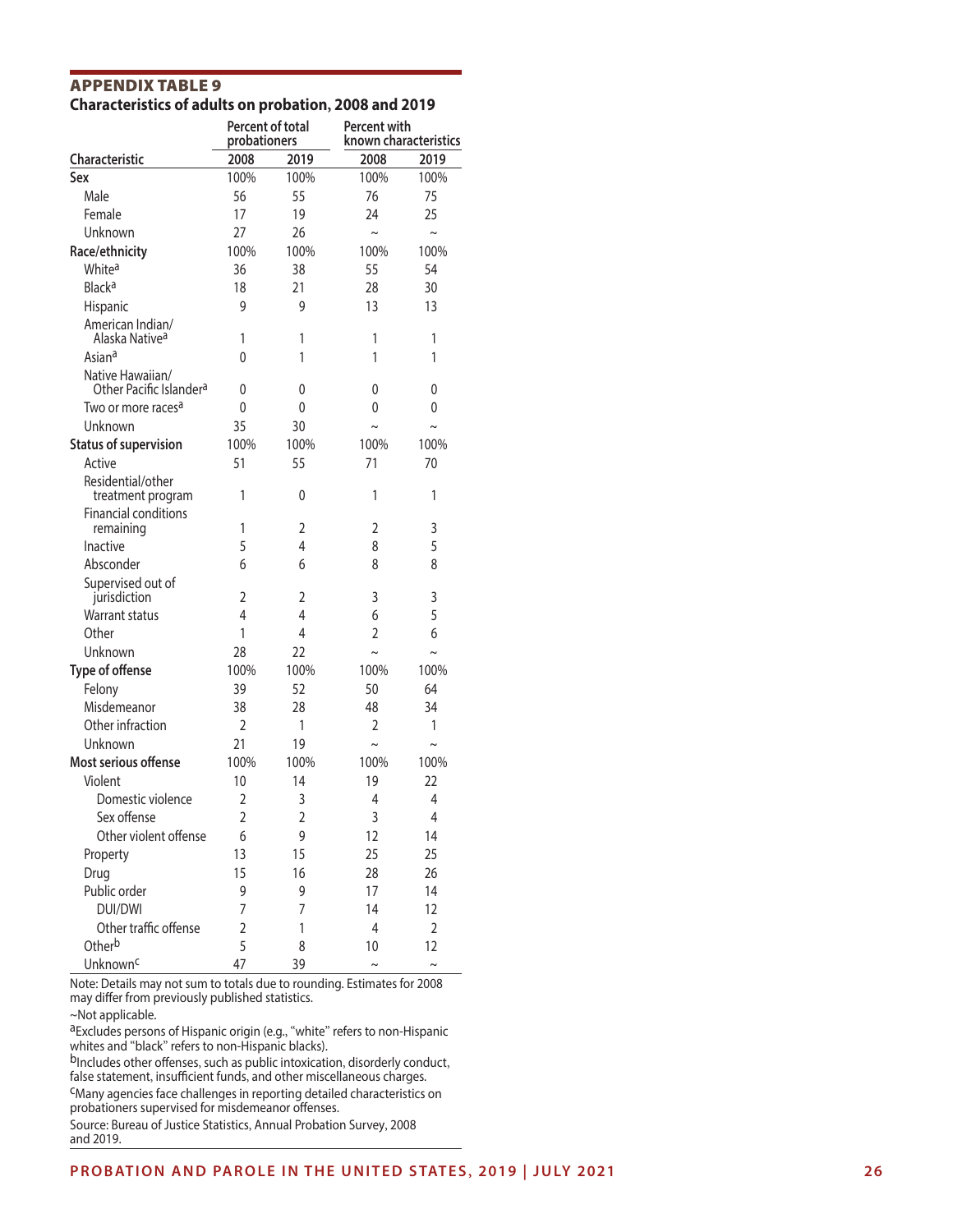| <b>APPENDIX TABLE 9</b>                               |  |
|-------------------------------------------------------|--|
| Characteristics of adults on probation, 2008 and 2019 |  |

|                                                         | Percent of total<br>probationers |                | <b>Percent with</b><br>known characteristics |                |  |
|---------------------------------------------------------|----------------------------------|----------------|----------------------------------------------|----------------|--|
| <b>Characteristic</b>                                   | 2008                             | 2019           | 2008                                         | 2019           |  |
| Sex                                                     | 100%                             | 100%           | 100%                                         | 100%           |  |
| Male                                                    | 56                               | 55             | 76                                           | 75             |  |
| Female                                                  | 17                               | 19             | 24                                           | 25             |  |
| Unknown                                                 | 27                               | 26             | $\sim$                                       | $\sim$         |  |
| Race/ethnicity                                          | 100%                             | 100%           | 100%                                         | 100%           |  |
| White <sup>a</sup>                                      | 36                               | 38             | 55                                           | 54             |  |
| <b>Black<sup>a</sup></b>                                | 18                               | 21             | 28                                           | 30             |  |
| Hispanic                                                | 9                                | 9              | 13                                           | 13             |  |
| American Indian/<br>Alaska Native <sup>a</sup>          | 1                                | 1              | 1                                            | 1              |  |
| Asian <sup>a</sup>                                      | 0                                | 1              | 1                                            | 1              |  |
| Native Hawaiian/<br>Other Pacific Islander <sup>a</sup> | 0                                | 0              | 0                                            | 0              |  |
| Two or more races <sup>a</sup>                          | 0                                | 0              | 0                                            | 0              |  |
| Unknown                                                 | 35                               | 30             | $\sim$                                       | $\sim$         |  |
| <b>Status of supervision</b>                            | 100%                             | 100%           | 100%                                         | 100%           |  |
| Active                                                  | 51                               | 55             | 71                                           | 70             |  |
| Residential/other<br>treatment program                  | 1                                | 0              | 1                                            | 1              |  |
| <b>Financial conditions</b><br>remaining                | 1                                | $\overline{2}$ | $\overline{2}$                               | 3              |  |
| Inactive                                                | 5                                | 4              | 8                                            | 5              |  |
| Absconder                                               | 6                                | 6              | 8                                            | 8              |  |
| Supervised out of<br>jurisdiction                       | 2                                | 2              | 3                                            | 3              |  |
| <b>Warrant status</b>                                   | 4                                | 4              | 6                                            | 5              |  |
| Other                                                   | 1                                | 4              | $\overline{2}$                               | 6              |  |
| Unknown                                                 | 28                               | 22             | $\sim$                                       | $\sim$         |  |
| Type of offense                                         | 100%                             | 100%           | 100%                                         | 100%           |  |
| Felony                                                  | 39                               | 52             | 50                                           | 64             |  |
| Misdemeanor                                             | 38                               | 28             | 48                                           | 34             |  |
| Other infraction                                        | $\overline{2}$                   | 1              | $\overline{2}$                               | 1              |  |
| Unknown                                                 | 21                               | 19             | $\sim$                                       | $\sim$         |  |
| Most serious offense                                    | 100%                             | 100%           | 100%                                         | 100%           |  |
| Violent                                                 | 10                               | 14             | 19                                           | 22             |  |
| Domestic violence                                       | $\overline{2}$                   | 3              | $\overline{4}$                               | $\overline{4}$ |  |
| Sex offense                                             | $\overline{2}$                   | $\overline{c}$ | 3                                            | $\overline{4}$ |  |
| Other violent offense                                   | 6                                | 9              | 12                                           | 14             |  |
| Property                                                | 13                               | 15             | 25                                           | 25             |  |
| Drug                                                    | 15                               | 16             | 28                                           | 26             |  |
| Public order                                            | 9                                | 9              | 17                                           | 14             |  |
| <b>DUI/DWI</b>                                          | 7                                | 7              | 14                                           | 12             |  |
| Other traffic offense                                   | 2                                | 1              | 4                                            | $\overline{2}$ |  |
| Otherb                                                  | 5                                | 8              | 10                                           | 12             |  |
| Unknown <sup>c</sup>                                    | 47                               | 39             | $\sim$                                       | $\sim$         |  |

Note: Details may not sum to totals due to rounding. Estimates for 2008 may differ from previously published statistics.

~Not applicable.

aExcludes persons of Hispanic origin (e.g., "white" refers to non-Hispanic whites and "black " refers to non-Hispanic blacks).

<sup>b</sup>Includes other offenses, such as public intoxication, disorderly conduct, false statement , insufficient funds , and other miscellaneous charges.

cMany agencies face challenges in reporting detailed characteristics on probationers supervised for misdemeanor offenses.

Source: Bureau of Justice Statistics , Annual Probation Survey , 2008 and 2019.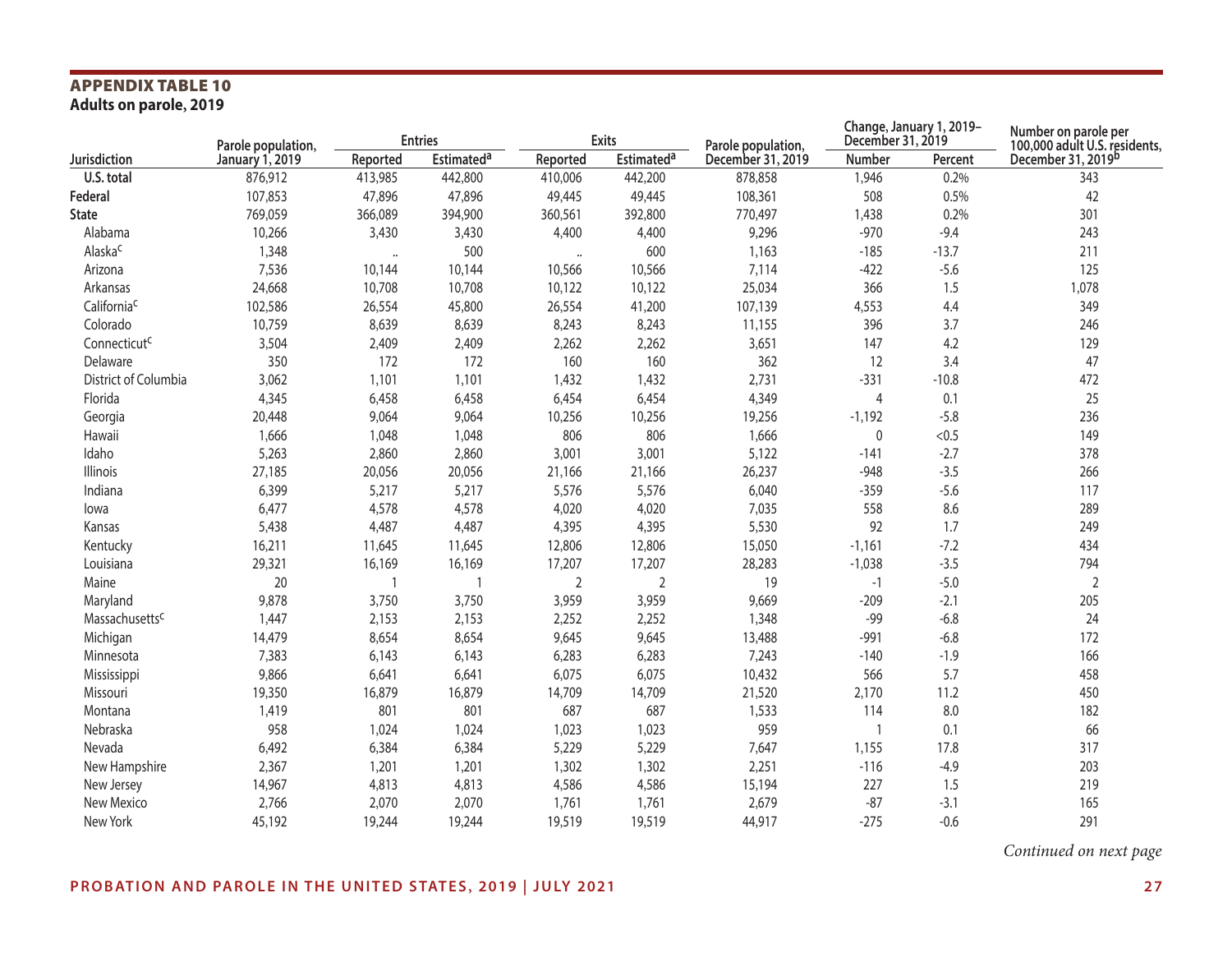## **APPENDIX TABLE 10**<br>Adults on parole, 2019

|                          | Parole population, |          | <b>Entries</b>               |                      | <b>Exits</b>                 | Parole population, | Change, January 1, 2019-<br>December 31, 2019 |         | Number on parole per<br>100,000 adult U.S. residents, |  |
|--------------------------|--------------------|----------|------------------------------|----------------------|------------------------------|--------------------|-----------------------------------------------|---------|-------------------------------------------------------|--|
| Jurisdiction             | January 1, 2019    | Reported | <b>Estimated<sup>a</sup></b> | Reported             | <b>Estimated<sup>a</sup></b> | December 31, 2019  | Number                                        | Percent | December 31, 2019b                                    |  |
| U.S. total               | 876,912            | 413,985  | 442,800                      | 410,006              | 442,200                      | 878,858            | 1,946                                         | 0.2%    | 343                                                   |  |
| Federal                  | 107,853            | 47,896   | 47,896                       | 49,445               | 49,445                       | 108,361            | 508                                           | 0.5%    | 42                                                    |  |
| <b>State</b>             | 769,059            | 366,089  | 394,900                      | 360,561              | 392,800                      | 770,497            | 1,438                                         | 0.2%    | 301                                                   |  |
| Alabama                  | 10,266             | 3,430    | 3,430                        | 4,400                | 4,400                        | 9,296              | $-970$                                        | $-9.4$  | 243                                                   |  |
| Alaska <sup>c</sup>      | 1,348              | $\ldots$ | 500                          | $\ddot{\phantom{a}}$ | 600                          | 1,163              | $-185$                                        | $-13.7$ | 211                                                   |  |
| Arizona                  | 7,536              | 10,144   | 10,144                       | 10,566               | 10,566                       | 7,114              | $-422$                                        | $-5.6$  | 125                                                   |  |
| Arkansas                 | 24,668             | 10,708   | 10,708                       | 10,122               | 10,122                       | 25,034             | 366                                           | 1.5     | 1,078                                                 |  |
| Californiac              | 102,586            | 26,554   | 45,800                       | 26,554               | 41,200                       | 107,139            | 4,553                                         | 4.4     | 349                                                   |  |
| Colorado                 | 10,759             | 8,639    | 8,639                        | 8,243                | 8,243                        | 11,155             | 396                                           | 3.7     | 246                                                   |  |
| Connecticut <sup>c</sup> | 3,504              | 2,409    | 2,409                        | 2,262                | 2,262                        | 3,651              | 147                                           | 4.2     | 129                                                   |  |
| Delaware                 | 350                | 172      | 172                          | 160                  | 160                          | 362                | 12                                            | 3.4     | 47                                                    |  |
| District of Columbia     | 3,062              | 1,101    | 1,101                        | 1,432                | 1,432                        | 2,731              | $-331$                                        | $-10.8$ | 472                                                   |  |
| Florida                  | 4,345              | 6,458    | 6,458                        | 6,454                | 6,454                        | 4,349              | $\overline{4}$                                | 0.1     | 25                                                    |  |
| Georgia                  | 20,448             | 9,064    | 9,064                        | 10,256               | 10,256                       | 19,256             | $-1,192$                                      | $-5.8$  | 236                                                   |  |
| Hawaii                   | 1,666              | 1,048    | 1,048                        | 806                  | 806                          | 1,666              | 0                                             | < 0.5   | 149                                                   |  |
| Idaho                    | 5,263              | 2,860    | 2,860                        | 3,001                | 3,001                        | 5,122              | $-141$                                        | $-2.7$  | 378                                                   |  |
| Illinois                 | 27,185             | 20,056   | 20,056                       | 21,166               | 21,166                       | 26,237             | $-948$                                        | $-3.5$  | 266                                                   |  |
| Indiana                  | 6,399              | 5,217    | 5,217                        | 5,576                | 5,576                        | 6,040              | $-359$                                        | $-5.6$  | 117                                                   |  |
| lowa                     | 6,477              | 4,578    | 4,578                        | 4,020                | 4,020                        | 7,035              | 558                                           | 8.6     | 289                                                   |  |
| Kansas                   | 5,438              | 4,487    | 4,487                        | 4,395                | 4,395                        | 5,530              | 92                                            | 1.7     | 249                                                   |  |
| Kentucky                 | 16,211             | 11,645   | 11,645                       | 12,806               | 12,806                       | 15,050             | $-1,161$                                      | $-7.2$  | 434                                                   |  |
| Louisiana                | 29,321             | 16,169   | 16,169                       | 17,207               | 17,207                       | 28,283             | $-1,038$                                      | $-3.5$  | 794                                                   |  |
| Maine                    | 20                 | -1       | $\mathbf{1}$                 | $\overline{2}$       | 2                            | 19                 | $-1$                                          | $-5.0$  | $\overline{2}$                                        |  |
| Maryland                 | 9,878              | 3,750    | 3,750                        | 3,959                | 3,959                        | 9,669              | $-209$                                        | $-2.1$  | 205                                                   |  |
| Massachusettsc           | 1,447              | 2,153    | 2,153                        | 2,252                | 2,252                        | 1,348              | $-99$                                         | $-6.8$  | 24                                                    |  |
| Michigan                 | 14,479             | 8,654    | 8,654                        | 9,645                | 9,645                        | 13,488             | $-991$                                        | $-6.8$  | 172                                                   |  |
| Minnesota                | 7,383              | 6,143    | 6,143                        | 6,283                | 6,283                        | 7,243              | $-140$                                        | $-1.9$  | 166                                                   |  |
| Mississippi              | 9,866              | 6,641    | 6,641                        | 6,075                | 6,075                        | 10,432             | 566                                           | 5.7     | 458                                                   |  |
| Missouri                 | 19,350             | 16,879   | 16,879                       | 14,709               | 14,709                       | 21,520             | 2,170                                         | 11.2    | 450                                                   |  |
| Montana                  | 1,419              | 801      | 801                          | 687                  | 687                          | 1,533              | 114                                           | 8.0     | 182                                                   |  |
| Nebraska                 | 958                | 1,024    | 1,024                        | 1,023                | 1,023                        | 959                | $\overline{\mathbf{1}}$                       | 0.1     | 66                                                    |  |
| Nevada                   | 6,492              | 6,384    | 6,384                        | 5,229                | 5,229                        | 7,647              | 1,155                                         | 17.8    | 317                                                   |  |
| New Hampshire            | 2,367              | 1,201    | 1,201                        | 1,302                | 1,302                        | 2,251              | $-116$                                        | $-4.9$  | 203                                                   |  |
| New Jersey               | 14,967             | 4,813    | 4,813                        | 4,586                | 4,586                        | 15,194             | 227                                           | 1.5     | 219                                                   |  |
| New Mexico               | 2,766              | 2,070    | 2,070                        | 1,761                | 1,761                        | 2,679              | $-87$                                         | $-3.1$  | 165                                                   |  |
| New York                 | 45,192             | 19,244   | 19,244                       | 19,519               | 19,519                       | 44,917             | $-275$                                        | $-0.6$  | 291                                                   |  |

*Continued on next page*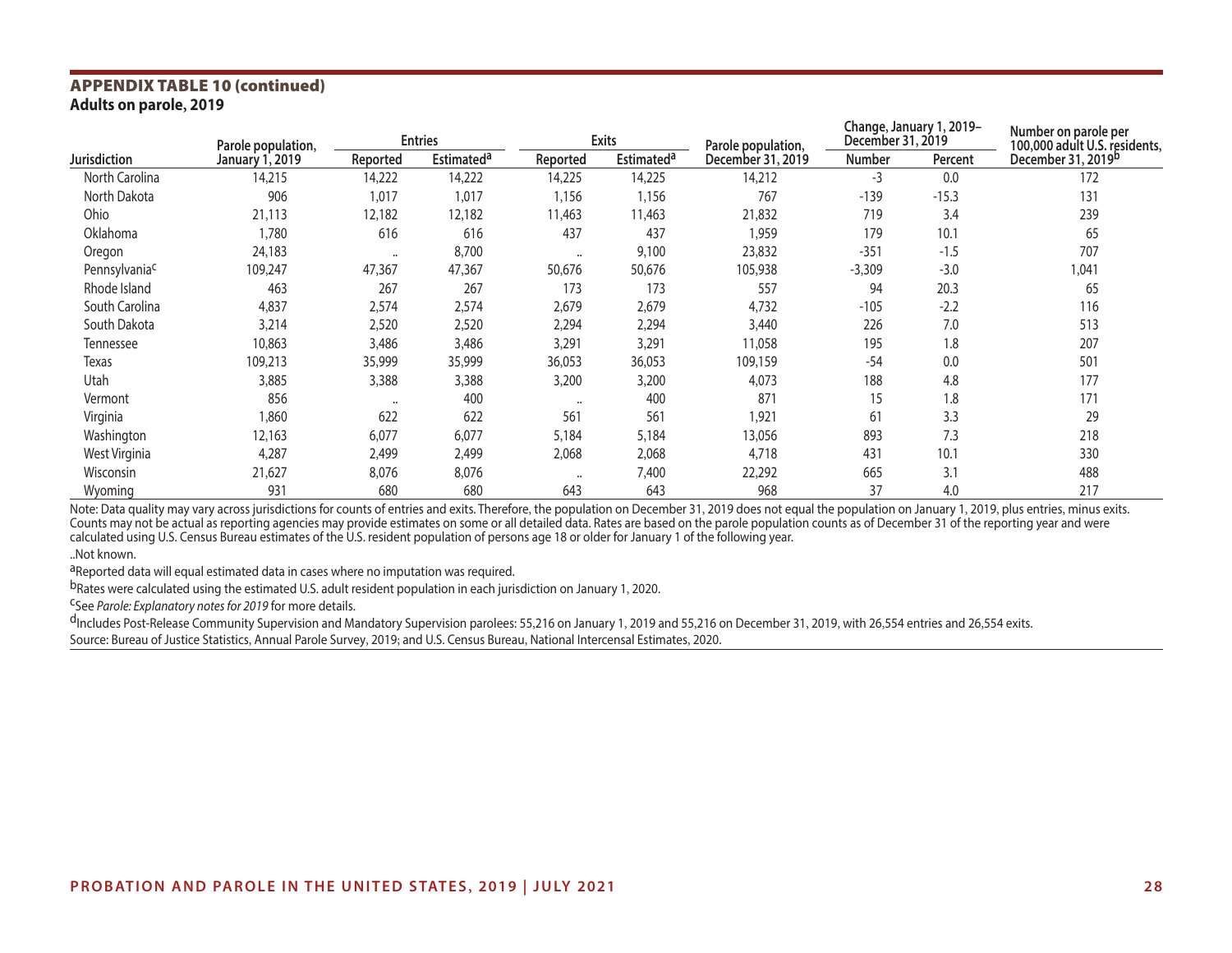## **APPENDIX TABLE 10 (continued)**<br>Adults on parole, 2019

| Parole population,        |                        | <b>Entries</b>       |                              |                      | Exits             | Parole population, | Change, January 1, 2019-<br>December 31, 2019 |         | Number on parole per<br>100,000 adult U.S. residents, |
|---------------------------|------------------------|----------------------|------------------------------|----------------------|-------------------|--------------------|-----------------------------------------------|---------|-------------------------------------------------------|
| <b>Jurisdiction</b>       | <b>January 1, 2019</b> | Reported             | <b>Estimated<sup>a</sup></b> | Reported             | <b>Estimateda</b> | December 31, 2019  | <b>Number</b>                                 | Percent | December 31, 2019 <sup>b</sup>                        |
| North Carolina            | 14,215                 | 14,222               | 14,222                       | 14,225               | 14,225            | 14,212             | $-3$                                          | 0.0     | 172                                                   |
| North Dakota              | 906                    | 1,017                | 1,017                        | 1,156                | 1,156             | 767                | $-139$                                        | $-15.3$ | 131                                                   |
| Ohio                      | 21,113                 | 12,182               | 12,182                       | 11,463               | 11,463            | 21,832             | 719                                           | 3.4     | 239                                                   |
| Oklahoma                  | 1,780                  | 616                  | 616                          | 437                  | 437               | 1,959              | 179                                           | 10.1    | 65                                                    |
| Oregon                    | 24,183                 | $\cdots$             | 8,700                        | $\ddotsc$            | 9,100             | 23,832             | $-351$                                        | $-1.5$  | 707                                                   |
| Pennsylvania <sup>c</sup> | 109,247                | 47,367               | 47,367                       | 50,676               | 50,676            | 105,938            | $-3,309$                                      | $-3.0$  | 1,041                                                 |
| Rhode Island              | 463                    | 267                  | 267                          | 173                  | 173               | 557                | 94                                            | 20.3    | 65                                                    |
| South Carolina            | 4,837                  | 2,574                | 2,574                        | 2,679                | 2,679             | 4,732              | $-105$                                        | $-2.2$  | 116                                                   |
| South Dakota              | 3,214                  | 2,520                | 2,520                        | 2,294                | 2,294             | 3,440              | 226                                           | 7.0     | 513                                                   |
| Tennessee                 | 10,863                 | 3,486                | 3,486                        | 3,291                | 3,291             | 11,058             | 195                                           | 1.8     | 207                                                   |
| Texas                     | 109,213                | 35,999               | 35,999                       | 36,053               | 36,053            | 109,159            | $-54$                                         | 0.0     | 501                                                   |
| Utah                      | 3,885                  | 3,388                | 3,388                        | 3,200                | 3,200             | 4,073              | 188                                           | 4.8     | 177                                                   |
| Vermont                   | 856                    | $\ddot{\phantom{a}}$ | 400                          | $\ddot{\phantom{a}}$ | 400               | 871                | 15                                            | 1.8     | 171                                                   |
| Virginia                  | 1,860                  | 622                  | 622                          | 561                  | 561               | 1,921              | 61                                            | 3.3     | 29                                                    |
| Washington                | 12,163                 | 6,077                | 6,077                        | 5,184                | 5,184             | 13,056             | 893                                           | 7.3     | 218                                                   |
| West Virginia             | 4,287                  | 2,499                | 2,499                        | 2,068                | 2,068             | 4,718              | 431                                           | 10.1    | 330                                                   |
| Wisconsin                 | 21,627                 | 8,076                | 8,076                        | $\ddot{\phantom{a}}$ | 7,400             | 22,292             | 665                                           | 3.1     | 488                                                   |
| Wyoming                   | 931                    | 680                  | 680                          | 643                  | 643               | 968                | 37                                            | 4.0     | 217                                                   |

Note: Data quality may vary across jurisdictions for counts of entries and exits. Therefore, the population on December 31, 2019 does not equal the population on January 1, 2019, plus entries, minus exits. Counts may not be actual as reporting agencies may provide estimates on some or all detailed data. Rates are based on the parole population counts as of December 31 of the reporting year and were calculated using U.S. Census Bureau estimates of the U.S. resident population of persons age 18 or older for January 1 of the following year.

..Not known.

aReported data will equal estimated data in cases where no imputation was required.

bRates were calculated using the estimated U.S. adult resident population in each jurisdiction on January 1, 2020.<br><sup>C</sup>See *Parole: Explanatory notes for 2019* for more details.

dIncludes Post-Release Community Supervision and Mandatory Supervision parolees: 55,216 on January 1, 2019 and 55,216 on December 31, 2019, with 26,554 entries and 26,554 exits. Source: Bureau of Justice Statistics, Annual Parole Survey, 2019; and U.S. Census Bureau, National Intercensal Estimates, 2020.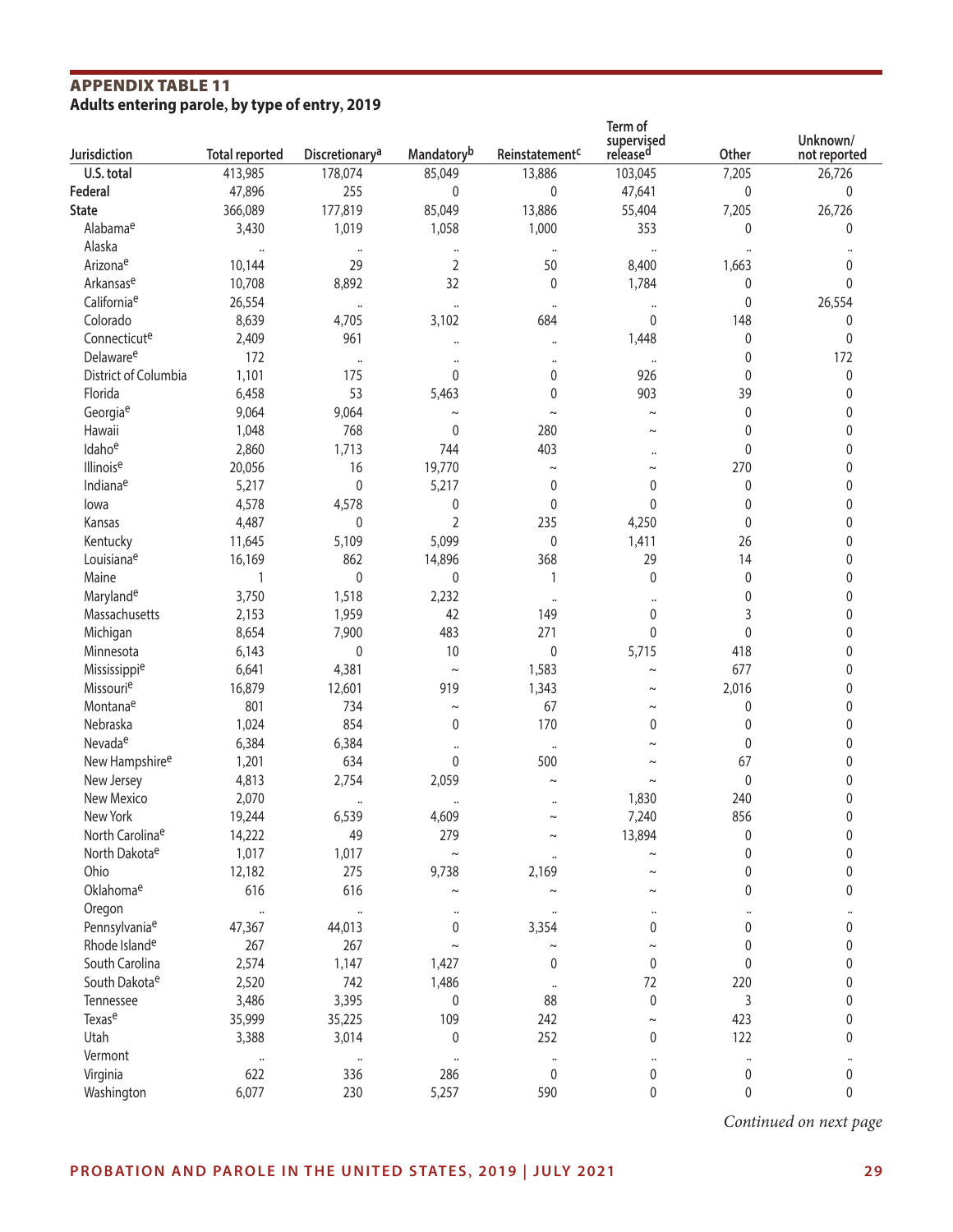## **APPENDIX TABLE 11**<br>Adults entering parole, by type of entry, 2019

| Jurisdiction                | <b>Total reported</b> | Discretionary <sup>a</sup> | Mandatoryb            | Reinstatement <sup>c</sup> | Term of<br>supervised<br>released | Other                | Unknown/<br>not reported |
|-----------------------------|-----------------------|----------------------------|-----------------------|----------------------------|-----------------------------------|----------------------|--------------------------|
| U.S. total                  | 413,985               | 178,074                    | 85,049                | 13,886                     | 103,045                           | 7,205                | 26,726                   |
| Federal                     | 47,896                | 255                        | 0                     | 0                          | 47,641                            | $\mathbf{0}$         | $\mathbf 0$              |
| <b>State</b>                | 366,089               | 177,819                    | 85,049                | 13,886                     | 55,404                            | 7,205                | 26,726                   |
| Alabamae                    | 3,430                 | 1,019                      | 1,058                 | 1,000                      | 353                               | $\mathbf{0}$         | $\mathbf{0}$             |
| Alaska                      | $\cdots$              | $\cdot\cdot$               | $\cdots$              | $\ddot{\phantom{1}}$       | $\ddot{\phantom{a}}$              | $\ddot{\phantom{0}}$ |                          |
| Arizonae                    | 10,144                | 29                         | $\overline{2}$        | 50                         | 8,400                             | 1,663                | 0                        |
| Arkansase                   | 10,708                | 8,892                      | 32                    | 0                          | 1,784                             | $\mathbf 0$          | 0                        |
| California <sup>e</sup>     | 26,554                | $\ddotsc$                  | $\cdots$              | $\cdots$                   | $\ddotsc$                         | $\pmb{0}$            | 26,554                   |
| Colorado                    | 8,639                 | 4,705                      | 3,102                 | 684                        | 0                                 | 148                  | 0                        |
| Connecticute                | 2,409                 | 961                        | $\ddotsc$             | $\ddotsc$                  | 1,448                             | 0                    | 0                        |
| Delaware <sup>e</sup>       | 172                   | $\ddot{\phantom{a}}$       | $\ddot{\phantom{a}}$  | $\ddot{\phantom{a}}$       | $\ddotsc$                         | 0                    | 172                      |
| District of Columbia        | 1,101                 | 175                        | 0                     | 0                          | 926                               | 0                    | $\pmb{0}$                |
| Florida                     | 6,458                 | 53                         | 5,463                 | 0                          | 903                               | 39                   | 0                        |
| Georgiae                    | 9,064                 | 9,064                      | $\thicksim$           | $\sim$                     | $\sim$                            | 0                    | 0                        |
| Hawaii                      | 1,048                 | 768                        | 0                     | 280                        | $\sim$                            | 0                    | 0                        |
| Idahoe                      | 2,860                 | 1,713                      | 744                   | 403                        |                                   | 0                    | 0                        |
| Illinoise                   | 20,056                | 16                         | 19,770                | $\thicksim$                | $\ddot{\phantom{0}}$<br>$\sim$    | 270                  | 0                        |
| Indianae                    | 5,217                 | $\pmb{0}$                  | 5,217                 | 0                          | $\mathbf 0$                       | 0                    | 0                        |
| lowa                        | 4,578                 | 4,578                      | 0                     | 0                          | $\mathbf{0}$                      | 0                    | 0                        |
| Kansas                      | 4,487                 | 0                          | $\overline{2}$        | 235                        | 4,250                             | 0                    | 0                        |
| Kentucky                    | 11,645                | 5,109                      | 5,099                 | 0                          | 1,411                             | 26                   | 0                        |
| Louisianae                  | 16,169                | 862                        |                       | 368                        | 29                                | 14                   |                          |
| Maine                       | $\mathbf{1}$          | $\mathbf 0$                | 14,896<br>0           | 1                          | $\mathbf 0$                       |                      | 0                        |
|                             |                       |                            |                       |                            |                                   | $\mathbf 0$          | 0                        |
| Marylande<br>Massachusetts  | 3,750                 | 1,518                      | 2,232<br>42           | $\cdots$                   | $\ddot{\phantom{0}}$<br>0         | 0                    | 0                        |
|                             | 2,153                 | 1,959                      |                       | 149                        |                                   | 3                    | 0                        |
| Michigan                    | 8,654                 | 7,900                      | 483                   | 271                        | 0                                 | $\pmb{0}$            | 0                        |
| Minnesota                   | 6,143                 | $\mathbf 0$                | 10                    | 0                          | 5,715                             | 418                  | 0                        |
| Mississippie                | 6,641                 | 4,381                      | $\thicksim$           | 1,583                      | $\sim$                            | 677                  | 0                        |
| Missourie                   | 16,879                | 12,601                     | 919                   | 1,343                      | $\sim$                            | 2,016                | 0                        |
| Montanae                    | 801                   | 734                        | $\thicksim$           | 67                         |                                   | 0                    | $\mathbf 0$              |
| Nebraska                    | 1,024                 | 854                        | 0                     | 170                        | 0                                 | 0                    | $\mathbf{0}$             |
| Nevadae                     | 6,384                 | 6,384                      |                       | $\ddot{\phantom{0}}$       |                                   | 0                    | $\mathbf{0}$             |
| New Hampshire <sup>e</sup>  | 1,201                 | 634                        | 0                     | 500                        |                                   | 67                   | 0                        |
| New Jersey                  | 4,813                 | 2,754                      | 2,059                 | $\tilde{}$                 |                                   | $\mathbf 0$          | $\mathbf 0$              |
| New Mexico                  | 2,070                 |                            |                       | $\ddot{\phantom{0}}$       | 1,830                             | 240                  | 0                        |
| New York                    | 19,244                | 6,539                      | 4,609                 | $\tilde{}$                 | 7,240                             | 856                  | 0                        |
| North Carolina <sup>e</sup> | 14,222                | 49                         | 279                   |                            | 13,894                            | $\pmb{0}$            | 0                        |
| North Dakotae               | 1,017                 | 1,017                      | $\thicksim$           | $\ddot{\phantom{0}}$       |                                   | 0                    | 0                        |
| Ohio                        | 12,182                | 275                        | 9,738                 | 2,169                      | $\tilde{}$                        | 0                    | $\pmb{0}$                |
| Oklahomae                   | 616                   | 616                        | $\tilde{}$            | $\sim$                     | $\thicksim$                       | 0                    | 0                        |
| Oregon                      | $\cdots$              | $\ddot{\phantom{a}}$       | $\ddot{\phantom{1}}$  |                            | $\ddot{\phantom{1}}$              | $\ddot{\phantom{a}}$ | $\cdots$                 |
| Pennsylvaniae               | 47,367                | 44,013                     | 0                     | 3,354                      | 0                                 | 0                    | $\pmb{0}$                |
| Rhode Island <sup>e</sup>   | 267                   | 267                        | $\tilde{\phantom{a}}$ | $\tilde{}$                 | $\sim$                            | $\pmb{0}$            | $\pmb{0}$                |
| South Carolina              | 2,574                 | 1,147                      | 1,427                 | 0                          | 0                                 | $\pmb{0}$            | $\pmb{0}$                |
| South Dakota <sup>e</sup>   | 2,520                 | 742                        | 1,486                 | $\ddot{\phantom{a}}$       | 72                                | 220                  | $\pmb{0}$                |
| Tennessee                   | 3,486                 | 3,395                      | 0                     | 88                         | $\pmb{0}$                         | 3                    | $\pmb{0}$                |
| Texase                      | 35,999                | 35,225                     | 109                   | 242                        | $\thicksim$                       | 423                  | $\pmb{0}$                |
| Utah                        | 3,388                 | 3,014                      | 0                     | 252                        | 0                                 | 122                  | $\pmb{0}$                |
| Vermont                     | $\ddot{\phantom{1}}$  | $\ddotsc$                  | $\cdots$              | $\cdots$                   | $\ddotsc$                         | $\cdots$             | $\cdots$                 |
| Virginia                    | 622                   | 336                        | 286                   | 0                          | 0                                 | $\pmb{0}$            | $\pmb{0}$                |
| Washington                  | 6,077                 | 230                        | 5,257                 | 590                        | 0                                 | $\pmb{0}$            | 0                        |

*Continued on next page*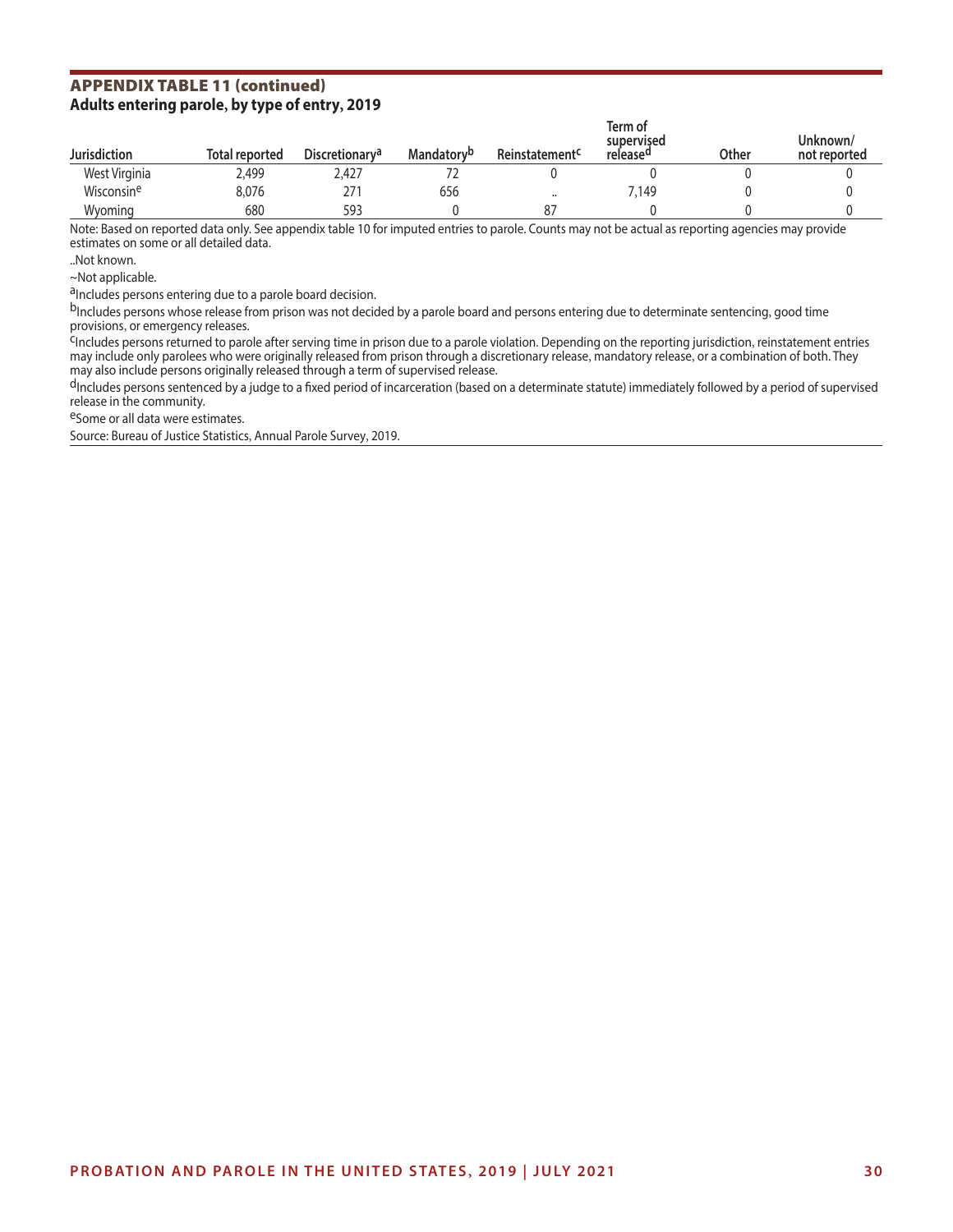## **APPENDIX TABLE 11 (continued)**<br>Adults entering parole, by type of entry, 2019

| <b>Jurisdiction</b>    | <b>Total reported</b> | <b>Discretionary<sup>a</sup></b> | <b>Mandatory</b> <sup>b</sup> | Reinstatement <sup>c</sup> | Term of<br>supervised<br>release <sup>u</sup> | <b>Other</b> | Unknown/<br>not reported |
|------------------------|-----------------------|----------------------------------|-------------------------------|----------------------------|-----------------------------------------------|--------------|--------------------------|
| West Virginia          | 2,499                 | 2,427                            |                               |                            |                                               |              |                          |
| Wisconsin <sup>e</sup> | 8,076                 | 271                              | 656                           | $\cdot$                    | 7,149                                         |              |                          |
| Wyoming                | 680                   | 593                              |                               | 87                         |                                               |              |                          |

Note: Based on reported data only. See appendix table 10 for imputed entries to parole. Counts may not be actual as reporting agencies may provide estimates on some or all detailed data.

..Not known.

~Not applicable.

aIncludes persons entering due to a parole board decision.

bIncludes persons whose release from prison was not decided by a parole board and persons entering due to determinate sentencing, good time<br>provisions, or emergency releases.

<sup>C</sup>Includes persons returned to parole after serving time in prison due to a parole violation. Depending on the reporting jurisdiction, reinstatement entries may include only parolees who were originally released from prison through a discretionary release, mandatory release, or a combination of both. They may also include persons originally released through a term of supervised release.

dIncludes persons sentenced by a judge to a fixed period of incarceration (based on a determinate statute) immediately followed by a period of supervised release in the community.

eSome or all data were estimates.

Source: Bureau of Justice Statistics, Annual Parole Survey, 2019.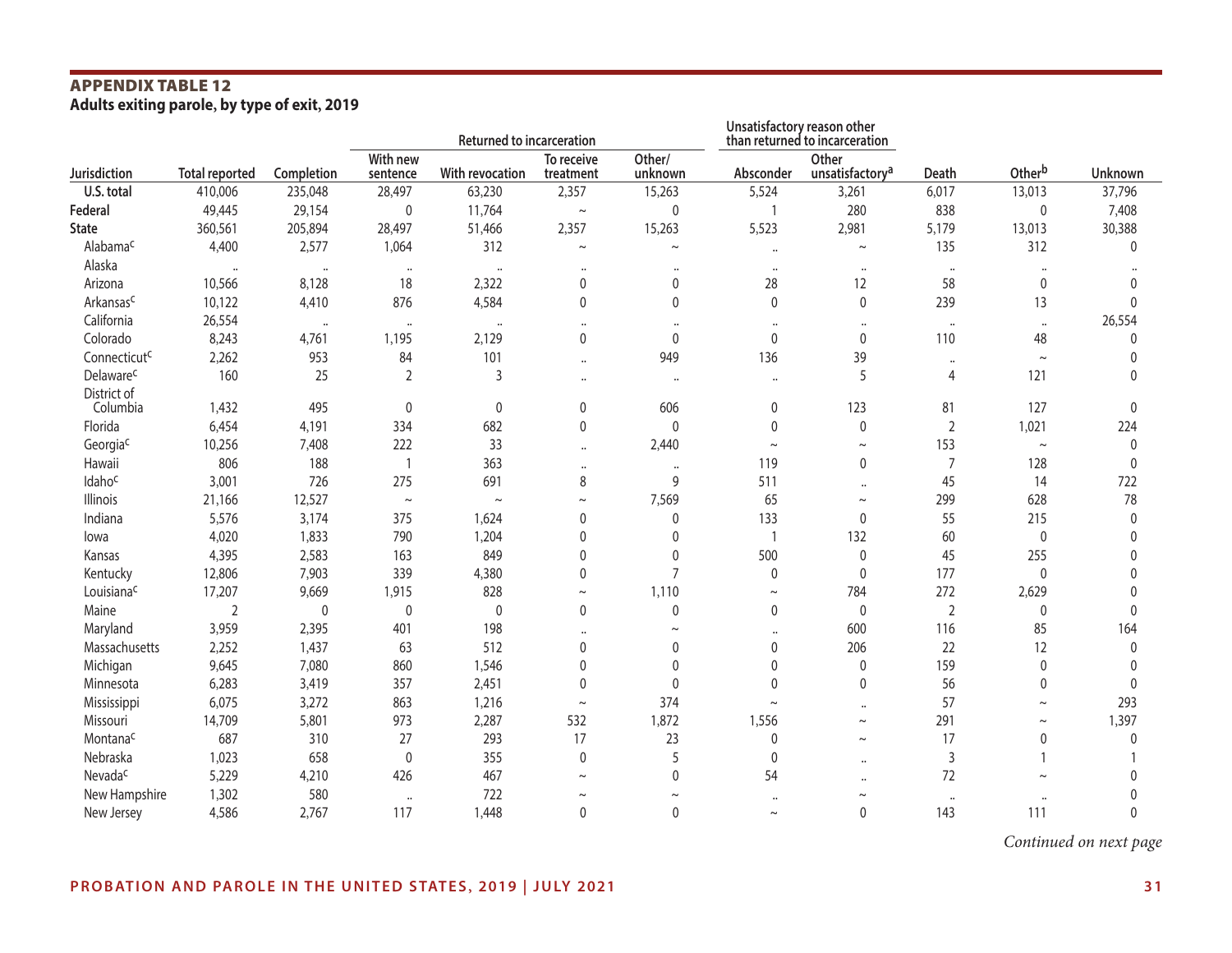## **APPENDIX TABLE 12**<br>Adults exiting parole, by type of exit, 2019

|                          |                       |                      | <b>Returned to incarceration</b> |                      |                         |                   | Unsatisfactory reason other<br>than returned to incarceration |                                      |                      |             |              |
|--------------------------|-----------------------|----------------------|----------------------------------|----------------------|-------------------------|-------------------|---------------------------------------------------------------|--------------------------------------|----------------------|-------------|--------------|
| Jurisdiction             | <b>Total reported</b> | Completion           | With new<br>sentence             | With revocation      | To receive<br>treatment | Other/<br>unknown | Absconder                                                     | Other<br>unsatisfactory <sup>a</sup> | Death                | Otherb      | Unknown      |
| U.S. total               | 410,006               | 235,048              | 28,497                           | 63,230               | 2,357                   | 15,263            | 5,524                                                         | 3,261                                | 6,017                | 13,013      | 37,796       |
| Federal                  | 49,445                | 29,154               | 0                                | 11,764               | $\thicksim$             | 0                 |                                                               | 280                                  | 838                  | 0           | 7,408        |
| <b>State</b>             | 360,561               | 205,894              | 28,497                           | 51,466               | 2,357                   | 15,263            | 5,523                                                         | 2,981                                | 5,179                | 13,013      | 30,388       |
| Alabama <sup>c</sup>     | 4,400                 | 2,577                | 1,064                            | 312                  | $\thicksim$             | $\thicksim$       | $\ddotsc$                                                     | $\thicksim$                          | 135                  | 312         | $\Omega$     |
| Alaska                   |                       | $\ddot{\phantom{a}}$ | $\ddot{\phantom{a}}$             | $\ddot{\phantom{0}}$ | $\ddot{\phantom{a}}$    |                   | $\cdots$                                                      | $\cdots$                             | $\bullet\bullet$     |             |              |
| Arizona                  | 10,566                | 8,128                | 18                               | 2,322                | 0                       | 0                 | 28                                                            | 12                                   | 58                   | $\mathbf 0$ | 0            |
| Arkansasc                | 10,122                | 4,410                | 876                              | 4,584                | 0                       | $\mathbf{0}$      | $\mathbf 0$                                                   | 0                                    | 239                  | 13          | 0            |
| California               | 26,554                | $\ddot{\phantom{0}}$ | $\ddot{\phantom{a}}$             | $\ddot{\phantom{a}}$ |                         |                   | $\cdots$                                                      | $\cdots$                             | $\cdots$             | $\cdots$    | 26,554       |
| Colorado                 | 8,243                 | 4,761                | 1,195                            | 2,129                | 0                       | $\mathbf 0$       | 0                                                             | 0                                    | 110                  | 48          | $\Omega$     |
| Connecticut <sup>c</sup> | 2,262                 | 953                  | 84                               | 101                  |                         | 949               | 136                                                           | 39                                   | $\ddot{\phantom{a}}$ | $\sim$      | $\mathbf 0$  |
| Delaware <sup>c</sup>    | 160                   | 25                   | $\overline{2}$                   | 3                    |                         | $\ddotsc$         | $\cdots$                                                      | 5                                    | 4                    | 121         | $\Omega$     |
| District of              |                       |                      |                                  |                      |                         |                   |                                                               |                                      |                      |             |              |
| Columbia                 | 1,432                 | 495                  | 0                                | 0                    | 0                       | 606               | 0                                                             | 123                                  | 81                   | 127         | $\mathbf{0}$ |
| Florida                  | 6,454                 | 4,191                | 334                              | 682                  | 0                       | $\mathbf 0$       | 0                                                             | 0                                    | $\sqrt{2}$           | 1,021       | 224          |
| Georgiac                 | 10,256                | 7,408                | 222                              | 33                   | $\ddot{\phantom{a}}$    | 2,440             | $\thicksim$                                                   | $\thicksim$                          | 153                  | $\thicksim$ | 0            |
| Hawaii                   | 806                   | 188                  | -1                               | 363                  |                         | $\cdots$          | 119                                                           | 0                                    | $\overline{7}$       | 128         | $\mathbf{0}$ |
| Idahoc                   | 3,001                 | 726                  | 275                              | 691                  | 8                       | 9                 | 511                                                           | $\cdots$                             | 45                   | 14          | 722          |
| <b>Illinois</b>          | 21,166                | 12,527               | $\thicksim$                      | $\thicksim$          | $\sim$                  | 7,569             | 65                                                            | $\thicksim$                          | 299                  | 628         | 78           |
| Indiana                  | 5,576                 | 3,174                | 375                              | 1,624                | 0                       | 0                 | 133                                                           | 0                                    | 55                   | 215         | 0            |
| lowa                     | 4,020                 | 1,833                | 790                              | 1,204                | 0                       | $\mathbf{0}$      | $\overline{\phantom{a}}$                                      | 132                                  | 60                   | 0           | <sup>0</sup> |
| Kansas                   | 4,395                 | 2,583                | 163                              | 849                  | 0                       | $\mathbf 0$       | 500                                                           | 0                                    | 45                   | 255         | $\Omega$     |
| Kentucky                 | 12,806                | 7,903                | 339                              | 4,380                | 0                       | $\overline{7}$    | $\mathbf 0$                                                   | 0                                    | 177                  | 0           | 0            |
| Louisianac               | 17,207                | 9,669                | 1,915                            | 828                  | $\thicksim$             | 1,110             | $\thicksim$                                                   | 784                                  | 272                  | 2,629       | $\Omega$     |
| Maine                    | 2                     | $\mathbf 0$          | 0                                | $\mathbf 0$          | $\mathbf 0$             | 0                 | $\mathbf 0$                                                   | 0                                    | $\overline{2}$       | 0           | 0            |
| Maryland                 | 3,959                 | 2,395                | 401                              | 198                  |                         | $\sim$            | $\ddot{\phantom{1}}$                                          | 600                                  | 116                  | 85          | 164          |
| Massachusetts            | 2,252                 | 1,437                | 63                               | 512                  | 0                       | 0                 | 0                                                             | 206                                  | 22                   | 12          | $\mathbf 0$  |
| Michigan                 | 9,645                 | 7,080                | 860                              | 1,546                | 0                       | 0                 | 0                                                             | 0                                    | 159                  | $\mathbf 0$ | 0            |
| Minnesota                | 6,283                 | 3,419                | 357                              | 2,451                | 0                       | $\mathbf 0$       | 0                                                             | 0                                    | 56                   | 0           | $\Omega$     |
| Mississippi              | 6,075                 | 3,272                | 863                              | 1,216                | $\thicksim$             | 374               | $\sim$                                                        | $\cdots$                             | 57                   | $\thicksim$ | 293          |
| Missouri                 | 14,709                | 5,801                | 973                              | 2,287                | 532                     | 1,872             | 1,556                                                         | $\thicksim$                          | 291                  | $\thicksim$ | 1,397        |
| Montana <sup>c</sup>     | 687                   | 310                  | 27                               | 293                  | 17                      | 23                | 0                                                             | $\thicksim$                          | 17                   | 0           | 0            |
| Nebraska                 | 1,023                 | 658                  | $\mathbf 0$                      | 355                  | 0                       | 5                 | 0                                                             | $\ddotsc$                            | 3                    |             |              |
| Nevada <sup>c</sup>      | 5,229                 | 4,210                | 426                              | 467                  | $\sim$                  | 0                 | 54                                                            |                                      | 72                   | $\sim$      |              |
| New Hampshire            | 1,302                 | 580                  | $\ddot{\phantom{a}}$             | 722                  | $\sim$                  | $\sim$            | $\ddot{\phantom{1}}$                                          |                                      | $\ddot{\phantom{a}}$ |             |              |
| New Jersey               | 4,586                 | 2,767                | 117                              | 1,448                | 0                       | 0                 | $\thicksim$                                                   | 0                                    | 143                  | 111         | $\Omega$     |

*Continued on next page*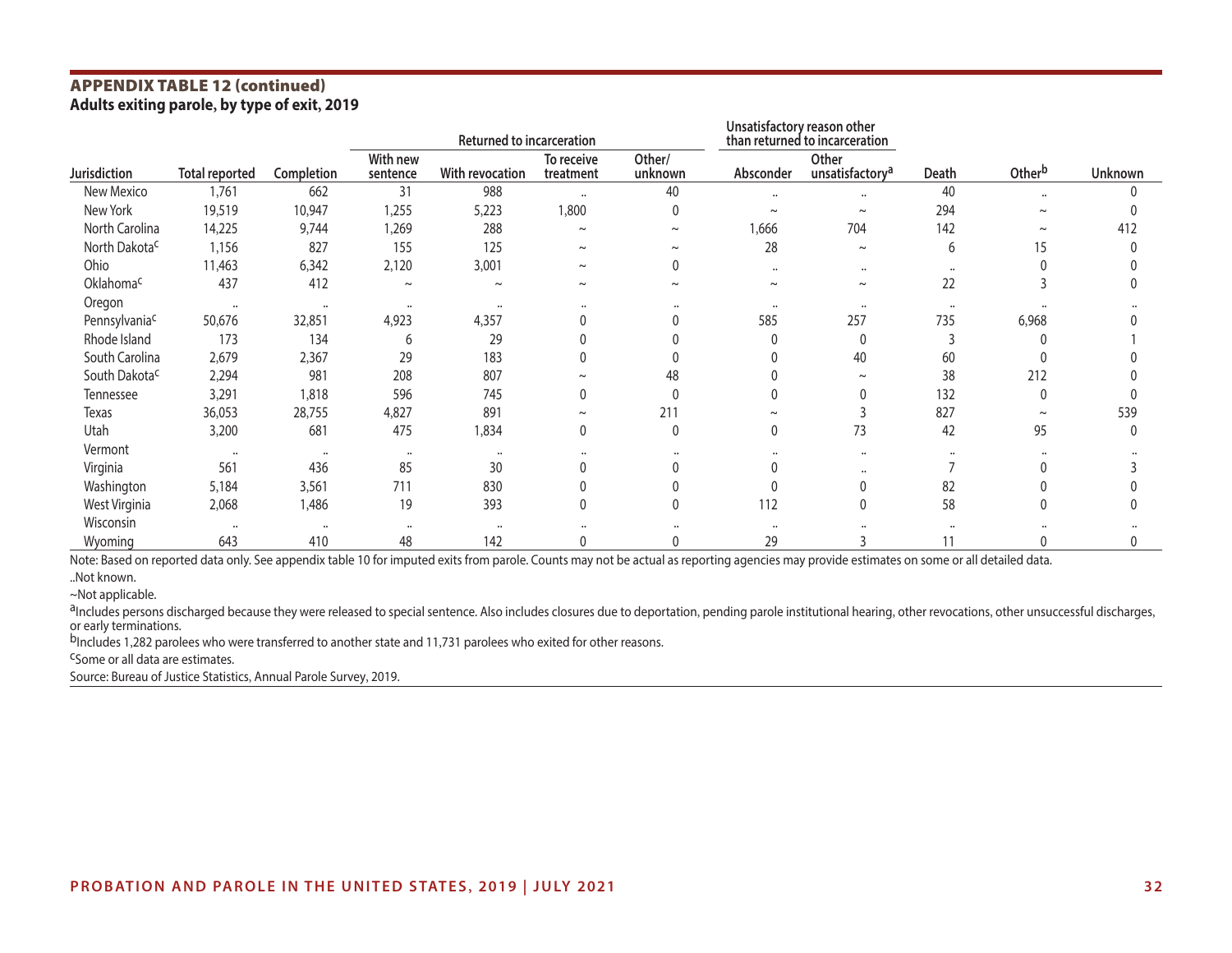## **APPENDIX TABLE 12 (continued)**<br>Adults exiting parole, by type of exit, 2019

|                           |                       |            |                      | <b>Returned to incarceration</b> |                         |                   | Unsatisfactory reason other<br>than returned to incarceration |                                      |       |                       |         |
|---------------------------|-----------------------|------------|----------------------|----------------------------------|-------------------------|-------------------|---------------------------------------------------------------|--------------------------------------|-------|-----------------------|---------|
| <b>Jurisdiction</b>       | <b>Total reported</b> | Completion | With new<br>sentence | With revocation                  | To receive<br>treatment | Other/<br>unknown | Absconder                                                     | Other<br>unsatisfactory <sup>a</sup> | Death | Otherb                | Unknown |
| New Mexico                | 1,761                 | 662        | 31                   | 988                              | $\ddotsc$               | 40                | $\ddot{\phantom{a}}$                                          | $\ddot{\phantom{a}}$                 | 40    | $\ddot{\phantom{a}}$  |         |
| New York                  | 19,519                | 10,947     | 1,255                | 5,223                            | 1,800                   | $\Omega$          | $\sim$                                                        | $\sim$                               | 294   | $\sim$                |         |
| North Carolina            | 14,225                | 9,744      | 1,269                | 288                              | $\sim$                  | $\sim$            | 1,666                                                         | 704                                  | 142   | $\sim$                | 412     |
| North Dakota <sup>c</sup> | 1,156                 | 827        | 155                  | 125                              | $\sim$                  | $\sim$            | 28                                                            | $\thicksim$                          | 6     |                       |         |
| Ohio                      | 11,463                | 6,342      | 2,120                | 3,001                            | $\sim$                  | $\theta$          | $\ddot{\phantom{0}}$                                          | $\cdots$                             |       |                       |         |
| Oklahomac                 | 437                   | 412        | $\sim$               | $\sim$                           | $\tilde{\phantom{a}}$   | $\sim$            | $\sim$                                                        | $\thicksim$                          | 22    |                       |         |
| Oregon                    | $\ddot{\phantom{a}}$  | $\cdots$   | $\cdots$             | $\ddot{\phantom{a}}$             |                         |                   |                                                               | $\cdots$                             |       |                       |         |
| Pennsylvaniac             | 50,676                | 32,851     | 4,923                | 4,357                            |                         |                   | 585                                                           | 257                                  | 735   | 6,968                 |         |
| Rhode Island              | 173                   | 134        | 6                    | 29                               |                         |                   |                                                               | $\Omega$                             |       |                       |         |
| South Carolina            | 2,679                 | 2,367      | 29                   | 183                              |                         |                   |                                                               | 40                                   | 60    |                       |         |
| South Dakota <sup>c</sup> | 2,294                 | 981        | 208                  | 807                              |                         | 48                |                                                               | $\tilde{\phantom{a}}$                | 38    | 212                   |         |
| Tennessee                 | 3,291                 | 1,818      | 596                  | 745                              | 0                       | $\Omega$          |                                                               | 0                                    | 132   | $\Omega$              |         |
| Texas                     | 36,053                | 28,755     | 4,827                | 891                              | $\tilde{\phantom{a}}$   | 211               | $\sim$                                                        |                                      | 827   | $\tilde{\phantom{a}}$ | 539     |
| Utah                      | 3,200                 | 681        | 475                  | 1,834                            | 0                       | $\mathbf{0}$      | 0                                                             | 73                                   | 42    | 95                    |         |
| Vermont                   | $\ddot{\phantom{a}}$  | $\cdots$   | $\cdots$             |                                  |                         |                   |                                                               | $\cdots$                             |       |                       |         |
| Virginia                  | 561                   | 436        | 85                   | 30                               |                         |                   |                                                               |                                      |       |                       |         |
| Washington                | 5,184                 | 3,561      | 711                  | 830                              |                         |                   |                                                               | Λ                                    | 82    |                       |         |
| West Virginia             | 2,068                 | 1,486      | 19                   | 393                              |                         | $\Omega$          | 112                                                           | 0                                    | 58    |                       |         |
| Wisconsin                 | $\ddot{\phantom{a}}$  | $\cdot$    | $\cdots$             | $\ddot{\phantom{a}}$             |                         |                   |                                                               |                                      |       |                       |         |
| Wyoming                   | 643                   | 410        | 48                   | 142                              |                         |                   | 29                                                            |                                      | 11    |                       |         |

Note: Based on reported data only. See appendix table 10 for imputed exits from parole. Counts may not be actual as reporting agencies may provide estimates on some or all detailed data.

~Not applicable.

aIncludes persons discharged because they were released to special sentence. Also includes closures due to deportation, pending parole institutional hearing, other revocations, other unsuccessful discharges, or early terminations.

bIncludes 1,282 parolees who were transferred to another state and 11,731 parolees who exited for other reasons.<br><sup>C</sup>Some or all data are estimates.

Source: Bureau of Justice Statistics, Annual Parole Survey, 2019.

<sup>..</sup>Not known.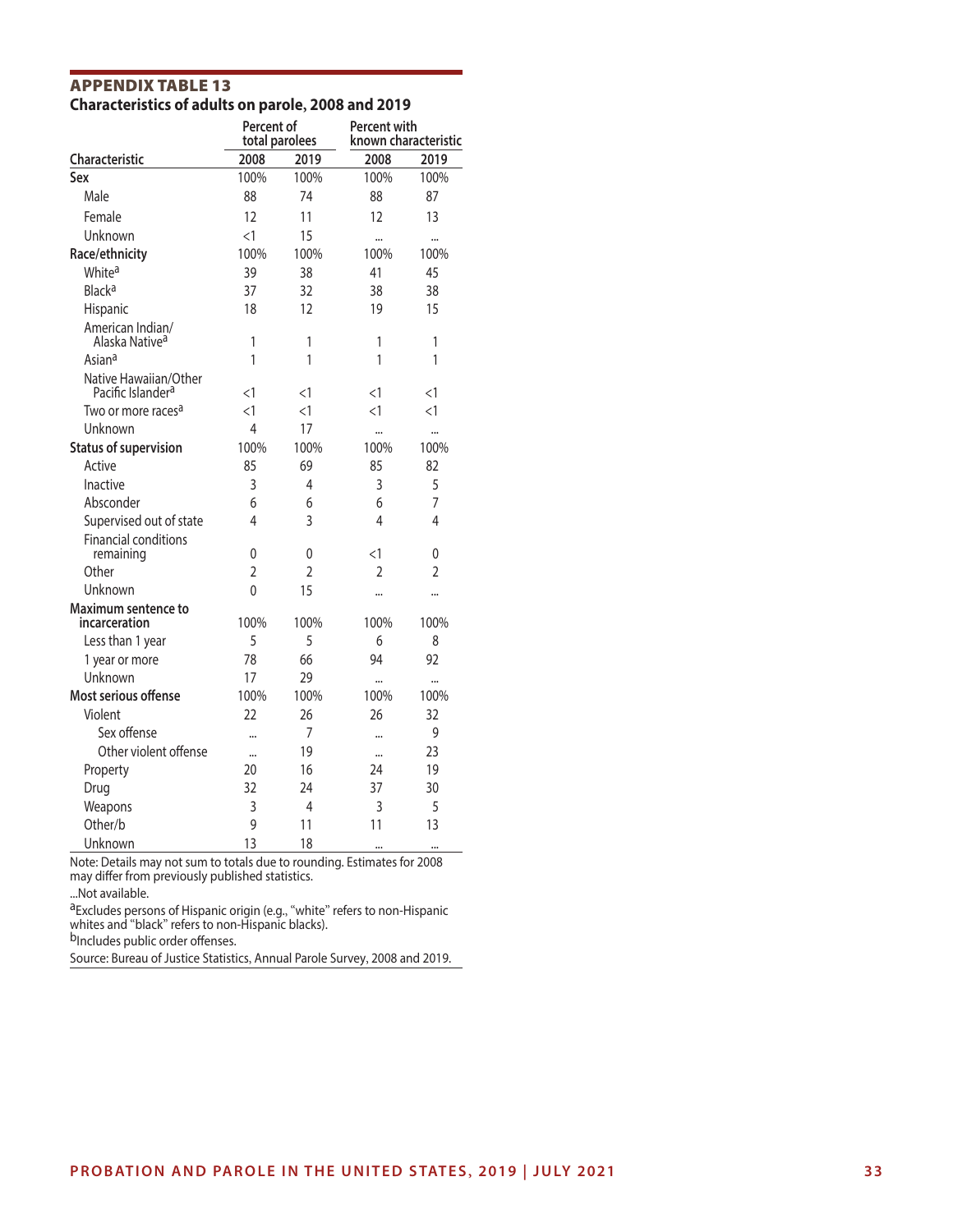## **APPENDIX TABLE 13**<br>Characteristics of adults on parole, 2008 and 2019

|                                                        | Percent of<br>total parolees |                | Percent with<br>known characteristic |                |  |
|--------------------------------------------------------|------------------------------|----------------|--------------------------------------|----------------|--|
| Characteristic                                         | 2008                         | 2019           | 2008                                 | 2019           |  |
| Sex                                                    | 100%                         | 100%           | 100%                                 | 100%           |  |
| Male                                                   | 88                           | 74             | 88                                   | 87             |  |
| Female                                                 | 12                           | 11             | 12                                   | 13             |  |
| Unknown                                                | $\leq$ 1                     | 15             |                                      |                |  |
| Race/ethnicity                                         | 100%                         | 100%           | 100%                                 | 100%           |  |
| White <sup>a</sup>                                     | 39                           | 38             | 41                                   | 45             |  |
| Black <sup>a</sup>                                     | 37                           | 32             | 38                                   | 38             |  |
| Hispanic                                               | 18                           | 12             | 19                                   | 15             |  |
| American Indian/<br>Alaska Native <sup>a</sup>         | 1                            | 1              | 1                                    | 1              |  |
| Asiana                                                 | 1                            | 1              | 1                                    | 1              |  |
| Native Hawaiian/Other<br>Pacific Islander <sup>a</sup> | $<$ 1                        | <1             | <1                                   | <1             |  |
| Two or more races <sup>a</sup>                         | $<$ 1                        | $\leq$ 1       | $\leq$ 1                             | $\leq$ 1       |  |
| Unknown                                                | 4                            | 17             |                                      | $\ddotsc$      |  |
| <b>Status of supervision</b>                           | 100%                         | 100%           | 100%                                 | 100%           |  |
| Active                                                 | 85                           | 69             | 85                                   | 82             |  |
| Inactive                                               | 3                            | 4              | 3                                    | 5              |  |
| Absconder                                              | 6                            | 6              | 6                                    | $\overline{7}$ |  |
| Supervised out of state                                | 4                            | 3              | 4                                    | 4              |  |
| <b>Financial conditions</b><br>remaining               | 0                            | 0              | <1                                   | 0              |  |
| Other                                                  | $\overline{2}$               | $\overline{2}$ | $\overline{2}$                       | $\overline{2}$ |  |
| Unknown                                                | $\Omega$                     | 15             |                                      |                |  |
| Maximum sentence to<br>incarceration                   | 100%                         | 100%           | 100%                                 | 100%           |  |
| Less than 1 year                                       | 5                            | 5              | 6                                    | 8              |  |
| 1 year or more                                         | 78                           | 66             | 94                                   | 92             |  |
| Unknown                                                | 17                           | 29             | $\ddotsc$                            | $\ddotsc$      |  |
| Most serious offense                                   | 100%                         | 100%           | 100%                                 | 100%           |  |
| Violent                                                | 22                           | 26             | 26                                   | 32             |  |
| Sex offense                                            |                              | $\overline{7}$ | $\ddotsc$                            | 9              |  |
| Other violent offense                                  |                              | 19             |                                      | 23             |  |
| Property                                               | 20                           | 16             | 24                                   | 19             |  |
| Drug                                                   | 32                           | 74             | 37                                   | 30             |  |
| Weapons                                                | 3                            | 4              | 3                                    | 5              |  |
| Other/b                                                | 9                            | 11             | 11                                   | 13             |  |
| Unknown                                                | 13                           | 18             |                                      | $\cdots$       |  |

Note: Details may not sum to totals due to rounding. Estimates for 2008 may differ from previously published statistics.

...Not available.

aExcludes persons of Hispanic origin (e.g., "white" refers to non-Hispanic whites and "black" refers to non-Hispanic blacks).

b<sub>Includes</sub> public order offenses.

Source: Bureau of Justice Statistics, Annual Parole Survey, 2008 and 2019.